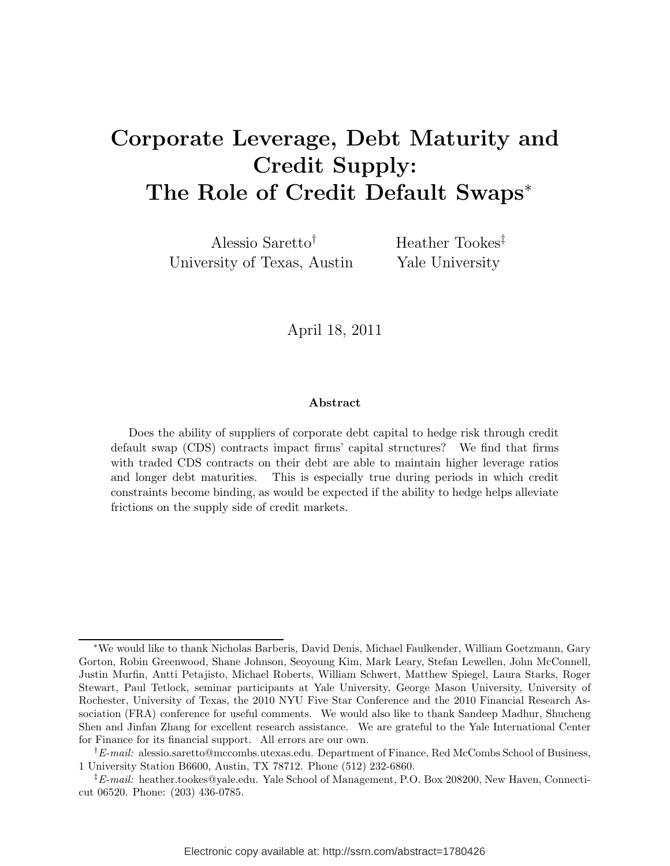# Corporate Leverage, Debt Maturity and Credit Supply: The Role of Credit Default Swaps<sup>∗</sup>

Alessio Saretto† University of Texas, Austin Heather Tookes‡ Yale University

April 18, 2011

#### Abstract

Does the ability of suppliers of corporate debt capital to hedge risk through credit default swap (CDS) contracts impact firms' capital structures? We find that firms with traded CDS contracts on their debt are able to maintain higher leverage ratios and longer debt maturities. This is especially true during periods in which credit constraints become binding, as would be expected if the ability to hedge helps alleviate frictions on the supply side of credit markets.

<sup>∗</sup>We would like to thank Nicholas Barberis, David Denis, Michael Faulkender, William Goetzmann, Gary Gorton, Robin Greenwood, Shane Johnson, Seoyoung Kim, Mark Leary, Stefan Lewellen, John McConnell, Justin Murfin, Antti Petajisto, Michael Roberts, William Schwert, Matthew Spiegel, Laura Starks, Roger Stewart, Paul Tetlock, seminar participants at Yale University, George Mason University, University of Rochester, University of Texas, the 2010 NYU Five Star Conference and the 2010 Financial Research Association (FRA) conference for useful comments. We would also like to thank Sandeep Madhur, Shucheng Shen and Jinfan Zhang for excellent research assistance. We are grateful to the Yale International Center for Finance for its financial support. All errors are our own.

<sup>†</sup>E-mail: alessio.saretto@mccombs.utexas.edu. Department of Finance, Red McCombs School of Business, 1 University Station B6600, Austin, TX 78712. Phone (512) 232-6860.

<sup>‡</sup>E-mail: heather.tookes@yale.edu. Yale School of Management, P.O. Box 208200, New Haven, Connecticut 06520. Phone: (203) 436-0785.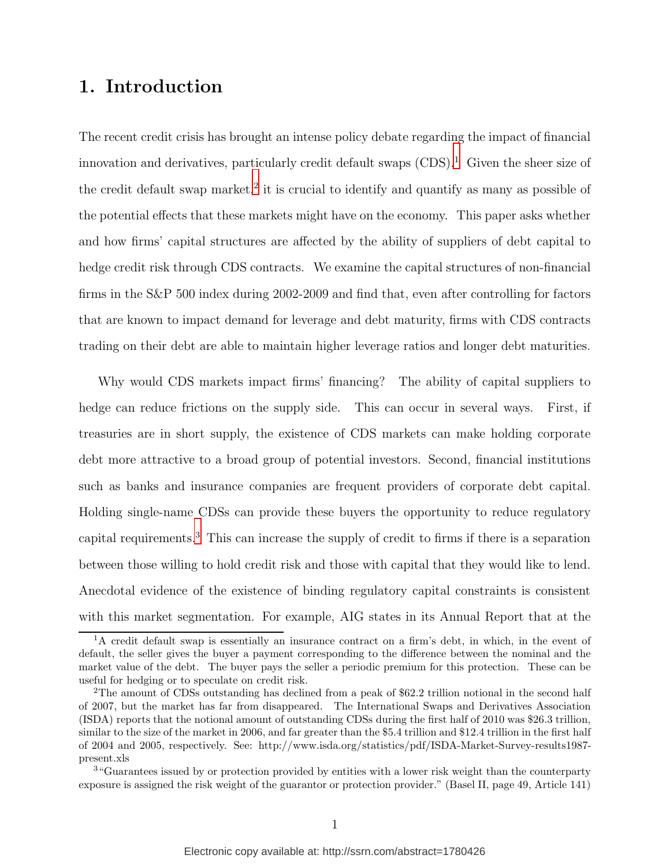# 1. Introduction

The recent credit crisis has brought an intense policy debate regarding the impact of financial innovation and derivatives, particularly credit default swaps (CDS). <sup>1</sup> Given the sheer size of the credit default swap market,<sup>2</sup> it is crucial to identify and quantify as many as possible of the potential effects that these markets might have on the economy. This paper asks whether and how firms' capital structures are affected by the ability of suppliers of debt capital to hedge credit risk through CDS contracts. We examine the capital structures of non-financial firms in the S&P 500 index during 2002-2009 and find that, even after controlling for factors that are known to impact demand for leverage and debt maturity, firms with CDS contracts trading on their debt are able to maintain higher leverage ratios and longer debt maturities.

Why would CDS markets impact firms' financing? The ability of capital suppliers to hedge can reduce frictions on the supply side. This can occur in several ways. First, if treasuries are in short supply, the existence of CDS markets can make holding corporate debt more attractive to a broad group of potential investors. Second, financial institutions such as banks and insurance companies are frequent providers of corporate debt capital. Holding single-name CDSs can provide these buyers the opportunity to reduce regulatory capital requirements.<sup>3</sup> This can increase the supply of credit to firms if there is a separation between those willing to hold credit risk and those with capital that they would like to lend. Anecdotal evidence of the existence of binding regulatory capital constraints is consistent with this market segmentation. For example, AIG states in its Annual Report that at the

 ${}^{1}$ A credit default swap is essentially an insurance contract on a firm's debt, in which, in the event of default, the seller gives the buyer a payment corresponding to the difference between the nominal and the market value of the debt. The buyer pays the seller a periodic premium for this protection. These can be useful for hedging or to speculate on credit risk.

<sup>2</sup>The amount of CDSs outstanding has declined from a peak of \$62.2 trillion notional in the second half of 2007, but the market has far from disappeared. The International Swaps and Derivatives Association (ISDA) reports that the notional amount of outstanding CDSs during the first half of 2010 was \$26.3 trillion, similar to the size of the market in 2006, and far greater than the \$5.4 trillion and \$12.4 trillion in the first half of 2004 and 2005, respectively. See: http://www.isda.org/statistics/pdf/ISDA-Market-Survey-results1987 present.xls

<sup>3</sup>"Guarantees issued by or protection provided by entities with a lower risk weight than the counterparty exposure is assigned the risk weight of the guarantor or protection provider." (Basel II, page 49, Article 141)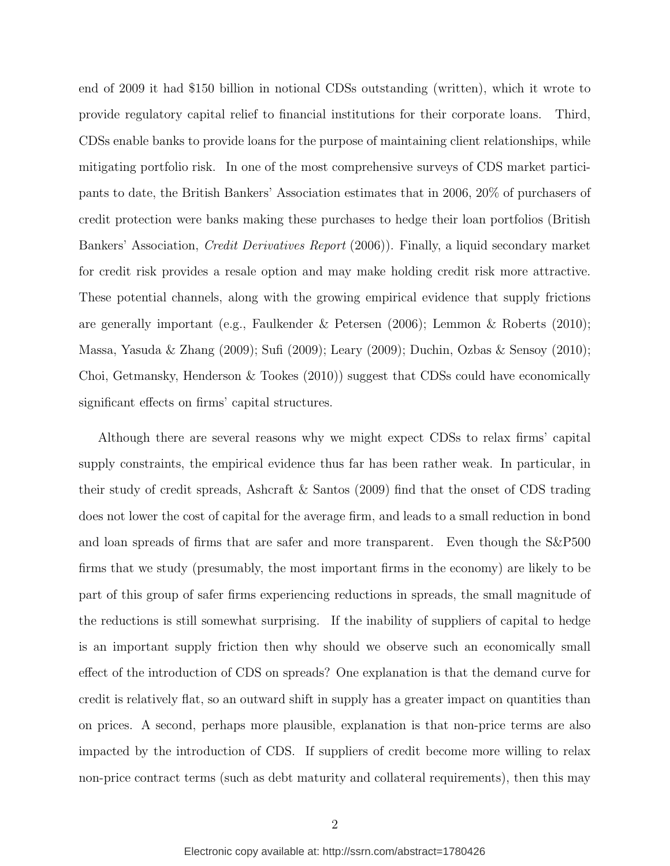end of 2009 it had \$150 billion in notional CDSs outstanding (written), which it wrote to provide regulatory capital relief to financial institutions for their corporate loans. Third, CDSs enable banks to provide loans for the purpose of maintaining client relationships, while mitigating portfolio risk. In one of the most comprehensive surveys of CDS market participants to date, the British Bankers' Association estimates that in 2006, 20% of purchasers of credit protection were banks making these purchases to hedge their loan portfolios (British Bankers' Association, *Credit Derivatives Report* (2006)). Finally, a liquid secondary market for credit risk provides a resale option and may make holding credit risk more attractive. These potential channels, along with the growing empirical evidence that supply frictions are generally important (e.g., Faulkender & Petersen (2006); Lemmon & Roberts (2010); Massa, Yasuda & Zhang (2009); Sufi (2009); Leary (2009); Duchin, Ozbas & Sensoy (2010); Choi, Getmansky, Henderson & Tookes (2010)) suggest that CDSs could have economically significant effects on firms' capital structures.

Although there are several reasons why we might expect CDSs to relax firms' capital supply constraints, the empirical evidence thus far has been rather weak. In particular, in their study of credit spreads, Ashcraft & Santos (2009) find that the onset of CDS trading does not lower the cost of capital for the average firm, and leads to a small reduction in bond and loan spreads of firms that are safer and more transparent. Even though the S&P500 firms that we study (presumably, the most important firms in the economy) are likely to be part of this group of safer firms experiencing reductions in spreads, the small magnitude of the reductions is still somewhat surprising. If the inability of suppliers of capital to hedge is an important supply friction then why should we observe such an economically small effect of the introduction of CDS on spreads? One explanation is that the demand curve for credit is relatively flat, so an outward shift in supply has a greater impact on quantities than on prices. A second, perhaps more plausible, explanation is that non-price terms are also impacted by the introduction of CDS. If suppliers of credit become more willing to relax non-price contract terms (such as debt maturity and collateral requirements), then this may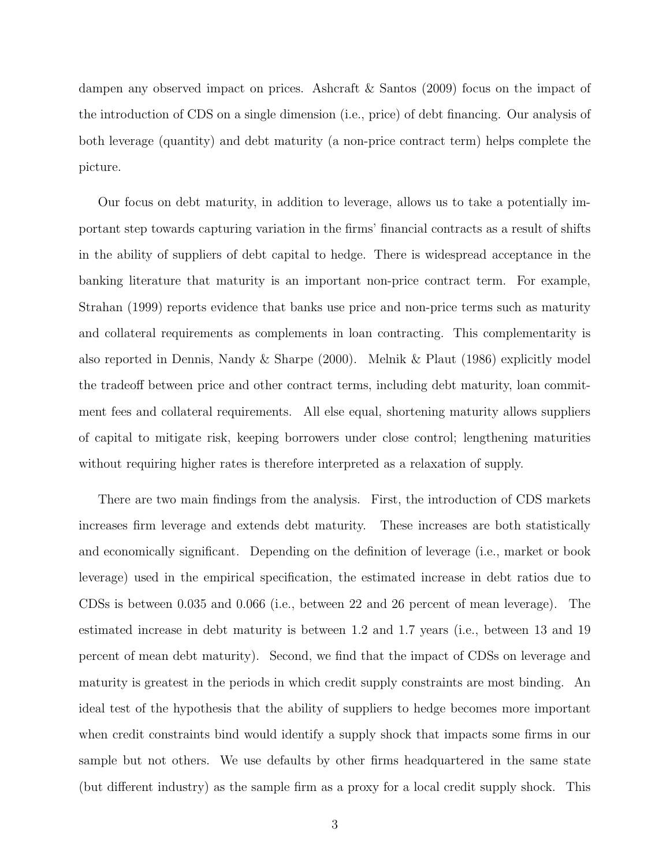dampen any observed impact on prices. Ashcraft & Santos (2009) focus on the impact of the introduction of CDS on a single dimension (i.e., price) of debt financing. Our analysis of both leverage (quantity) and debt maturity (a non-price contract term) helps complete the picture.

Our focus on debt maturity, in addition to leverage, allows us to take a potentially important step towards capturing variation in the firms' financial contracts as a result of shifts in the ability of suppliers of debt capital to hedge. There is widespread acceptance in the banking literature that maturity is an important non-price contract term. For example, Strahan (1999) reports evidence that banks use price and non-price terms such as maturity and collateral requirements as complements in loan contracting. This complementarity is also reported in Dennis, Nandy & Sharpe (2000). Melnik & Plaut (1986) explicitly model the tradeoff between price and other contract terms, including debt maturity, loan commitment fees and collateral requirements. All else equal, shortening maturity allows suppliers of capital to mitigate risk, keeping borrowers under close control; lengthening maturities without requiring higher rates is therefore interpreted as a relaxation of supply.

There are two main findings from the analysis. First, the introduction of CDS markets increases firm leverage and extends debt maturity. These increases are both statistically and economically significant. Depending on the definition of leverage (i.e., market or book leverage) used in the empirical specification, the estimated increase in debt ratios due to CDSs is between 0.035 and 0.066 (i.e., between 22 and 26 percent of mean leverage). The estimated increase in debt maturity is between 1.2 and 1.7 years (i.e., between 13 and 19 percent of mean debt maturity). Second, we find that the impact of CDSs on leverage and maturity is greatest in the periods in which credit supply constraints are most binding. An ideal test of the hypothesis that the ability of suppliers to hedge becomes more important when credit constraints bind would identify a supply shock that impacts some firms in our sample but not others. We use defaults by other firms headquartered in the same state (but different industry) as the sample firm as a proxy for a local credit supply shock. This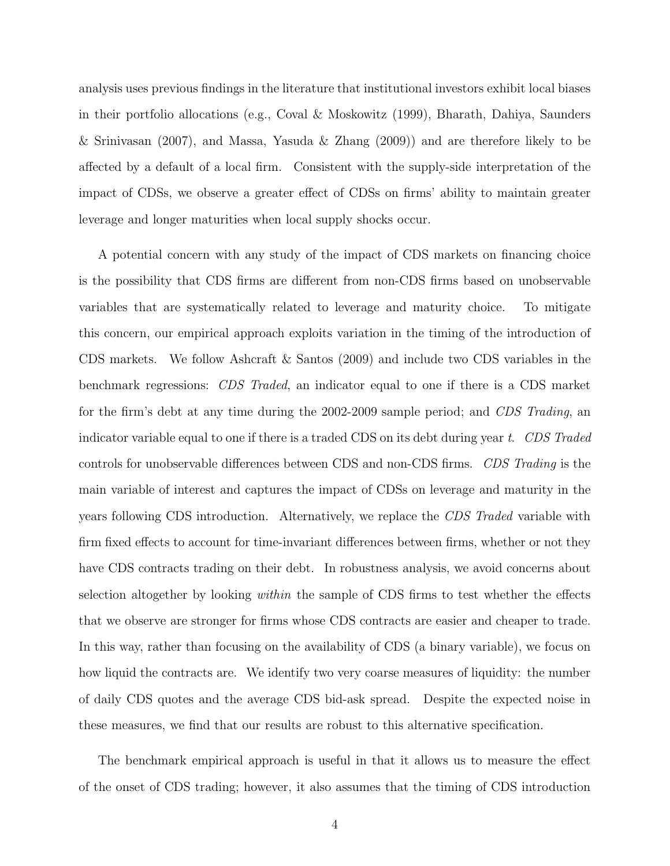analysis uses previous findings in the literature that institutional investors exhibit local biases in their portfolio allocations (e.g., Coval & Moskowitz (1999), Bharath, Dahiya, Saunders & Srinivasan (2007), and Massa, Yasuda & Zhang (2009)) and are therefore likely to be affected by a default of a local firm. Consistent with the supply-side interpretation of the impact of CDSs, we observe a greater effect of CDSs on firms' ability to maintain greater leverage and longer maturities when local supply shocks occur.

A potential concern with any study of the impact of CDS markets on financing choice is the possibility that CDS firms are different from non-CDS firms based on unobservable variables that are systematically related to leverage and maturity choice. To mitigate this concern, our empirical approach exploits variation in the timing of the introduction of CDS markets. We follow Ashcraft & Santos (2009) and include two CDS variables in the benchmark regressions: *CDS Traded*, an indicator equal to one if there is a CDS market for the firm's debt at any time during the 2002-2009 sample period; and *CDS Trading*, an indicator variable equal to one if there is a traded CDS on its debt during year *t*. *CDS Traded* controls for unobservable differences between CDS and non-CDS firms. *CDS Trading* is the main variable of interest and captures the impact of CDSs on leverage and maturity in the years following CDS introduction. Alternatively, we replace the *CDS Traded* variable with firm fixed effects to account for time-invariant differences between firms, whether or not they have CDS contracts trading on their debt. In robustness analysis, we avoid concerns about selection altogether by looking *within* the sample of CDS firms to test whether the effects that we observe are stronger for firms whose CDS contracts are easier and cheaper to trade. In this way, rather than focusing on the availability of CDS (a binary variable), we focus on how liquid the contracts are. We identify two very coarse measures of liquidity: the number of daily CDS quotes and the average CDS bid-ask spread. Despite the expected noise in these measures, we find that our results are robust to this alternative specification.

The benchmark empirical approach is useful in that it allows us to measure the effect of the onset of CDS trading; however, it also assumes that the timing of CDS introduction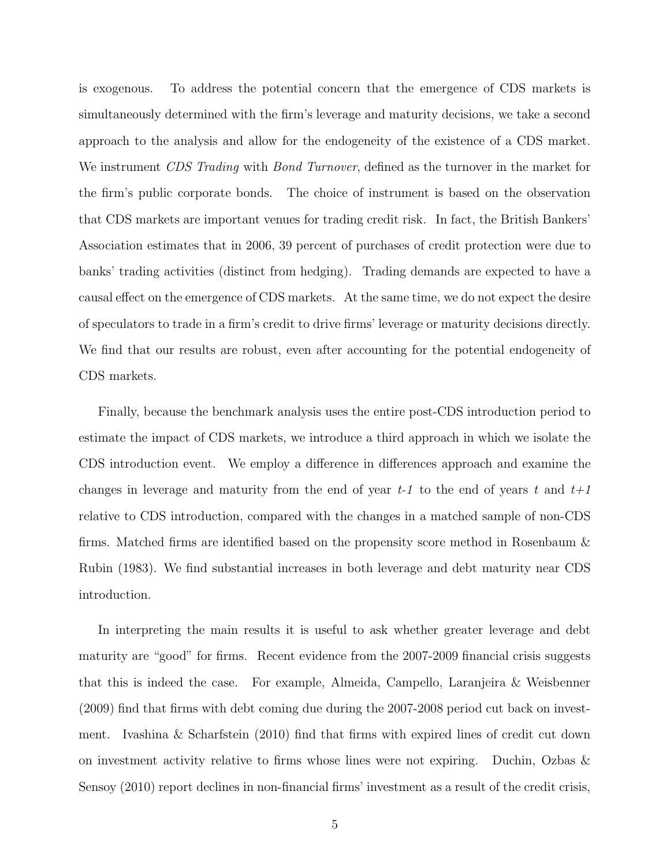is exogenous. To address the potential concern that the emergence of CDS markets is simultaneously determined with the firm's leverage and maturity decisions, we take a second approach to the analysis and allow for the endogeneity of the existence of a CDS market. We instrument *CDS Trading* with *Bond Turnover*, defined as the turnover in the market for the firm's public corporate bonds. The choice of instrument is based on the observation that CDS markets are important venues for trading credit risk. In fact, the British Bankers' Association estimates that in 2006, 39 percent of purchases of credit protection were due to banks' trading activities (distinct from hedging). Trading demands are expected to have a causal effect on the emergence of CDS markets. At the same time, we do not expect the desire of speculators to trade in a firm's credit to drive firms' leverage or maturity decisions directly. We find that our results are robust, even after accounting for the potential endogeneity of CDS markets.

Finally, because the benchmark analysis uses the entire post-CDS introduction period to estimate the impact of CDS markets, we introduce a third approach in which we isolate the CDS introduction event. We employ a difference in differences approach and examine the changes in leverage and maturity from the end of year  $t-1$  to the end of years  $t$  and  $t+1$ relative to CDS introduction, compared with the changes in a matched sample of non-CDS firms. Matched firms are identified based on the propensity score method in Rosenbaum & Rubin (1983). We find substantial increases in both leverage and debt maturity near CDS introduction.

In interpreting the main results it is useful to ask whether greater leverage and debt maturity are "good" for firms. Recent evidence from the 2007-2009 financial crisis suggests that this is indeed the case. For example, Almeida, Campello, Laranjeira & Weisbenner (2009) find that firms with debt coming due during the 2007-2008 period cut back on investment. Ivashina & Scharfstein (2010) find that firms with expired lines of credit cut down on investment activity relative to firms whose lines were not expiring. Duchin, Ozbas  $\&$ Sensoy (2010) report declines in non-financial firms' investment as a result of the credit crisis,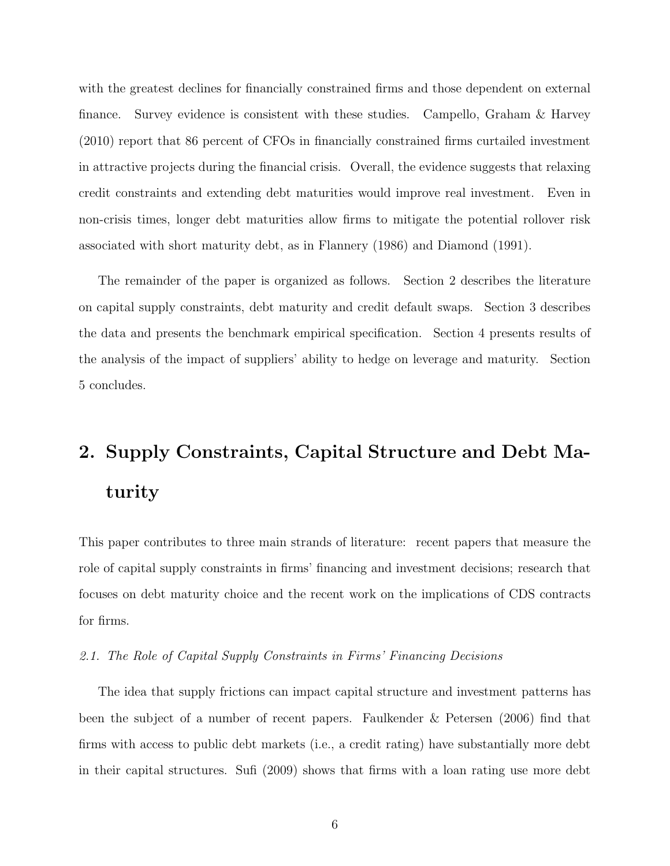with the greatest declines for financially constrained firms and those dependent on external finance. Survey evidence is consistent with these studies. Campello, Graham & Harvey (2010) report that 86 percent of CFOs in financially constrained firms curtailed investment in attractive projects during the financial crisis. Overall, the evidence suggests that relaxing credit constraints and extending debt maturities would improve real investment. Even in non-crisis times, longer debt maturities allow firms to mitigate the potential rollover risk associated with short maturity debt, as in Flannery (1986) and Diamond (1991).

The remainder of the paper is organized as follows. Section 2 describes the literature on capital supply constraints, debt maturity and credit default swaps. Section 3 describes the data and presents the benchmark empirical specification. Section 4 presents results of the analysis of the impact of suppliers' ability to hedge on leverage and maturity. Section 5 concludes.

# 2. Supply Constraints, Capital Structure and Debt Maturity

This paper contributes to three main strands of literature: recent papers that measure the role of capital supply constraints in firms' financing and investment decisions; research that focuses on debt maturity choice and the recent work on the implications of CDS contracts for firms.

## *2.1. The Role of Capital Supply Constraints in Firms' Financing Decisions*

The idea that supply frictions can impact capital structure and investment patterns has been the subject of a number of recent papers. Faulkender & Petersen (2006) find that firms with access to public debt markets (i.e., a credit rating) have substantially more debt in their capital structures. Sufi (2009) shows that firms with a loan rating use more debt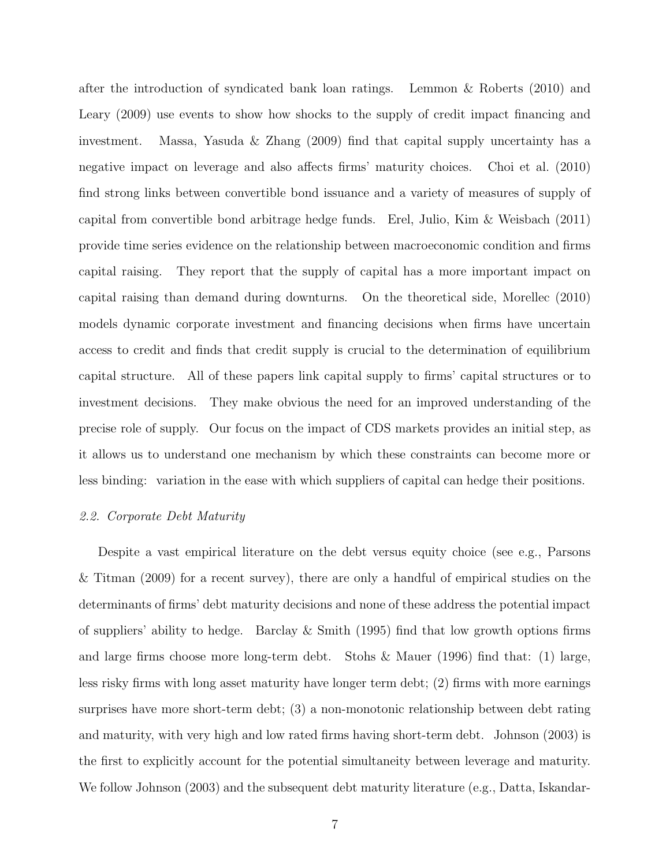after the introduction of syndicated bank loan ratings. Lemmon & Roberts (2010) and Leary (2009) use events to show how shocks to the supply of credit impact financing and investment. Massa, Yasuda & Zhang (2009) find that capital supply uncertainty has a negative impact on leverage and also affects firms' maturity choices. Choi et al. (2010) find strong links between convertible bond issuance and a variety of measures of supply of capital from convertible bond arbitrage hedge funds. Erel, Julio, Kim & Weisbach (2011) provide time series evidence on the relationship between macroeconomic condition and firms capital raising. They report that the supply of capital has a more important impact on capital raising than demand during downturns. On the theoretical side, Morellec (2010) models dynamic corporate investment and financing decisions when firms have uncertain access to credit and finds that credit supply is crucial to the determination of equilibrium capital structure. All of these papers link capital supply to firms' capital structures or to investment decisions. They make obvious the need for an improved understanding of the precise role of supply. Our focus on the impact of CDS markets provides an initial step, as it allows us to understand one mechanism by which these constraints can become more or less binding: variation in the ease with which suppliers of capital can hedge their positions.

### *2.2. Corporate Debt Maturity*

Despite a vast empirical literature on the debt versus equity choice (see e.g., Parsons & Titman (2009) for a recent survey), there are only a handful of empirical studies on the determinants of firms' debt maturity decisions and none of these address the potential impact of suppliers' ability to hedge. Barclay  $\&$  Smith (1995) find that low growth options firms and large firms choose more long-term debt. Stohs & Mauer (1996) find that: (1) large, less risky firms with long asset maturity have longer term debt; (2) firms with more earnings surprises have more short-term debt; (3) a non-monotonic relationship between debt rating and maturity, with very high and low rated firms having short-term debt. Johnson (2003) is the first to explicitly account for the potential simultaneity between leverage and maturity. We follow Johnson (2003) and the subsequent debt maturity literature (e.g., Datta, Iskandar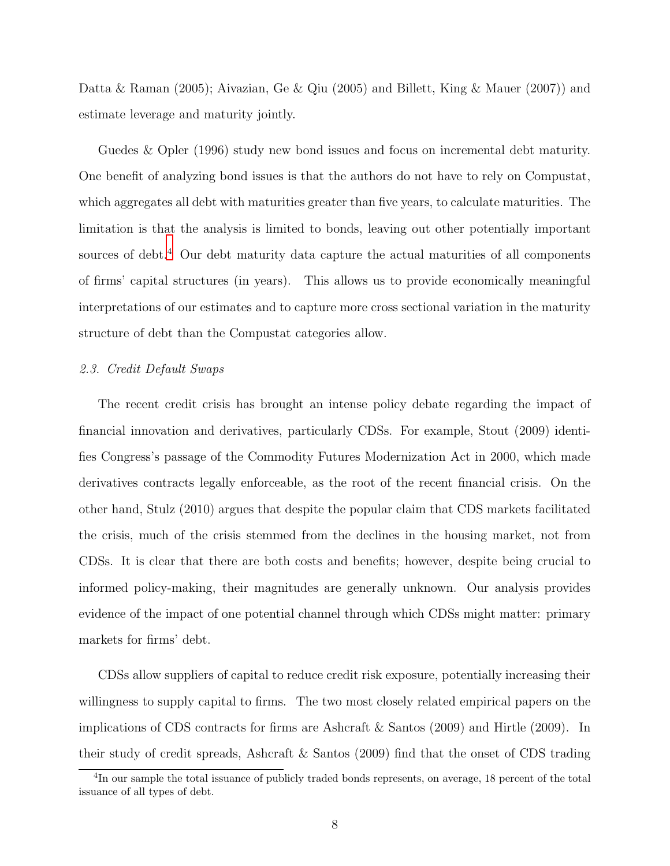Datta & Raman (2005); Aivazian, Ge & Qiu (2005) and Billett, King & Mauer (2007)) and estimate leverage and maturity jointly.

Guedes & Opler (1996) study new bond issues and focus on incremental debt maturity. One benefit of analyzing bond issues is that the authors do not have to rely on Compustat, which aggregates all debt with maturities greater than five years, to calculate maturities. The limitation is that the analysis is limited to bonds, leaving out other potentially important sources of debt.<sup>4</sup> Our debt maturity data capture the actual maturities of all components of firms' capital structures (in years). This allows us to provide economically meaningful interpretations of our estimates and to capture more cross sectional variation in the maturity structure of debt than the Compustat categories allow.

#### *2.3. Credit Default Swaps*

The recent credit crisis has brought an intense policy debate regarding the impact of financial innovation and derivatives, particularly CDSs. For example, Stout (2009) identifies Congress's passage of the Commodity Futures Modernization Act in 2000, which made derivatives contracts legally enforceable, as the root of the recent financial crisis. On the other hand, Stulz (2010) argues that despite the popular claim that CDS markets facilitated the crisis, much of the crisis stemmed from the declines in the housing market, not from CDSs. It is clear that there are both costs and benefits; however, despite being crucial to informed policy-making, their magnitudes are generally unknown. Our analysis provides evidence of the impact of one potential channel through which CDSs might matter: primary markets for firms' debt.

CDSs allow suppliers of capital to reduce credit risk exposure, potentially increasing their willingness to supply capital to firms. The two most closely related empirical papers on the implications of CDS contracts for firms are Ashcraft & Santos (2009) and Hirtle (2009). In their study of credit spreads, Ashcraft & Santos (2009) find that the onset of CDS trading

<sup>&</sup>lt;sup>4</sup>In our sample the total issuance of publicly traded bonds represents, on average, 18 percent of the total issuance of all types of debt.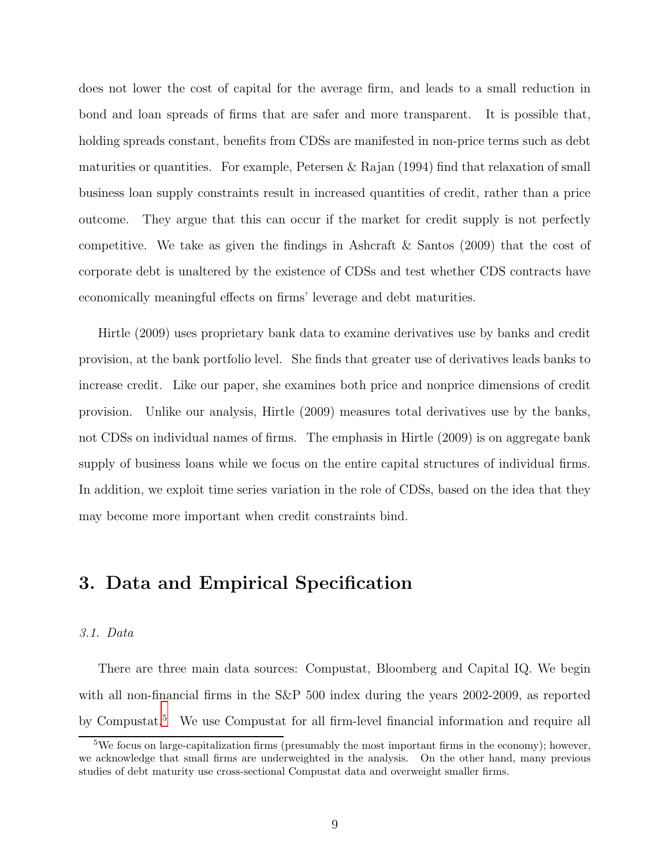does not lower the cost of capital for the average firm, and leads to a small reduction in bond and loan spreads of firms that are safer and more transparent. It is possible that, holding spreads constant, benefits from CDSs are manifested in non-price terms such as debt maturities or quantities. For example, Petersen & Rajan (1994) find that relaxation of small business loan supply constraints result in increased quantities of credit, rather than a price outcome. They argue that this can occur if the market for credit supply is not perfectly competitive. We take as given the findings in Ashcraft & Santos (2009) that the cost of corporate debt is unaltered by the existence of CDSs and test whether CDS contracts have economically meaningful effects on firms' leverage and debt maturities.

Hirtle (2009) uses proprietary bank data to examine derivatives use by banks and credit provision, at the bank portfolio level. She finds that greater use of derivatives leads banks to increase credit. Like our paper, she examines both price and nonprice dimensions of credit provision. Unlike our analysis, Hirtle (2009) measures total derivatives use by the banks, not CDSs on individual names of firms. The emphasis in Hirtle (2009) is on aggregate bank supply of business loans while we focus on the entire capital structures of individual firms. In addition, we exploit time series variation in the role of CDSs, based on the idea that they may become more important when credit constraints bind.

# 3. Data and Empirical Specification

## *3.1. Data*

There are three main data sources: Compustat, Bloomberg and Capital IQ. We begin with all non-financial firms in the S&P 500 index during the years 2002-2009, as reported by Compustat.<sup>5</sup> We use Compustat for all firm-level financial information and require all

 $5$ We focus on large-capitalization firms (presumably the most important firms in the economy); however, we acknowledge that small firms are underweighted in the analysis. On the other hand, many previous studies of debt maturity use cross-sectional Compustat data and overweight smaller firms.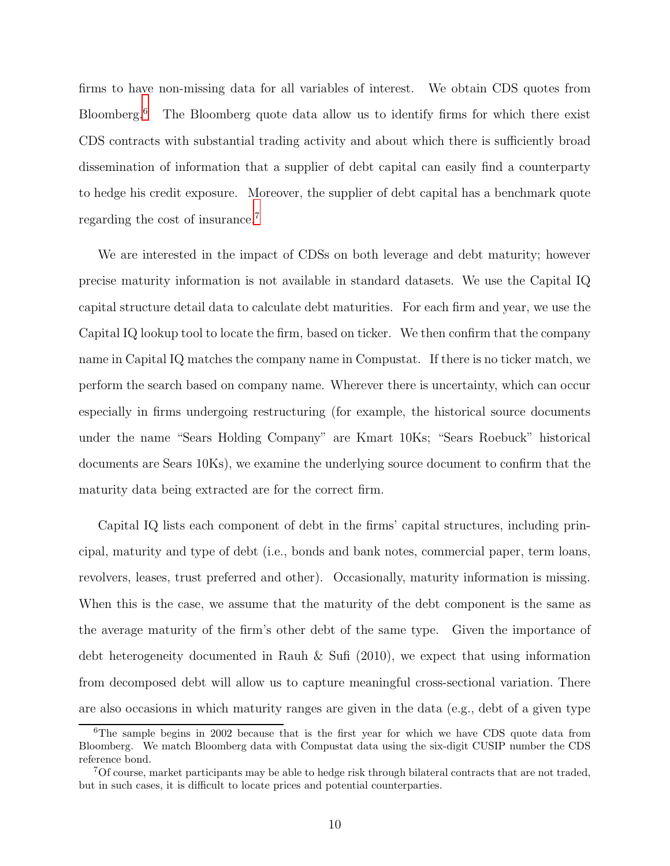firms to have non-missing data for all variables of interest. We obtain CDS quotes from Bloomberg.<sup>6</sup> The Bloomberg quote data allow us to identify firms for which there exist CDS contracts with substantial trading activity and about which there is sufficiently broad dissemination of information that a supplier of debt capital can easily find a counterparty to hedge his credit exposure. Moreover, the supplier of debt capital has a benchmark quote regarding the cost of insurance.<sup>7</sup>

We are interested in the impact of CDSs on both leverage and debt maturity; however precise maturity information is not available in standard datasets. We use the Capital IQ capital structure detail data to calculate debt maturities. For each firm and year, we use the Capital IQ lookup tool to locate the firm, based on ticker. We then confirm that the company name in Capital IQ matches the company name in Compustat. If there is no ticker match, we perform the search based on company name. Wherever there is uncertainty, which can occur especially in firms undergoing restructuring (for example, the historical source documents under the name "Sears Holding Company" are Kmart 10Ks; "Sears Roebuck" historical documents are Sears 10Ks), we examine the underlying source document to confirm that the maturity data being extracted are for the correct firm.

Capital IQ lists each component of debt in the firms' capital structures, including principal, maturity and type of debt (i.e., bonds and bank notes, commercial paper, term loans, revolvers, leases, trust preferred and other). Occasionally, maturity information is missing. When this is the case, we assume that the maturity of the debt component is the same as the average maturity of the firm's other debt of the same type. Given the importance of debt heterogeneity documented in Rauh & Sufi (2010), we expect that using information from decomposed debt will allow us to capture meaningful cross-sectional variation. There are also occasions in which maturity ranges are given in the data (e.g., debt of a given type

 $6$ The sample begins in 2002 because that is the first year for which we have CDS quote data from Bloomberg. We match Bloomberg data with Compustat data using the six-digit CUSIP number the CDS reference bond.

<sup>7</sup>Of course, market participants may be able to hedge risk through bilateral contracts that are not traded, but in such cases, it is difficult to locate prices and potential counterparties.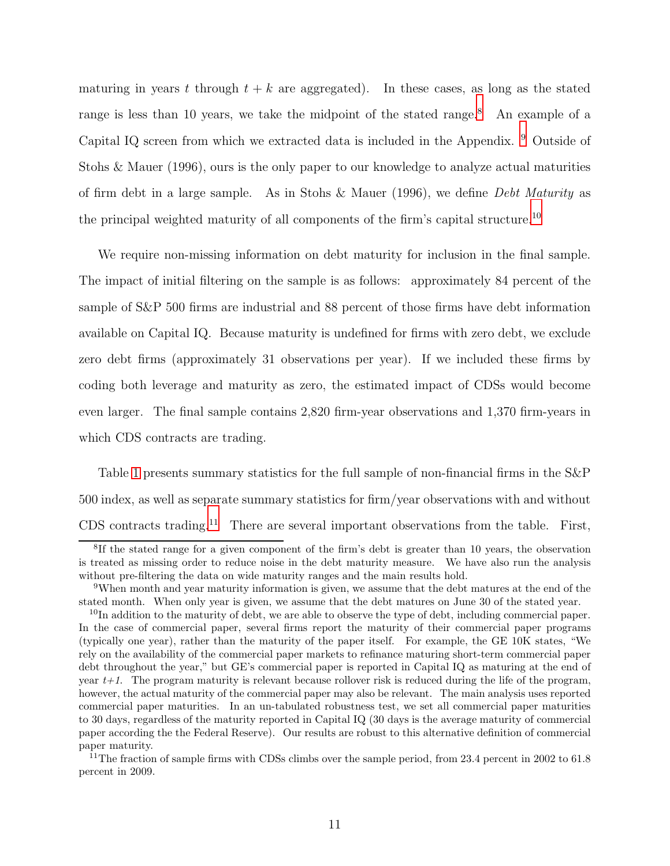maturing in years t through  $t + k$  are aggregated). In these cases, as long as the stated range is less than 10 years, we take the midpoint of the stated range.<sup>8</sup> An example of a Capital IQ screen from which we extracted data is included in the Appendix. <sup>9</sup> Outside of Stohs & Mauer (1996), ours is the only paper to our knowledge to analyze actual maturities of firm debt in a large sample. As in Stohs & Mauer (1996), we define *Debt Maturity* as the principal weighted maturity of all components of the firm's capital structure.<sup>10</sup>

We require non-missing information on debt maturity for inclusion in the final sample. The impact of initial filtering on the sample is as follows: approximately 84 percent of the sample of S&P 500 firms are industrial and 88 percent of those firms have debt information available on Capital IQ. Because maturity is undefined for firms with zero debt, we exclude zero debt firms (approximately 31 observations per year). If we included these firms by coding both leverage and maturity as zero, the estimated impact of CDSs would become even larger. The final sample contains 2,820 firm-year observations and 1,370 firm-years in which CDS contracts are trading.

Table [1](#page-40-0) presents summary statistics for the full sample of non-financial firms in the S&P 500 index, as well as separate summary statistics for firm/year observations with and without CDS contracts trading.<sup>11</sup> There are several important observations from the table. First,

<sup>&</sup>lt;sup>8</sup>If the stated range for a given component of the firm's debt is greater than 10 years, the observation is treated as missing order to reduce noise in the debt maturity measure. We have also run the analysis without pre-filtering the data on wide maturity ranges and the main results hold.

<sup>9</sup>When month and year maturity information is given, we assume that the debt matures at the end of the stated month. When only year is given, we assume that the debt matures on June 30 of the stated year.

 $10$ In addition to the maturity of debt, we are able to observe the type of debt, including commercial paper. In the case of commercial paper, several firms report the maturity of their commercial paper programs (typically one year), rather than the maturity of the paper itself. For example, the GE 10K states, "We rely on the availability of the commercial paper markets to refinance maturing short-term commercial paper debt throughout the year," but GE's commercial paper is reported in Capital IQ as maturing at the end of year  $t+1$ . The program maturity is relevant because rollover risk is reduced during the life of the program, however, the actual maturity of the commercial paper may also be relevant. The main analysis uses reported commercial paper maturities. In an un-tabulated robustness test, we set all commercial paper maturities to 30 days, regardless of the maturity reported in Capital IQ (30 days is the average maturity of commercial paper according the the Federal Reserve). Our results are robust to this alternative definition of commercial paper maturity.

<sup>&</sup>lt;sup>11</sup>The fraction of sample firms with CDSs climbs over the sample period, from 23.4 percent in 2002 to 61.8 percent in 2009.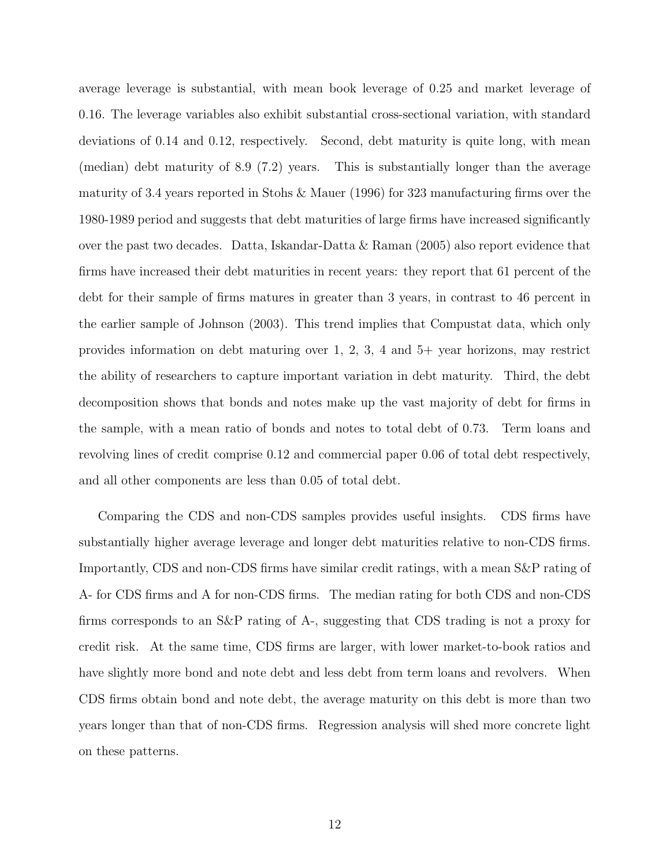average leverage is substantial, with mean book leverage of 0.25 and market leverage of 0.16. The leverage variables also exhibit substantial cross-sectional variation, with standard deviations of 0.14 and 0.12, respectively. Second, debt maturity is quite long, with mean (median) debt maturity of 8.9 (7.2) years. This is substantially longer than the average maturity of 3.4 years reported in Stohs & Mauer (1996) for 323 manufacturing firms over the 1980-1989 period and suggests that debt maturities of large firms have increased significantly over the past two decades. Datta, Iskandar-Datta & Raman (2005) also report evidence that firms have increased their debt maturities in recent years: they report that 61 percent of the debt for their sample of firms matures in greater than 3 years, in contrast to 46 percent in the earlier sample of Johnson (2003). This trend implies that Compustat data, which only provides information on debt maturing over 1, 2, 3, 4 and 5+ year horizons, may restrict the ability of researchers to capture important variation in debt maturity. Third, the debt decomposition shows that bonds and notes make up the vast majority of debt for firms in the sample, with a mean ratio of bonds and notes to total debt of 0.73. Term loans and revolving lines of credit comprise 0.12 and commercial paper 0.06 of total debt respectively, and all other components are less than 0.05 of total debt.

Comparing the CDS and non-CDS samples provides useful insights. CDS firms have substantially higher average leverage and longer debt maturities relative to non-CDS firms. Importantly, CDS and non-CDS firms have similar credit ratings, with a mean S&P rating of A- for CDS firms and A for non-CDS firms. The median rating for both CDS and non-CDS firms corresponds to an S&P rating of A-, suggesting that CDS trading is not a proxy for credit risk. At the same time, CDS firms are larger, with lower market-to-book ratios and have slightly more bond and note debt and less debt from term loans and revolvers. When CDS firms obtain bond and note debt, the average maturity on this debt is more than two years longer than that of non-CDS firms. Regression analysis will shed more concrete light on these patterns.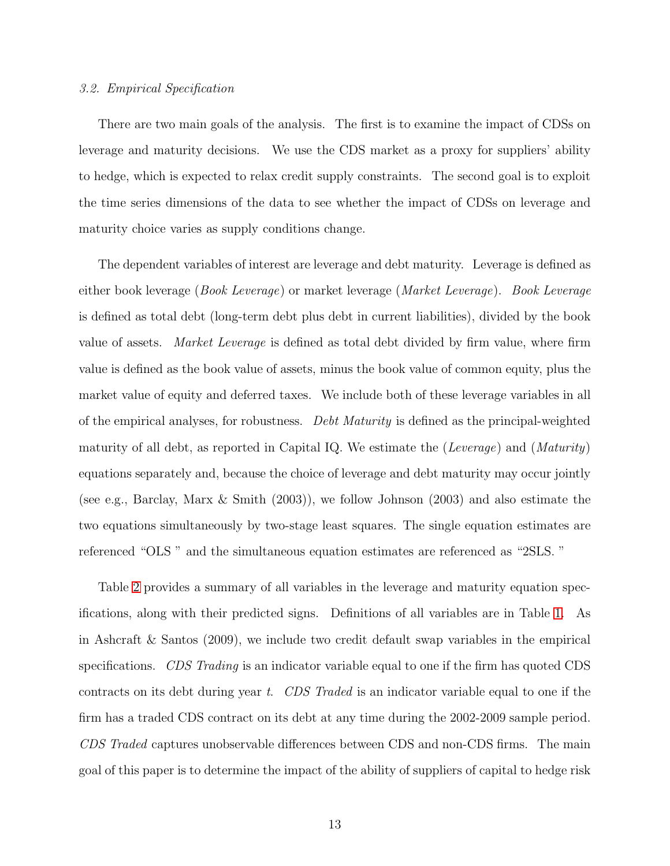### *3.2. Empirical Specification*

There are two main goals of the analysis. The first is to examine the impact of CDSs on leverage and maturity decisions. We use the CDS market as a proxy for suppliers' ability to hedge, which is expected to relax credit supply constraints. The second goal is to exploit the time series dimensions of the data to see whether the impact of CDSs on leverage and maturity choice varies as supply conditions change.

The dependent variables of interest are leverage and debt maturity. Leverage is defined as either book leverage (*Book Leverage*) or market leverage (*Market Leverage*). *Book Leverage* is defined as total debt (long-term debt plus debt in current liabilities), divided by the book value of assets. *Market Leverage* is defined as total debt divided by firm value, where firm value is defined as the book value of assets, minus the book value of common equity, plus the market value of equity and deferred taxes. We include both of these leverage variables in all of the empirical analyses, for robustness. *Debt Maturity* is defined as the principal-weighted maturity of all debt, as reported in Capital IQ. We estimate the (*Leverage*) and (*Maturity*) equations separately and, because the choice of leverage and debt maturity may occur jointly (see e.g., Barclay, Marx & Smith (2003)), we follow Johnson (2003) and also estimate the two equations simultaneously by two-stage least squares. The single equation estimates are referenced "OLS " and the simultaneous equation estimates are referenced as "2SLS. "

Table [2](#page-42-0) provides a summary of all variables in the leverage and maturity equation specifications, along with their predicted signs. Definitions of all variables are in Table [1.](#page-40-0) As in Ashcraft & Santos (2009), we include two credit default swap variables in the empirical specifications. *CDS Trading* is an indicator variable equal to one if the firm has quoted CDS contracts on its debt during year *t*. *CDS Traded* is an indicator variable equal to one if the firm has a traded CDS contract on its debt at any time during the 2002-2009 sample period. *CDS Traded* captures unobservable differences between CDS and non-CDS firms. The main goal of this paper is to determine the impact of the ability of suppliers of capital to hedge risk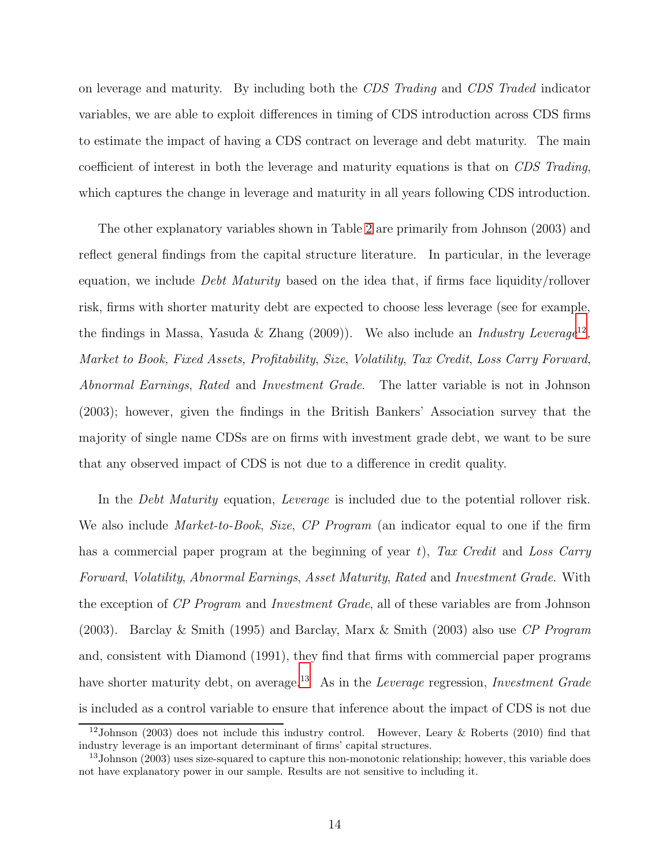on leverage and maturity. By including both the *CDS Trading* and *CDS Traded* indicator variables, we are able to exploit differences in timing of CDS introduction across CDS firms to estimate the impact of having a CDS contract on leverage and debt maturity. The main coefficient of interest in both the leverage and maturity equations is that on *CDS Trading*, which captures the change in leverage and maturity in all years following CDS introduction.

The other explanatory variables shown in Table [2](#page-42-0) are primarily from Johnson (2003) and reflect general findings from the capital structure literature. In particular, in the leverage equation, we include *Debt Maturity* based on the idea that, if firms face liquidity/rollover risk, firms with shorter maturity debt are expected to choose less leverage (see for example, the findings in Massa, Yasuda & Zhang (2009)). We also include an *Industry Leverage*<sup>12</sup>, *Market to Book, Fixed Assets, Profitability*, *Size*, *Volatility*, *Tax Credit*, *Loss Carry Forward*, *Abnormal Earnings*, *Rated* and *Investment Grade*. The latter variable is not in Johnson (2003); however, given the findings in the British Bankers' Association survey that the majority of single name CDSs are on firms with investment grade debt, we want to be sure that any observed impact of CDS is not due to a difference in credit quality.

In the *Debt Maturity* equation, *Leverage* is included due to the potential rollover risk. We also include *Market-to-Book*, *Size*, *CP Program* (an indicator equal to one if the firm has a commercial paper program at the beginning of year *t*), *Tax Credit* and *Loss Carry Forward*, *Volatility*, *Abnormal Earnings*, *Asset Maturity*, *Rated* and *Investment Grade*. With the exception of *CP Program* and *Investment Grade*, all of these variables are from Johnson (2003). Barclay & Smith (1995) and Barclay, Marx & Smith (2003) also use *CP Program* and, consistent with Diamond (1991), they find that firms with commercial paper programs have shorter maturity debt, on average.<sup>13</sup> As in the *Leverage* regression, *Investment Grade* is included as a control variable to ensure that inference about the impact of CDS is not due

<sup>12</sup>Johnson (2003) does not include this industry control. However, Leary & Roberts (2010) find that industry leverage is an important determinant of firms' capital structures.

 $13$ Johnson (2003) uses size-squared to capture this non-monotonic relationship; however, this variable does not have explanatory power in our sample. Results are not sensitive to including it.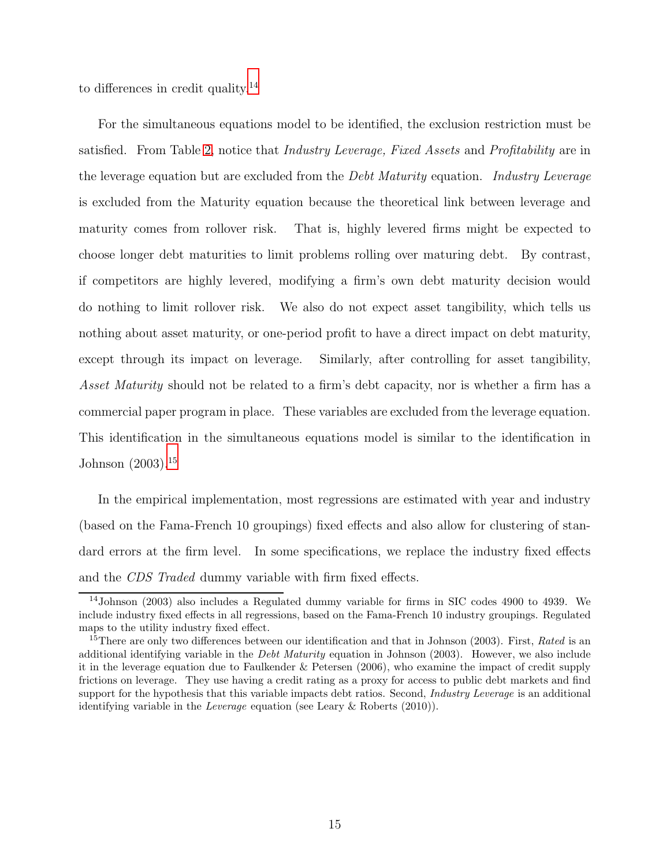to differences in credit quality.<sup>14</sup>

For the simultaneous equations model to be identified, the exclusion restriction must be satisfied. From Table [2,](#page-42-0) notice that *Industry Leverage, Fixed Assets* and *Profitability* are in the leverage equation but are excluded from the *Debt Maturity* equation. *Industry Leverage* is excluded from the Maturity equation because the theoretical link between leverage and maturity comes from rollover risk. That is, highly levered firms might be expected to choose longer debt maturities to limit problems rolling over maturing debt. By contrast, if competitors are highly levered, modifying a firm's own debt maturity decision would do nothing to limit rollover risk. We also do not expect asset tangibility, which tells us nothing about asset maturity, or one-period profit to have a direct impact on debt maturity, except through its impact on leverage. Similarly, after controlling for asset tangibility, *Asset Maturity* should not be related to a firm's debt capacity, nor is whether a firm has a commercial paper program in place. These variables are excluded from the leverage equation. This identification in the simultaneous equations model is similar to the identification in Johnson (2003).<sup>15</sup>

In the empirical implementation, most regressions are estimated with year and industry (based on the Fama-French 10 groupings) fixed effects and also allow for clustering of standard errors at the firm level. In some specifications, we replace the industry fixed effects and the *CDS Traded* dummy variable with firm fixed effects.

<sup>14</sup>Johnson (2003) also includes a Regulated dummy variable for firms in SIC codes 4900 to 4939. We include industry fixed effects in all regressions, based on the Fama-French 10 industry groupings. Regulated maps to the utility industry fixed effect.

<sup>&</sup>lt;sup>15</sup>There are only two differences between our identification and that in Johnson (2003). First, Rated is an additional identifying variable in the *Debt Maturity* equation in Johnson (2003). However, we also include it in the leverage equation due to Faulkender & Petersen (2006), who examine the impact of credit supply frictions on leverage. They use having a credit rating as a proxy for access to public debt markets and find support for the hypothesis that this variable impacts debt ratios. Second, *Industry Leverage* is an additional identifying variable in the *Leverage* equation (see Leary  $\&$  Roberts (2010)).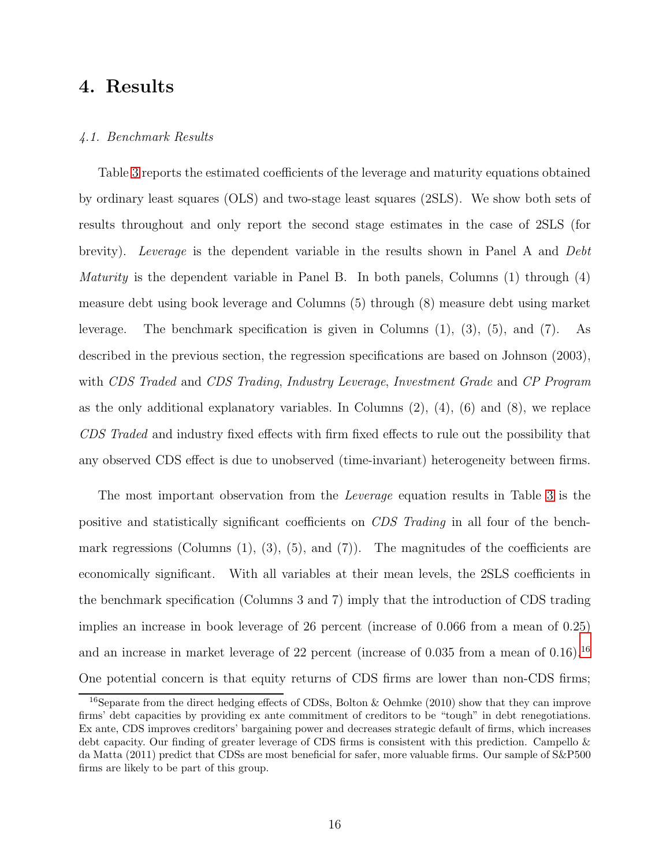# 4. Results

### *4.1. Benchmark Results*

Table [3](#page-44-0) reports the estimated coefficients of the leverage and maturity equations obtained by ordinary least squares (OLS) and two-stage least squares (2SLS). We show both sets of results throughout and only report the second stage estimates in the case of 2SLS (for brevity). *Leverage* is the dependent variable in the results shown in Panel A and *Debt Maturity* is the dependent variable in Panel B. In both panels, Columns (1) through (4) measure debt using book leverage and Columns (5) through (8) measure debt using market leverage. The benchmark specification is given in Columns (1), (3), (5), and (7). As described in the previous section, the regression specifications are based on Johnson (2003), with *CDS Traded* and *CDS Trading*, *Industry Leverage*, *Investment Grade* and *CP Program* as the only additional explanatory variables. In Columns (2), (4), (6) and (8), we replace *CDS Traded* and industry fixed effects with firm fixed effects to rule out the possibility that any observed CDS effect is due to unobserved (time-invariant) heterogeneity between firms.

The most important observation from the *Leverage* equation results in Table [3](#page-44-0) is the positive and statistically significant coefficients on *CDS Trading* in all four of the benchmark regressions (Columns  $(1), (3), (5),$  and  $(7)$ ). The magnitudes of the coefficients are economically significant. With all variables at their mean levels, the 2SLS coefficients in the benchmark specification (Columns 3 and 7) imply that the introduction of CDS trading implies an increase in book leverage of 26 percent (increase of 0.066 from a mean of 0.25) and an increase in market leverage of 22 percent (increase of  $0.035$  from a mean of  $0.16$ ).<sup>16</sup> One potential concern is that equity returns of CDS firms are lower than non-CDS firms;

<sup>&</sup>lt;sup>16</sup>Separate from the direct hedging effects of CDSs, Bolton & Oehmke (2010) show that they can improve firms' debt capacities by providing ex ante commitment of creditors to be "tough" in debt renegotiations. Ex ante, CDS improves creditors' bargaining power and decreases strategic default of firms, which increases debt capacity. Our finding of greater leverage of CDS firms is consistent with this prediction. Campello & da Matta (2011) predict that CDSs are most beneficial for safer, more valuable firms. Our sample of S&P500 firms are likely to be part of this group.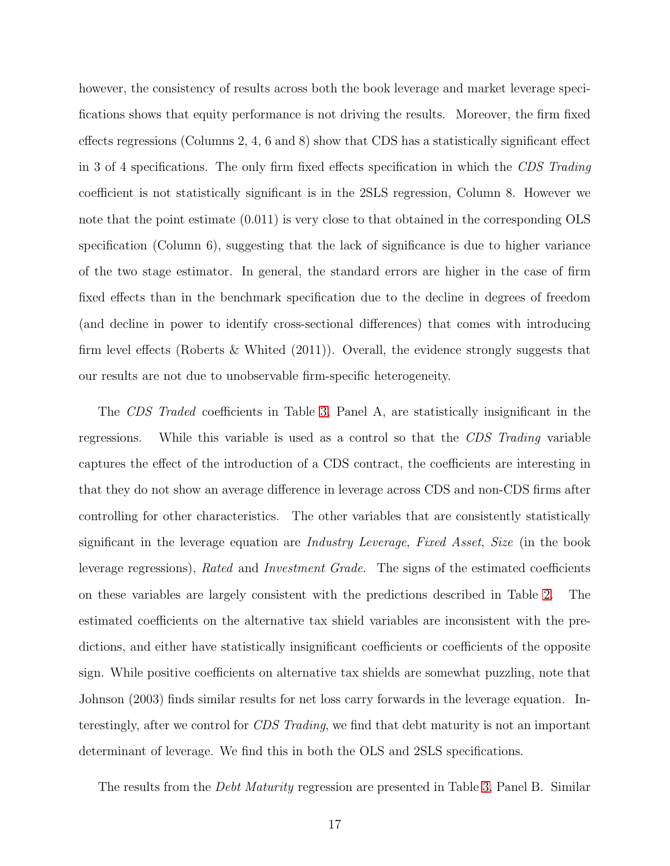however, the consistency of results across both the book leverage and market leverage specifications shows that equity performance is not driving the results. Moreover, the firm fixed effects regressions (Columns 2, 4, 6 and 8) show that CDS has a statistically significant effect in 3 of 4 specifications. The only firm fixed effects specification in which the *CDS Trading* coefficient is not statistically significant is in the 2SLS regression, Column 8. However we note that the point estimate (0.011) is very close to that obtained in the corresponding OLS specification (Column 6), suggesting that the lack of significance is due to higher variance of the two stage estimator. In general, the standard errors are higher in the case of firm fixed effects than in the benchmark specification due to the decline in degrees of freedom (and decline in power to identify cross-sectional differences) that comes with introducing firm level effects (Roberts & Whited (2011)). Overall, the evidence strongly suggests that our results are not due to unobservable firm-specific heterogeneity.

The *CDS Traded* coefficients in Table [3,](#page-44-0) Panel A, are statistically insignificant in the regressions. While this variable is used as a control so that the *CDS Trading* variable captures the effect of the introduction of a CDS contract, the coefficients are interesting in that they do not show an average difference in leverage across CDS and non-CDS firms after controlling for other characteristics. The other variables that are consistently statistically significant in the leverage equation are *Industry Leverage*, *Fixed Asset*, *Size* (in the book leverage regressions), *Rated* and *Investment Grade*. The signs of the estimated coefficients on these variables are largely consistent with the predictions described in Table [2.](#page-42-0) The estimated coefficients on the alternative tax shield variables are inconsistent with the predictions, and either have statistically insignificant coefficients or coefficients of the opposite sign. While positive coefficients on alternative tax shields are somewhat puzzling, note that Johnson (2003) finds similar results for net loss carry forwards in the leverage equation. Interestingly, after we control for *CDS Trading*, we find that debt maturity is not an important determinant of leverage. We find this in both the OLS and 2SLS specifications.

The results from the *Debt Maturity* regression are presented in Table [3,](#page-44-0) Panel B. Similar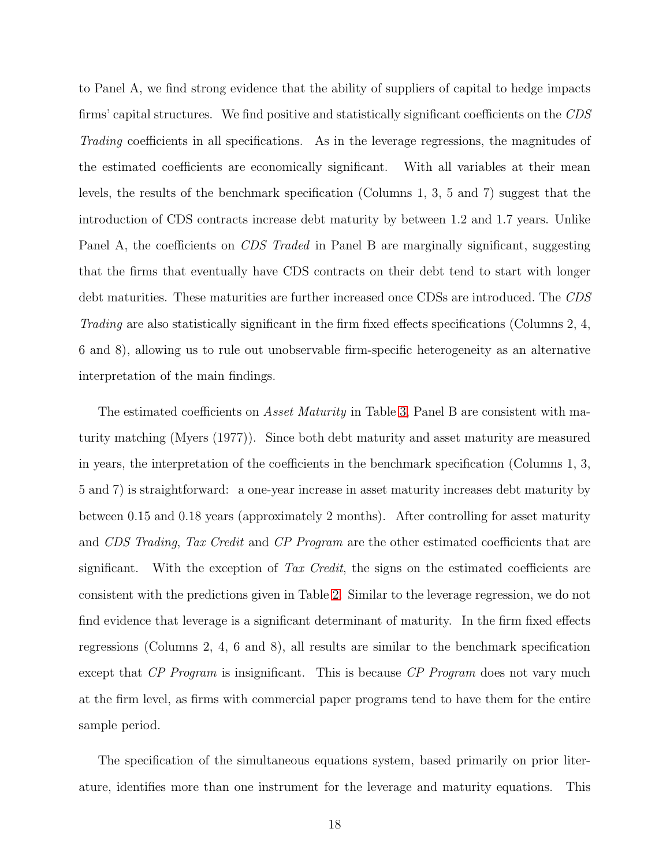to Panel A, we find strong evidence that the ability of suppliers of capital to hedge impacts firms' capital structures. We find positive and statistically significant coefficients on the *CDS Trading* coefficients in all specifications. As in the leverage regressions, the magnitudes of the estimated coefficients are economically significant. With all variables at their mean levels, the results of the benchmark specification (Columns 1, 3, 5 and 7) suggest that the introduction of CDS contracts increase debt maturity by between 1.2 and 1.7 years. Unlike Panel A, the coefficients on *CDS Traded* in Panel B are marginally significant, suggesting that the firms that eventually have CDS contracts on their debt tend to start with longer debt maturities. These maturities are further increased once CDSs are introduced. The *CDS Trading* are also statistically significant in the firm fixed effects specifications (Columns 2, 4, 6 and 8), allowing us to rule out unobservable firm-specific heterogeneity as an alternative interpretation of the main findings.

The estimated coefficients on *Asset Maturity* in Table [3,](#page-44-0) Panel B are consistent with maturity matching (Myers (1977)). Since both debt maturity and asset maturity are measured in years, the interpretation of the coefficients in the benchmark specification (Columns 1, 3, 5 and 7) is straightforward: a one-year increase in asset maturity increases debt maturity by between 0.15 and 0.18 years (approximately 2 months). After controlling for asset maturity and *CDS Trading*, *Tax Credit* and *CP Program* are the other estimated coefficients that are significant. With the exception of *Tax Credit*, the signs on the estimated coefficients are consistent with the predictions given in Table [2.](#page-42-0) Similar to the leverage regression, we do not find evidence that leverage is a significant determinant of maturity. In the firm fixed effects regressions (Columns 2, 4, 6 and 8), all results are similar to the benchmark specification except that *CP Program* is insignificant. This is because *CP Program* does not vary much at the firm level, as firms with commercial paper programs tend to have them for the entire sample period.

The specification of the simultaneous equations system, based primarily on prior literature, identifies more than one instrument for the leverage and maturity equations. This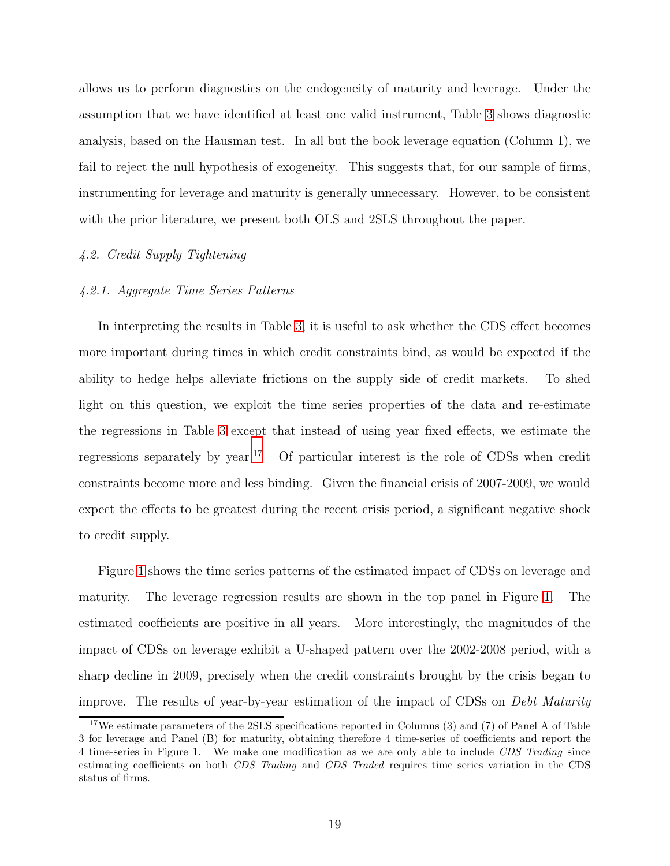allows us to perform diagnostics on the endogeneity of maturity and leverage. Under the assumption that we have identified at least one valid instrument, Table [3](#page-44-0) shows diagnostic analysis, based on the Hausman test. In all but the book leverage equation (Column 1), we fail to reject the null hypothesis of exogeneity. This suggests that, for our sample of firms, instrumenting for leverage and maturity is generally unnecessary. However, to be consistent with the prior literature, we present both OLS and 2SLS throughout the paper.

## *4.2. Credit Supply Tightening*

### *4.2.1. Aggregate Time Series Patterns*

In interpreting the results in Table [3,](#page-44-0) it is useful to ask whether the CDS effect becomes more important during times in which credit constraints bind, as would be expected if the ability to hedge helps alleviate frictions on the supply side of credit markets. To shed light on this question, we exploit the time series properties of the data and re-estimate the regressions in Table [3](#page-44-0) except that instead of using year fixed effects, we estimate the regressions separately by year.<sup>17</sup> Of particular interest is the role of CDSs when credit constraints become more and less binding. Given the financial crisis of 2007-2009, we would expect the effects to be greatest during the recent crisis period, a significant negative shock to credit supply.

Figure [1](#page-38-0) shows the time series patterns of the estimated impact of CDSs on leverage and maturity. The leverage regression results are shown in the top panel in Figure [1.](#page-38-0) The estimated coefficients are positive in all years. More interestingly, the magnitudes of the impact of CDSs on leverage exhibit a U-shaped pattern over the 2002-2008 period, with a sharp decline in 2009, precisely when the credit constraints brought by the crisis began to improve. The results of year-by-year estimation of the impact of CDSs on *Debt Maturity*

<sup>&</sup>lt;sup>17</sup>We estimate parameters of the 2SLS specifications reported in Columns (3) and (7) of Panel A of Table 3 for leverage and Panel (B) for maturity, obtaining therefore 4 time-series of coefficients and report the 4 time-series in Figure 1. We make one modification as we are only able to include CDS Trading since estimating coefficients on both CDS Trading and CDS Traded requires time series variation in the CDS status of firms.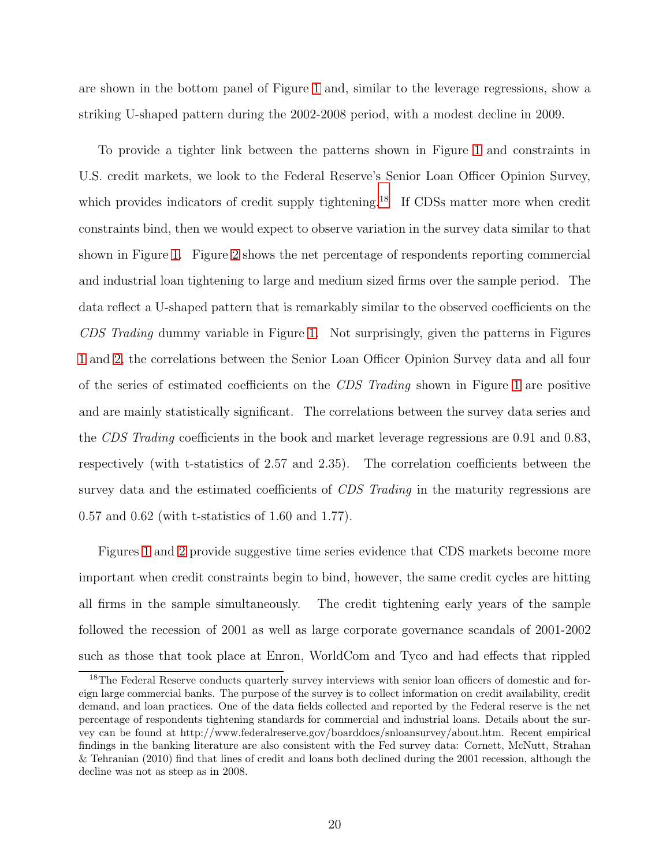are shown in the bottom panel of Figure [1](#page-38-0) and, similar to the leverage regressions, show a striking U-shaped pattern during the 2002-2008 period, with a modest decline in 2009.

To provide a tighter link between the patterns shown in Figure [1](#page-38-0) and constraints in U.S. credit markets, we look to the Federal Reserve's Senior Loan Officer Opinion Survey, which provides indicators of credit supply tightening.<sup>18</sup> If CDSs matter more when credit constraints bind, then we would expect to observe variation in the survey data similar to that shown in Figure [1.](#page-38-0) Figure [2](#page-39-0) shows the net percentage of respondents reporting commercial and industrial loan tightening to large and medium sized firms over the sample period. The data reflect a U-shaped pattern that is remarkably similar to the observed coefficients on the *CDS Trading* dummy variable in Figure [1.](#page-38-0) Not surprisingly, given the patterns in Figures [1](#page-38-0) and [2,](#page-39-0) the correlations between the Senior Loan Officer Opinion Survey data and all four of the series of estimated coefficients on the *CDS Trading* shown in Figure [1](#page-38-0) are positive and are mainly statistically significant. The correlations between the survey data series and the *CDS Trading* coefficients in the book and market leverage regressions are 0.91 and 0.83, respectively (with t-statistics of 2.57 and 2.35). The correlation coefficients between the survey data and the estimated coefficients of *CDS Trading* in the maturity regressions are 0.57 and 0.62 (with t-statistics of 1.60 and 1.77).

Figures [1](#page-38-0) and [2](#page-39-0) provide suggestive time series evidence that CDS markets become more important when credit constraints begin to bind, however, the same credit cycles are hitting all firms in the sample simultaneously. The credit tightening early years of the sample followed the recession of 2001 as well as large corporate governance scandals of 2001-2002 such as those that took place at Enron, WorldCom and Tyco and had effects that rippled

<sup>&</sup>lt;sup>18</sup>The Federal Reserve conducts quarterly survey interviews with senior loan officers of domestic and foreign large commercial banks. The purpose of the survey is to collect information on credit availability, credit demand, and loan practices. One of the data fields collected and reported by the Federal reserve is the net percentage of respondents tightening standards for commercial and industrial loans. Details about the survey can be found at http://www.federalreserve.gov/boarddocs/snloansurvey/about.htm. Recent empirical findings in the banking literature are also consistent with the Fed survey data: Cornett, McNutt, Strahan & Tehranian (2010) find that lines of credit and loans both declined during the 2001 recession, although the decline was not as steep as in 2008.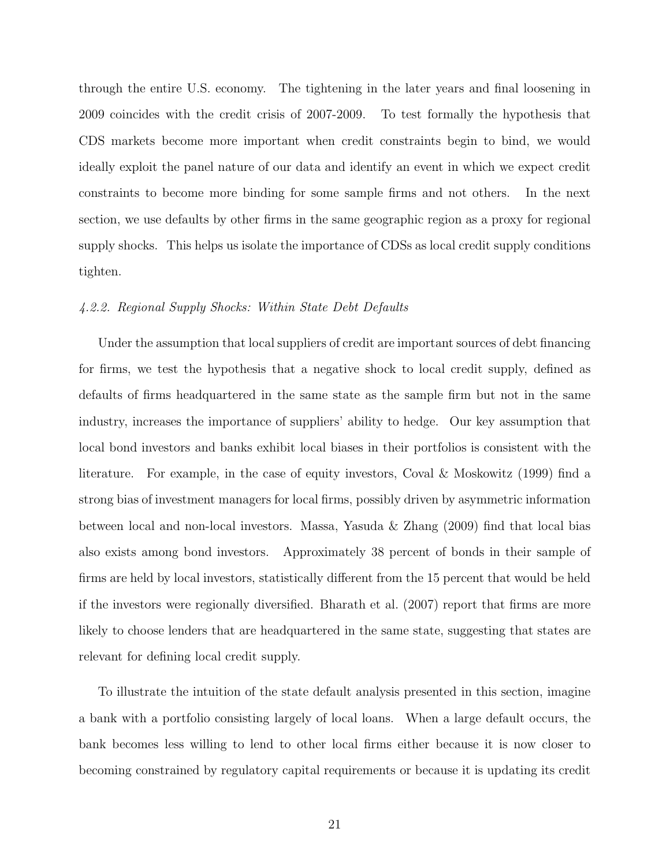through the entire U.S. economy. The tightening in the later years and final loosening in 2009 coincides with the credit crisis of 2007-2009. To test formally the hypothesis that CDS markets become more important when credit constraints begin to bind, we would ideally exploit the panel nature of our data and identify an event in which we expect credit constraints to become more binding for some sample firms and not others. In the next section, we use defaults by other firms in the same geographic region as a proxy for regional supply shocks. This helps us isolate the importance of CDSs as local credit supply conditions tighten.

### *4.2.2. Regional Supply Shocks: Within State Debt Defaults*

Under the assumption that local suppliers of credit are important sources of debt financing for firms, we test the hypothesis that a negative shock to local credit supply, defined as defaults of firms headquartered in the same state as the sample firm but not in the same industry, increases the importance of suppliers' ability to hedge. Our key assumption that local bond investors and banks exhibit local biases in their portfolios is consistent with the literature. For example, in the case of equity investors, Coval & Moskowitz (1999) find a strong bias of investment managers for local firms, possibly driven by asymmetric information between local and non-local investors. Massa, Yasuda & Zhang (2009) find that local bias also exists among bond investors. Approximately 38 percent of bonds in their sample of firms are held by local investors, statistically different from the 15 percent that would be held if the investors were regionally diversified. Bharath et al. (2007) report that firms are more likely to choose lenders that are headquartered in the same state, suggesting that states are relevant for defining local credit supply.

To illustrate the intuition of the state default analysis presented in this section, imagine a bank with a portfolio consisting largely of local loans. When a large default occurs, the bank becomes less willing to lend to other local firms either because it is now closer to becoming constrained by regulatory capital requirements or because it is updating its credit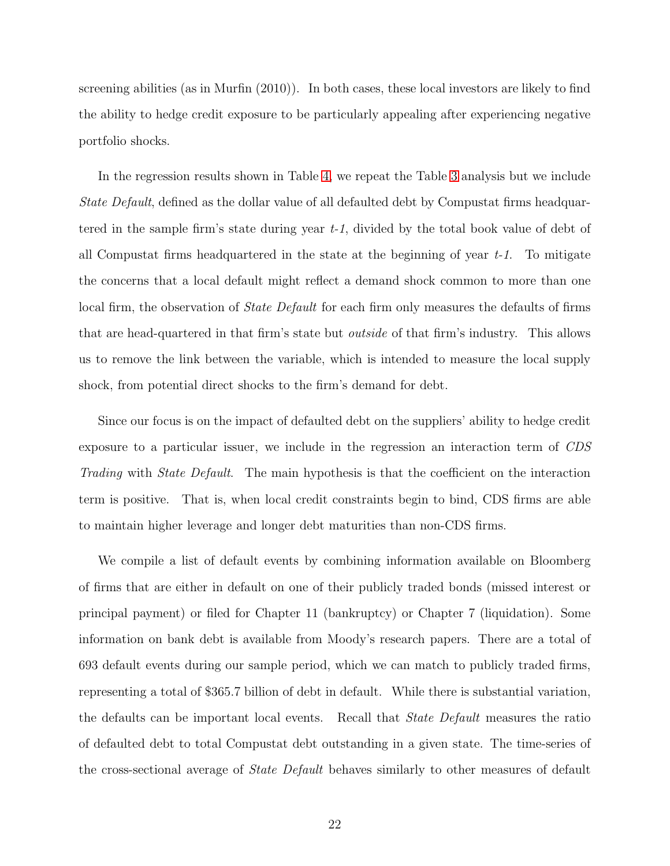screening abilities (as in Murfin (2010)). In both cases, these local investors are likely to find the ability to hedge credit exposure to be particularly appealing after experiencing negative portfolio shocks.

In the regression results shown in Table [4,](#page-46-0) we repeat the Table [3](#page-44-0) analysis but we include *State Default*, defined as the dollar value of all defaulted debt by Compustat firms headquartered in the sample firm's state during year *t-1*, divided by the total book value of debt of all Compustat firms headquartered in the state at the beginning of year *t-1*. To mitigate the concerns that a local default might reflect a demand shock common to more than one local firm, the observation of *State Default* for each firm only measures the defaults of firms that are head-quartered in that firm's state but *outside* of that firm's industry. This allows us to remove the link between the variable, which is intended to measure the local supply shock, from potential direct shocks to the firm's demand for debt.

Since our focus is on the impact of defaulted debt on the suppliers' ability to hedge credit exposure to a particular issuer, we include in the regression an interaction term of *CDS Trading* with *State Default*. The main hypothesis is that the coefficient on the interaction term is positive. That is, when local credit constraints begin to bind, CDS firms are able to maintain higher leverage and longer debt maturities than non-CDS firms.

We compile a list of default events by combining information available on Bloomberg of firms that are either in default on one of their publicly traded bonds (missed interest or principal payment) or filed for Chapter 11 (bankruptcy) or Chapter 7 (liquidation). Some information on bank debt is available from Moody's research papers. There are a total of 693 default events during our sample period, which we can match to publicly traded firms, representing a total of \$365.7 billion of debt in default. While there is substantial variation, the defaults can be important local events. Recall that *State Default* measures the ratio of defaulted debt to total Compustat debt outstanding in a given state. The time-series of the cross-sectional average of *State Default* behaves similarly to other measures of default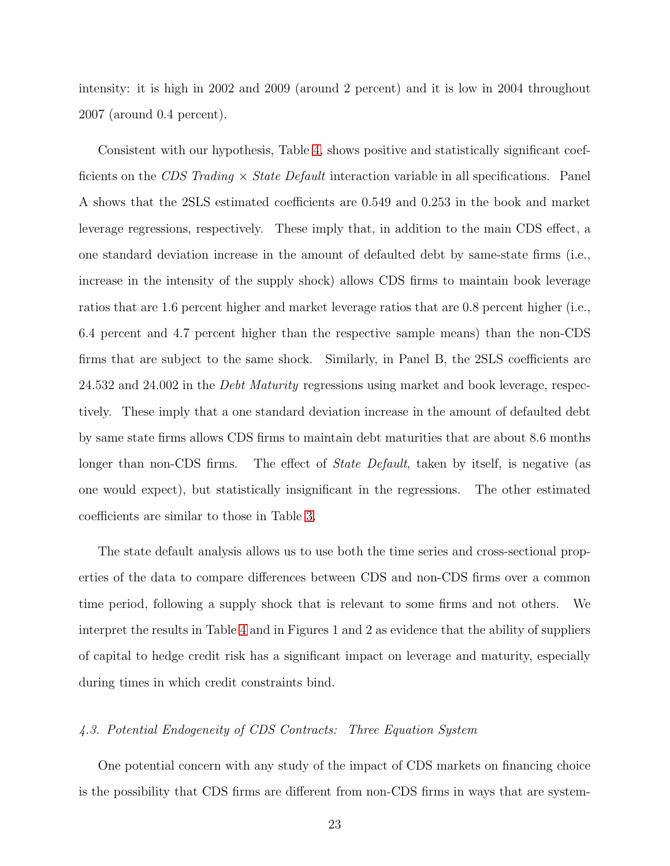intensity: it is high in 2002 and 2009 (around 2 percent) and it is low in 2004 throughout 2007 (around 0.4 percent).

Consistent with our hypothesis, Table [4,](#page-46-0) shows positive and statistically significant coefficients on the *CDS Trading* × *State Default* interaction variable in all specifications. Panel A shows that the 2SLS estimated coefficients are 0.549 and 0.253 in the book and market leverage regressions, respectively. These imply that, in addition to the main CDS effect, a one standard deviation increase in the amount of defaulted debt by same-state firms (i.e., increase in the intensity of the supply shock) allows CDS firms to maintain book leverage ratios that are 1.6 percent higher and market leverage ratios that are 0.8 percent higher (i.e., 6.4 percent and 4.7 percent higher than the respective sample means) than the non-CDS firms that are subject to the same shock. Similarly, in Panel B, the 2SLS coefficients are 24.532 and 24.002 in the *Debt Maturity* regressions using market and book leverage, respectively. These imply that a one standard deviation increase in the amount of defaulted debt by same state firms allows CDS firms to maintain debt maturities that are about 8.6 months longer than non-CDS firms. The effect of *State Default*, taken by itself, is negative (as one would expect), but statistically insignificant in the regressions. The other estimated coefficients are similar to those in Table [3.](#page-44-0)

The state default analysis allows us to use both the time series and cross-sectional properties of the data to compare differences between CDS and non-CDS firms over a common time period, following a supply shock that is relevant to some firms and not others. We interpret the results in Table [4](#page-46-0) and in Figures 1 and 2 as evidence that the ability of suppliers of capital to hedge credit risk has a significant impact on leverage and maturity, especially during times in which credit constraints bind.

# *4.3. Potential Endogeneity of CDS Contracts: Three Equation System*

One potential concern with any study of the impact of CDS markets on financing choice is the possibility that CDS firms are different from non-CDS firms in ways that are system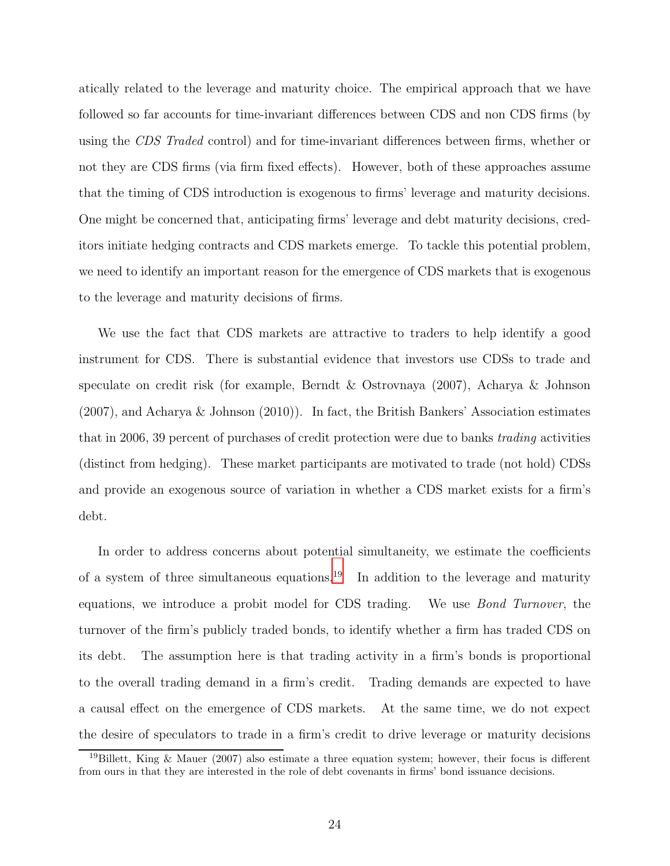atically related to the leverage and maturity choice. The empirical approach that we have followed so far accounts for time-invariant differences between CDS and non CDS firms (by using the *CDS Traded* control) and for time-invariant differences between firms, whether or not they are CDS firms (via firm fixed effects). However, both of these approaches assume that the timing of CDS introduction is exogenous to firms' leverage and maturity decisions. One might be concerned that, anticipating firms' leverage and debt maturity decisions, creditors initiate hedging contracts and CDS markets emerge. To tackle this potential problem, we need to identify an important reason for the emergence of CDS markets that is exogenous to the leverage and maturity decisions of firms.

We use the fact that CDS markets are attractive to traders to help identify a good instrument for CDS. There is substantial evidence that investors use CDSs to trade and speculate on credit risk (for example, Berndt & Ostrovnaya (2007), Acharya & Johnson (2007), and Acharya & Johnson (2010)). In fact, the British Bankers' Association estimates that in 2006, 39 percent of purchases of credit protection were due to banks *trading* activities (distinct from hedging). These market participants are motivated to trade (not hold) CDSs and provide an exogenous source of variation in whether a CDS market exists for a firm's debt.

In order to address concerns about potential simultaneity, we estimate the coefficients of a system of three simultaneous equations.<sup>19</sup> In addition to the leverage and maturity equations, we introduce a probit model for CDS trading. We use *Bond Turnover*, the turnover of the firm's publicly traded bonds, to identify whether a firm has traded CDS on its debt. The assumption here is that trading activity in a firm's bonds is proportional to the overall trading demand in a firm's credit. Trading demands are expected to have a causal effect on the emergence of CDS markets. At the same time, we do not expect the desire of speculators to trade in a firm's credit to drive leverage or maturity decisions

<sup>&</sup>lt;sup>19</sup>Billett, King & Mauer (2007) also estimate a three equation system; however, their focus is different from ours in that they are interested in the role of debt covenants in firms' bond issuance decisions.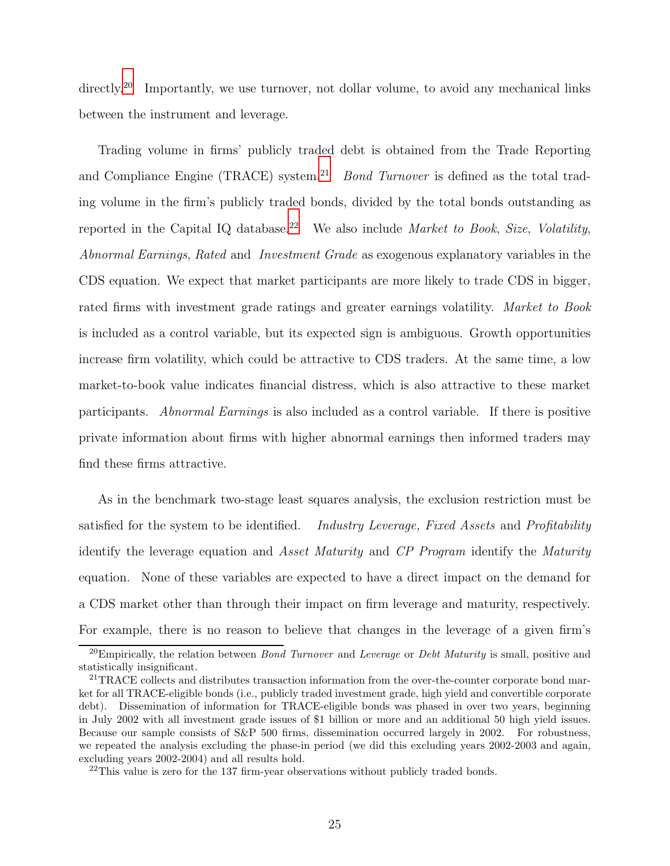directly.<sup>20</sup> Importantly, we use turnover, not dollar volume, to avoid any mechanical links between the instrument and leverage.

Trading volume in firms' publicly traded debt is obtained from the Trade Reporting and Compliance Engine (TRACE) system.<sup>21</sup> *Bond Turnover* is defined as the total trading volume in the firm's publicly traded bonds, divided by the total bonds outstanding as reported in the Capital IQ database.<sup>22</sup> We also include *Market to Book*, *Size*, *Volatility*, *Abnormal Earnings*, *Rated* and *Investment Grade* as exogenous explanatory variables in the CDS equation. We expect that market participants are more likely to trade CDS in bigger, rated firms with investment grade ratings and greater earnings volatility. *Market to Book* is included as a control variable, but its expected sign is ambiguous. Growth opportunities increase firm volatility, which could be attractive to CDS traders. At the same time, a low market-to-book value indicates financial distress, which is also attractive to these market participants. *Abnormal Earnings* is also included as a control variable. If there is positive private information about firms with higher abnormal earnings then informed traders may find these firms attractive.

As in the benchmark two-stage least squares analysis, the exclusion restriction must be satisfied for the system to be identified. *Industry Leverage, Fixed Assets* and *Profitability* identify the leverage equation and *Asset Maturity* and *CP Program* identify the *Maturity* equation. None of these variables are expected to have a direct impact on the demand for a CDS market other than through their impact on firm leverage and maturity, respectively. For example, there is no reason to believe that changes in the leverage of a given firm's

 $^{20}$ Empirically, the relation between *Bond Turnover* and *Leverage* or *Debt Maturity* is small, positive and statistically insignificant.

 $^{21}$ TRACE collects and distributes transaction information from the over-the-counter corporate bond market for all TRACE-eligible bonds (i.e., publicly traded investment grade, high yield and convertible corporate debt). Dissemination of information for TRACE-eligible bonds was phased in over two years, beginning in July 2002 with all investment grade issues of \$1 billion or more and an additional 50 high yield issues. Because our sample consists of S&P 500 firms, dissemination occurred largely in 2002. For robustness, we repeated the analysis excluding the phase-in period (we did this excluding years 2002-2003 and again, excluding years 2002-2004) and all results hold.

 $^{22}$ This value is zero for the 137 firm-year observations without publicly traded bonds.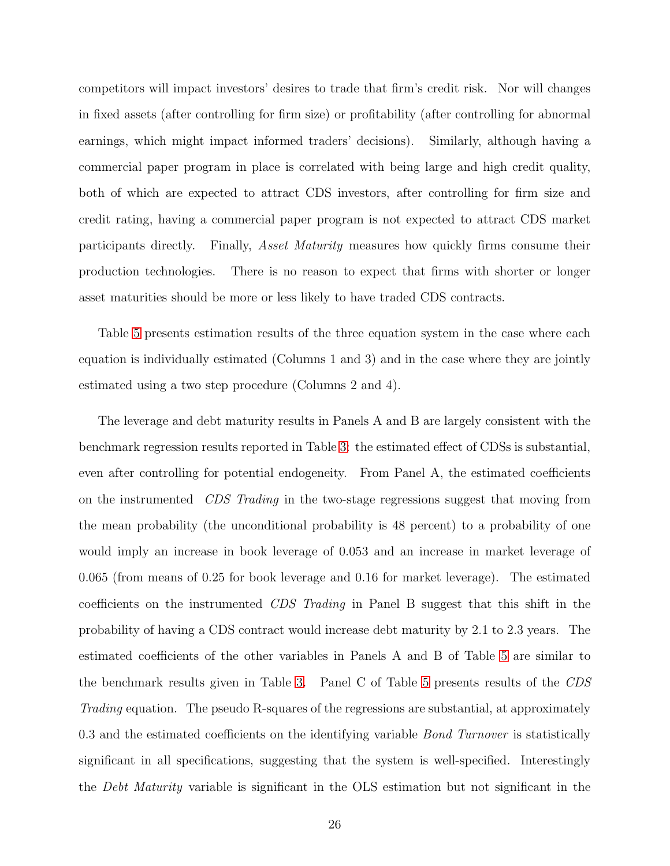competitors will impact investors' desires to trade that firm's credit risk. Nor will changes in fixed assets (after controlling for firm size) or profitability (after controlling for abnormal earnings, which might impact informed traders' decisions). Similarly, although having a commercial paper program in place is correlated with being large and high credit quality, both of which are expected to attract CDS investors, after controlling for firm size and credit rating, having a commercial paper program is not expected to attract CDS market participants directly. Finally, *Asset Maturity* measures how quickly firms consume their production technologies. There is no reason to expect that firms with shorter or longer asset maturities should be more or less likely to have traded CDS contracts.

Table [5](#page-48-0) presents estimation results of the three equation system in the case where each equation is individually estimated (Columns 1 and 3) and in the case where they are jointly estimated using a two step procedure (Columns 2 and 4).

The leverage and debt maturity results in Panels A and B are largely consistent with the benchmark regression results reported in Table [3:](#page-44-0) the estimated effect of CDSs is substantial, even after controlling for potential endogeneity. From Panel A, the estimated coefficients on the instrumented *CDS Trading* in the two-stage regressions suggest that moving from the mean probability (the unconditional probability is 48 percent) to a probability of one would imply an increase in book leverage of 0.053 and an increase in market leverage of 0.065 (from means of 0.25 for book leverage and 0.16 for market leverage). The estimated coefficients on the instrumented *CDS Trading* in Panel B suggest that this shift in the probability of having a CDS contract would increase debt maturity by 2.1 to 2.3 years. The estimated coefficients of the other variables in Panels A and B of Table [5](#page-48-0) are similar to the benchmark results given in Table [3.](#page-44-0) Panel C of Table [5](#page-48-0) presents results of the *CDS Trading* equation. The pseudo R-squares of the regressions are substantial, at approximately 0.3 and the estimated coefficients on the identifying variable *Bond Turnover* is statistically significant in all specifications, suggesting that the system is well-specified. Interestingly the *Debt Maturity* variable is significant in the OLS estimation but not significant in the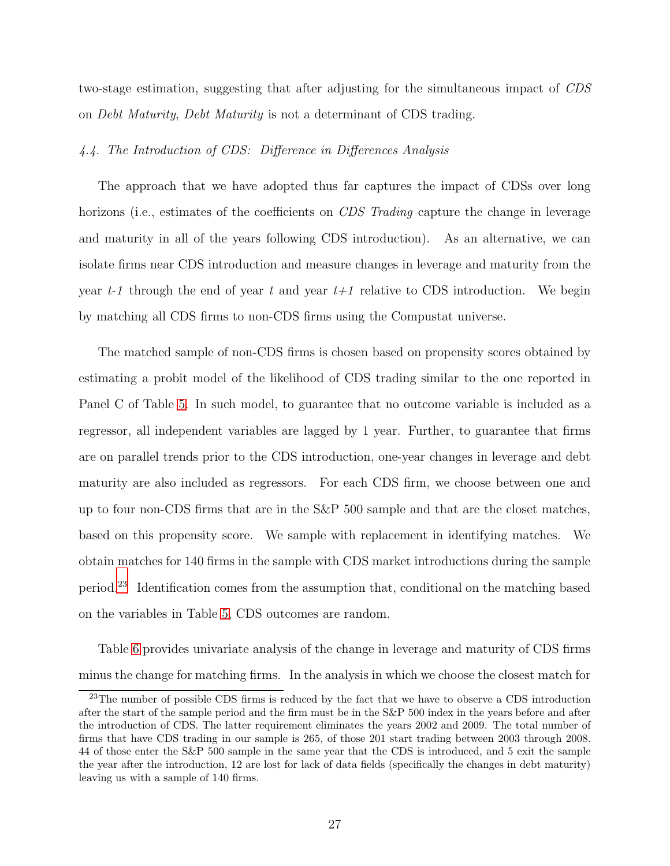two-stage estimation, suggesting that after adjusting for the simultaneous impact of *CDS* on *Debt Maturity*, *Debt Maturity* is not a determinant of CDS trading.

# *4.4. The Introduction of CDS: Difference in Differences Analysis*

The approach that we have adopted thus far captures the impact of CDSs over long horizons (i.e., estimates of the coefficients on *CDS Trading* capture the change in leverage and maturity in all of the years following CDS introduction). As an alternative, we can isolate firms near CDS introduction and measure changes in leverage and maturity from the year  $t-1$  through the end of year  $t$  and year  $t+1$  relative to CDS introduction. We begin by matching all CDS firms to non-CDS firms using the Compustat universe.

The matched sample of non-CDS firms is chosen based on propensity scores obtained by estimating a probit model of the likelihood of CDS trading similar to the one reported in Panel C of Table [5.](#page-48-0) In such model, to guarantee that no outcome variable is included as a regressor, all independent variables are lagged by 1 year. Further, to guarantee that firms are on parallel trends prior to the CDS introduction, one-year changes in leverage and debt maturity are also included as regressors. For each CDS firm, we choose between one and up to four non-CDS firms that are in the S&P 500 sample and that are the closet matches, based on this propensity score. We sample with replacement in identifying matches. We obtain matches for 140 firms in the sample with CDS market introductions during the sample period.<sup>23</sup> Identification comes from the assumption that, conditional on the matching based on the variables in Table [5,](#page-48-0) CDS outcomes are random.

Table [6](#page-51-0) provides univariate analysis of the change in leverage and maturity of CDS firms minus the change for matching firms. In the analysis in which we choose the closest match for

<sup>&</sup>lt;sup>23</sup>The number of possible CDS firms is reduced by the fact that we have to observe a CDS introduction after the start of the sample period and the firm must be in the S&P 500 index in the years before and after the introduction of CDS. The latter requirement eliminates the years 2002 and 2009. The total number of firms that have CDS trading in our sample is 265, of those 201 start trading between 2003 through 2008. 44 of those enter the S&P 500 sample in the same year that the CDS is introduced, and 5 exit the sample the year after the introduction, 12 are lost for lack of data fields (specifically the changes in debt maturity) leaving us with a sample of 140 firms.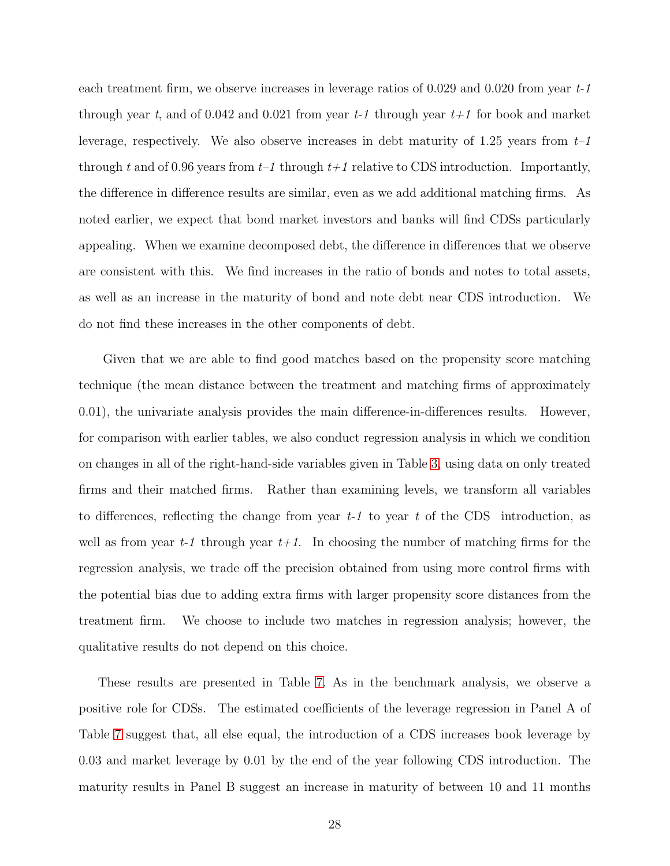each treatment firm, we observe increases in leverage ratios of 0.029 and 0.020 from year *t-1* through year *t*, and of 0.042 and 0.021 from year  $t-1$  through year  $t+1$  for book and market leverage, respectively. We also observe increases in debt maturity of 1.25 years from *t–1* through t and of 0.96 years from  $t-1$  through  $t+1$  relative to CDS introduction. Importantly, the difference in difference results are similar, even as we add additional matching firms. As noted earlier, we expect that bond market investors and banks will find CDSs particularly appealing. When we examine decomposed debt, the difference in differences that we observe are consistent with this. We find increases in the ratio of bonds and notes to total assets, as well as an increase in the maturity of bond and note debt near CDS introduction. We do not find these increases in the other components of debt.

Given that we are able to find good matches based on the propensity score matching technique (the mean distance between the treatment and matching firms of approximately 0.01), the univariate analysis provides the main difference-in-differences results. However, for comparison with earlier tables, we also conduct regression analysis in which we condition on changes in all of the right-hand-side variables given in Table [3,](#page-44-0) using data on only treated firms and their matched firms. Rather than examining levels, we transform all variables to differences, reflecting the change from year *t-1* to year *t* of the CDS introduction, as well as from year  $t-1$  through year  $t+1$ . In choosing the number of matching firms for the regression analysis, we trade off the precision obtained from using more control firms with the potential bias due to adding extra firms with larger propensity score distances from the treatment firm. We choose to include two matches in regression analysis; however, the qualitative results do not depend on this choice.

These results are presented in Table [7.](#page-52-0) As in the benchmark analysis, we observe a positive role for CDSs. The estimated coefficients of the leverage regression in Panel A of Table [7](#page-52-0) suggest that, all else equal, the introduction of a CDS increases book leverage by 0.03 and market leverage by 0.01 by the end of the year following CDS introduction. The maturity results in Panel B suggest an increase in maturity of between 10 and 11 months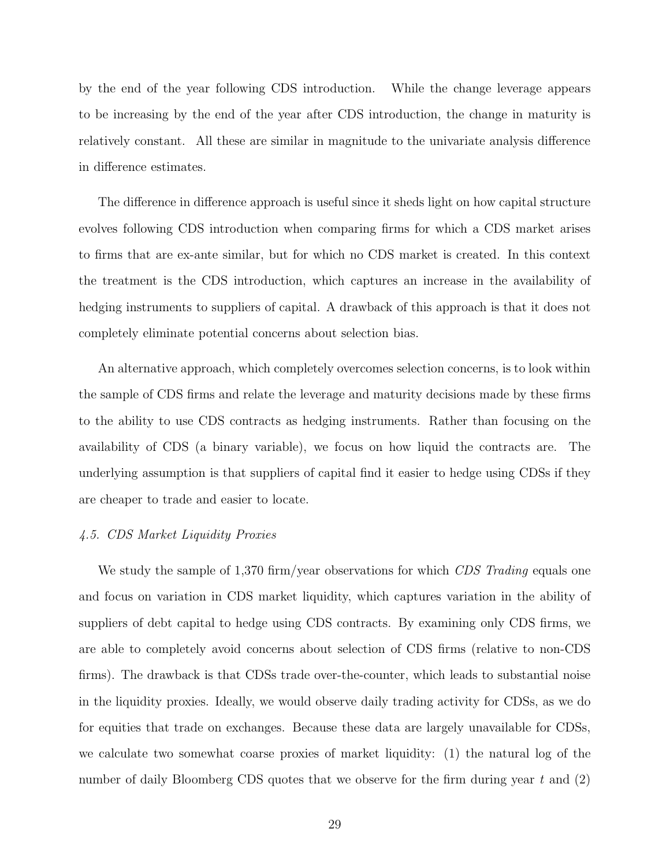by the end of the year following CDS introduction. While the change leverage appears to be increasing by the end of the year after CDS introduction, the change in maturity is relatively constant. All these are similar in magnitude to the univariate analysis difference in difference estimates.

The difference in difference approach is useful since it sheds light on how capital structure evolves following CDS introduction when comparing firms for which a CDS market arises to firms that are ex-ante similar, but for which no CDS market is created. In this context the treatment is the CDS introduction, which captures an increase in the availability of hedging instruments to suppliers of capital. A drawback of this approach is that it does not completely eliminate potential concerns about selection bias.

An alternative approach, which completely overcomes selection concerns, is to look within the sample of CDS firms and relate the leverage and maturity decisions made by these firms to the ability to use CDS contracts as hedging instruments. Rather than focusing on the availability of CDS (a binary variable), we focus on how liquid the contracts are. The underlying assumption is that suppliers of capital find it easier to hedge using CDSs if they are cheaper to trade and easier to locate.

## *4.5. CDS Market Liquidity Proxies*

We study the sample of 1,370 firm/year observations for which *CDS Trading* equals one and focus on variation in CDS market liquidity, which captures variation in the ability of suppliers of debt capital to hedge using CDS contracts. By examining only CDS firms, we are able to completely avoid concerns about selection of CDS firms (relative to non-CDS firms). The drawback is that CDSs trade over-the-counter, which leads to substantial noise in the liquidity proxies. Ideally, we would observe daily trading activity for CDSs, as we do for equities that trade on exchanges. Because these data are largely unavailable for CDSs, we calculate two somewhat coarse proxies of market liquidity: (1) the natural log of the number of daily Bloomberg CDS quotes that we observe for the firm during year *t* and (2)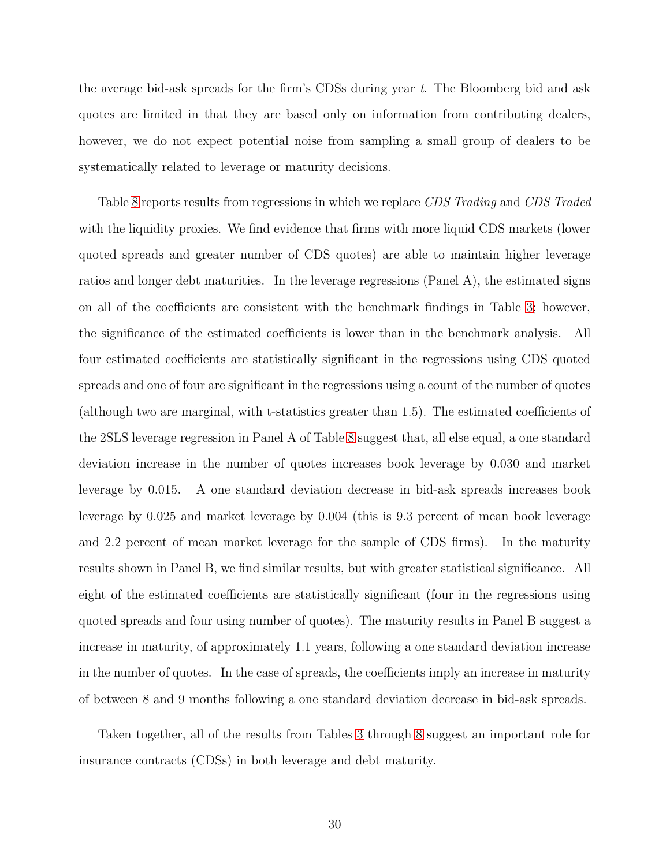the average bid-ask spreads for the firm's CDSs during year *t*. The Bloomberg bid and ask quotes are limited in that they are based only on information from contributing dealers, however, we do not expect potential noise from sampling a small group of dealers to be systematically related to leverage or maturity decisions.

Table [8](#page-54-0) reports results from regressions in which we replace *CDS Trading* and *CDS Traded* with the liquidity proxies. We find evidence that firms with more liquid CDS markets (lower quoted spreads and greater number of CDS quotes) are able to maintain higher leverage ratios and longer debt maturities. In the leverage regressions (Panel A), the estimated signs on all of the coefficients are consistent with the benchmark findings in Table [3;](#page-44-0) however, the significance of the estimated coefficients is lower than in the benchmark analysis. All four estimated coefficients are statistically significant in the regressions using CDS quoted spreads and one of four are significant in the regressions using a count of the number of quotes (although two are marginal, with t-statistics greater than 1.5). The estimated coefficients of the 2SLS leverage regression in Panel A of Table [8](#page-54-0) suggest that, all else equal, a one standard deviation increase in the number of quotes increases book leverage by 0.030 and market leverage by 0.015. A one standard deviation decrease in bid-ask spreads increases book leverage by 0.025 and market leverage by 0.004 (this is 9.3 percent of mean book leverage and 2.2 percent of mean market leverage for the sample of CDS firms). In the maturity results shown in Panel B, we find similar results, but with greater statistical significance. All eight of the estimated coefficients are statistically significant (four in the regressions using quoted spreads and four using number of quotes). The maturity results in Panel B suggest a increase in maturity, of approximately 1.1 years, following a one standard deviation increase in the number of quotes. In the case of spreads, the coefficients imply an increase in maturity of between 8 and 9 months following a one standard deviation decrease in bid-ask spreads.

Taken together, all of the results from Tables [3](#page-44-0) through [8](#page-54-0) suggest an important role for insurance contracts (CDSs) in both leverage and debt maturity.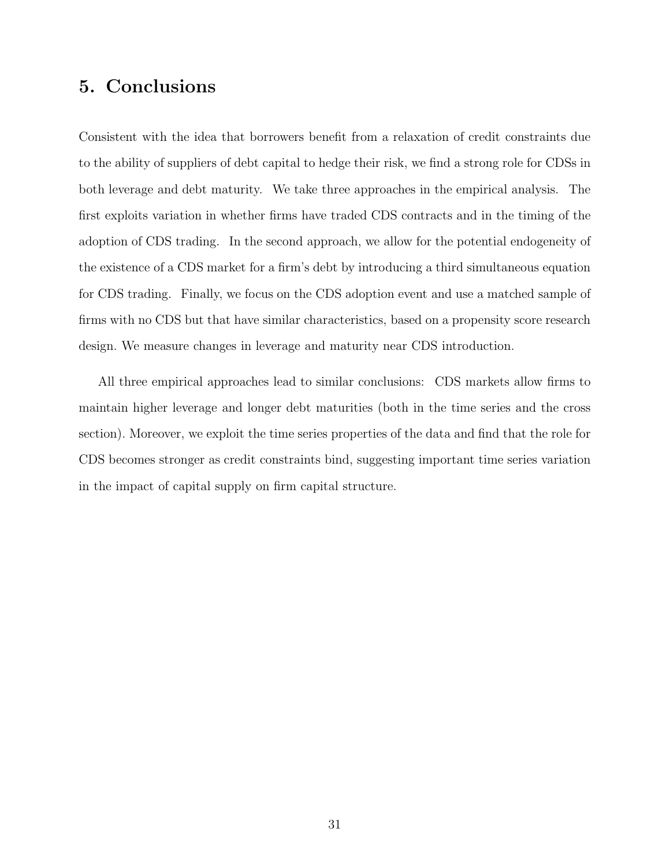# 5. Conclusions

Consistent with the idea that borrowers benefit from a relaxation of credit constraints due to the ability of suppliers of debt capital to hedge their risk, we find a strong role for CDSs in both leverage and debt maturity. We take three approaches in the empirical analysis. The first exploits variation in whether firms have traded CDS contracts and in the timing of the adoption of CDS trading. In the second approach, we allow for the potential endogeneity of the existence of a CDS market for a firm's debt by introducing a third simultaneous equation for CDS trading. Finally, we focus on the CDS adoption event and use a matched sample of firms with no CDS but that have similar characteristics, based on a propensity score research design. We measure changes in leverage and maturity near CDS introduction.

All three empirical approaches lead to similar conclusions: CDS markets allow firms to maintain higher leverage and longer debt maturities (both in the time series and the cross section). Moreover, we exploit the time series properties of the data and find that the role for CDS becomes stronger as credit constraints bind, suggesting important time series variation in the impact of capital supply on firm capital structure.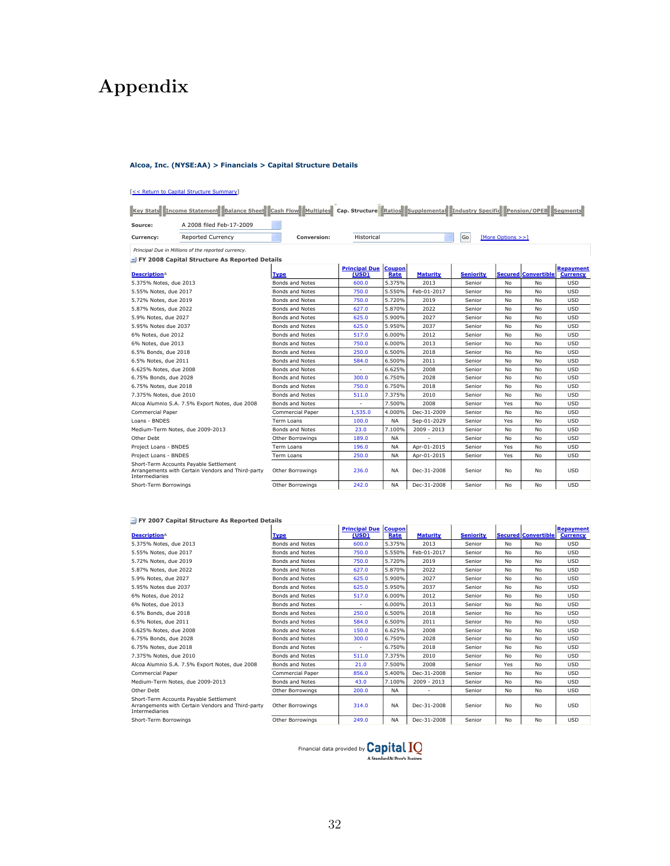# Appendix

#### **Alcoa, Inc. (NYSE:AA) > Financials > Capital Structure Details**

#### [<< Return to Capital Structure Summary]

|           |                                                     |                    |            |    | Key Stats   Income Statement   Balance Sheet   Cash Flow   Multiples   Cap. Structure   Ratios   Supplementa   Industry Specific   Pension/OPEB   Segments |
|-----------|-----------------------------------------------------|--------------------|------------|----|------------------------------------------------------------------------------------------------------------------------------------------------------------|
| Source:   | A 2008 filed Feb-17-2009                            |                    |            |    |                                                                                                                                                            |
| Currency: | <b>Reported Currency</b>                            | <b>Conversion:</b> | Historical | Go | [More Options >>]                                                                                                                                          |
|           | Principal Due in Millions of the reported currency. |                    |            |    |                                                                                                                                                            |

**FY 2008 Capital Structure As Reported Details** 

| <b>Description</b> <sup>*</sup>                                                                               | <b>Type</b>      | <b>Principal Due Coupon</b><br>(USD) | Rate      | <b>Maturity</b> | <b>Seniority</b> |           | Secured Convertible | <b>Repayment</b><br><b>Currency</b> |
|---------------------------------------------------------------------------------------------------------------|------------------|--------------------------------------|-----------|-----------------|------------------|-----------|---------------------|-------------------------------------|
| 5.375% Notes, due 2013                                                                                        | Bonds and Notes  | 600.0                                | 5.375%    | 2013            | Senior           | No        | No.                 | <b>USD</b>                          |
| 5.55% Notes, due 2017                                                                                         | Bonds and Notes  | 750.0                                | 5.550%    | Feb-01-2017     | Senior           | No        | No                  | USD                                 |
| 5.72% Notes, due 2019                                                                                         | Bonds and Notes  | 750.0                                | 5.720%    | 2019            | Senior           | <b>No</b> | No                  | USD                                 |
| 5.87% Notes, due 2022                                                                                         | Bonds and Notes  | 627.0                                | 5.870%    | 2022            | Senior           | <b>No</b> | No                  | USD                                 |
| 5.9% Notes, due 2027                                                                                          | Bonds and Notes  | 625.0                                | 5.900%    | 2027            | Senior           | No        | No                  | <b>USD</b>                          |
| 5.95% Notes due 2037                                                                                          | Bonds and Notes  | 625.0                                | 5.950%    | 2037            | Senior           | <b>No</b> | No                  | USD                                 |
| 6% Notes, due 2012                                                                                            | Bonds and Notes  | 517.0                                | 6.000%    | 2012            | Senior           | No.       | No                  | <b>USD</b>                          |
| 6% Notes, due 2013                                                                                            | Bonds and Notes  | 750.0                                | 6.000%    | 2013            | Senior           | No        | No                  | USD                                 |
| 6.5% Bonds, due 2018                                                                                          | Bonds and Notes  | 250.0                                | 6.500%    | 2018            | Senior           | No        | No                  | USD                                 |
| 6.5% Notes, due 2011                                                                                          | Bonds and Notes  | 584.0                                | 6.500%    | 2011            | Senior           | <b>No</b> | No                  | USD                                 |
| 6.625% Notes, due 2008                                                                                        | Bonds and Notes  | ٠                                    | 6.625%    | 2008            | Senior           | <b>No</b> | No                  | <b>USD</b>                          |
| 6.75% Bonds, due 2028                                                                                         | Bonds and Notes  | 300.0                                | 6.750%    | 2028            | Senior           | <b>No</b> | No                  | <b>USD</b>                          |
| 6.75% Notes, due 2018                                                                                         | Bonds and Notes  | 750.0                                | 6.750%    | 2018            | Senior           | Nο        | No.                 | USD                                 |
| 7.375% Notes, due 2010                                                                                        | Bonds and Notes  | 511.0                                | 7.375%    | 2010            | Senior           | No        | N <sub>0</sub>      | <b>USD</b>                          |
| Alcoa Alumnio S.A. 7.5% Export Notes, due 2008                                                                | Bonds and Notes  |                                      | 7.500%    | 2008            | Senior           | Yes       | No                  | USD                                 |
| Commercial Paper                                                                                              | Commercial Paper | 1,535.0                              | 4.000%    | Dec-31-2009     | Senior           | <b>No</b> | No                  | <b>USD</b>                          |
| Loans - BNDES                                                                                                 | Term Loans       | 100.0                                | NA        | Sep-01-2029     | Senior           | Yes       | No                  | <b>USD</b>                          |
| Medium-Term Notes, due 2009-2013                                                                              | Bonds and Notes  | 23.0                                 | 7.100%    | $2009 - 2013$   | Senior           | <b>No</b> | No                  | <b>USD</b>                          |
| Other Debt                                                                                                    | Other Borrowings | 189.0                                | <b>NA</b> |                 | Senior           | <b>No</b> | No                  | USD                                 |
| Project Loans - BNDES                                                                                         | Term Loans       | 196.0                                | <b>NA</b> | Apr-01-2015     | Senior           | Yes       | No                  | USD                                 |
| Project Loans - BNDES                                                                                         | Term Loans       | 250.0                                | <b>NA</b> | Apr-01-2015     | Senior           | Yes       | No                  | <b>USD</b>                          |
| Short-Term Accounts Pavable Settlement<br>Arrangements with Certain Vendors and Third-party<br>Intermediaries | Other Borrowings | 236.0                                | <b>NA</b> | Dec-31-2008     | Senior           | <b>No</b> | No                  | <b>USD</b>                          |
| Short-Term Borrowings                                                                                         | Other Borrowings | 242.0                                | <b>NA</b> | Dec-31-2008     | Senior           | <b>No</b> | No                  | USD                                 |

#### **FY 2007 Capital Structure As Reported Details**

|                                                                                                               |                  | <b>Principal Due</b> | <b>Coupon</b> |                 |                  |                |                            | Repayment       |
|---------------------------------------------------------------------------------------------------------------|------------------|----------------------|---------------|-----------------|------------------|----------------|----------------------------|-----------------|
| <b>Description</b> <sup>4</sup>                                                                               | <b>Type</b>      | (USD)                | Rate          | <b>Maturity</b> | <b>Seniority</b> |                | <b>Secured Convertible</b> | <b>Currency</b> |
| 5.375% Notes, due 2013                                                                                        | Bonds and Notes  | 600.0                | 5.375%        | 2013            | Senior           | No             | No.                        | <b>USD</b>      |
| 5.55% Notes, due 2017                                                                                         | Bonds and Notes  | 750.0                | 5.550%        | Feb-01-2017     | Senior           | No             | No                         | USD             |
| 5.72% Notes, due 2019                                                                                         | Bonds and Notes  | 750.0                | 5.720%        | 2019            | Senior           | No             | No.                        | USD             |
| 5.87% Notes, due 2022                                                                                         | Bonds and Notes  | 627.0                | 5.870%        | 2022            | Senior           | N <sub>0</sub> | No.                        | USD             |
| 5.9% Notes, due 2027                                                                                          | Bonds and Notes  | 625.0                | 5.900%        | 2027            | Senior           | No             | No.                        | <b>USD</b>      |
| 5.95% Notes due 2037                                                                                          | Bonds and Notes  | 625.0                | 5.950%        | 2037            | Senior           | N <sub>0</sub> | No.                        | USD             |
| 6% Notes, due 2012                                                                                            | Bonds and Notes  | 517.0                | 6.000%        | 2012            | Senior           | No             | No.                        | USD             |
| 6% Notes, due 2013                                                                                            | Bonds and Notes  | $\sim$               | 6.000%        | 2013            | Senior           | No             | No.                        | USD             |
| 6.5% Bonds, due 2018                                                                                          | Bonds and Notes  | 250.0                | 6.500%        | 2018            | Senior           | No             | No.                        | <b>USD</b>      |
| 6.5% Notes, due 2011                                                                                          | Bonds and Notes  | 584.0                | 6.500%        | 2011            | Senior           | No             | No.                        | <b>USD</b>      |
| 6.625% Notes, due 2008                                                                                        | Bonds and Notes  | 150.0                | 6.625%        | 2008            | Senior           | <b>No</b>      | No                         | USD             |
| 6.75% Bonds, due 2028                                                                                         | Bonds and Notes  | 300.0                | 6.750%        | 2028            | Senior           | No             | No.                        | USD             |
| 6.75% Notes, due 2018                                                                                         | Bonds and Notes  | $\sim$               | 6.750%        | 2018            | Senior           | No             | No                         | USD             |
| 7.375% Notes, due 2010                                                                                        | Bonds and Notes  | 511.0                | 7.375%        | 2010            | Senior           | No             | No.                        | <b>USD</b>      |
| Alcoa Alumnio S.A. 7.5% Export Notes, due 2008                                                                | Bonds and Notes  | 21.0                 | 7.500%        | 2008            | Senior           | Yes            | No                         | <b>USD</b>      |
| Commercial Paper                                                                                              | Commercial Paper | 856.0                | 5.400%        | Dec-31-2008     | Senior           | No             | No.                        | USD             |
| Medium-Term Notes, due 2009-2013                                                                              | Bonds and Notes  | 43.0                 | 7.100%        | $2009 - 2013$   | Senior           | No             | No                         | USD             |
| Other Debt                                                                                                    | Other Borrowings | 200.0                | <b>NA</b>     | ٠               | Senior           | No             | No.                        | <b>USD</b>      |
| Short-Term Accounts Pavable Settlement<br>Arrangements with Certain Vendors and Third-party<br>Intermediaries | Other Borrowings | 314.0                | <b>NA</b>     | Dec-31-2008     | Senior           | No             | No                         | <b>USD</b>      |
| Short-Term Borrowings                                                                                         | Other Borrowings | 249.0                | <b>NA</b>     | Dec-31-2008     | Senior           | No             | No                         | USD             |
|                                                                                                               |                  |                      |               |                 |                  |                |                            |                 |

Financial data provided by  $$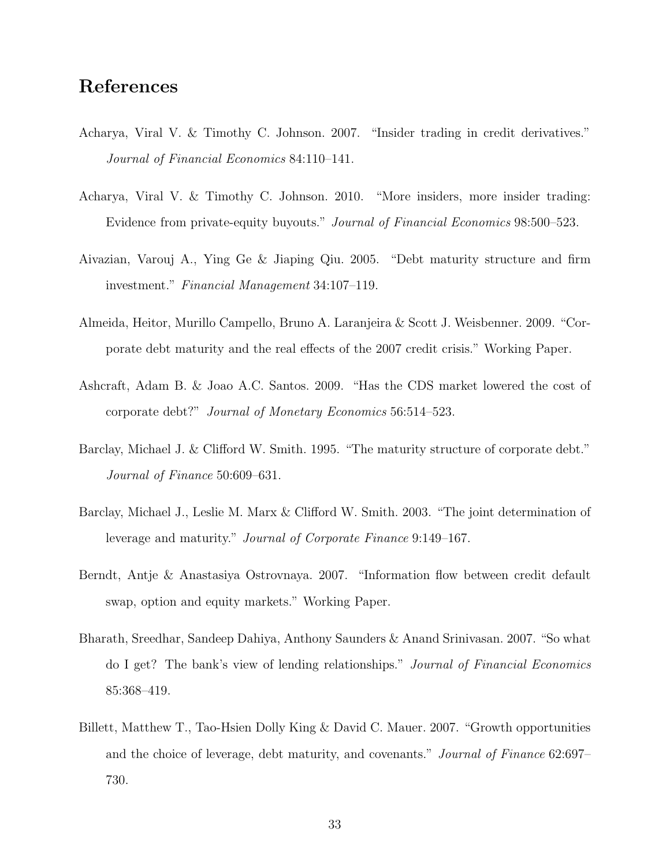# References

- Acharya, Viral V. & Timothy C. Johnson. 2007. "Insider trading in credit derivatives." *Journal of Financial Economics* 84:110–141.
- Acharya, Viral V. & Timothy C. Johnson. 2010. "More insiders, more insider trading: Evidence from private-equity buyouts." *Journal of Financial Economics* 98:500–523.
- Aivazian, Varouj A., Ying Ge & Jiaping Qiu. 2005. "Debt maturity structure and firm investment." *Financial Management* 34:107–119.
- Almeida, Heitor, Murillo Campello, Bruno A. Laranjeira & Scott J. Weisbenner. 2009. "Corporate debt maturity and the real effects of the 2007 credit crisis." Working Paper.
- Ashcraft, Adam B. & Joao A.C. Santos. 2009. "Has the CDS market lowered the cost of corporate debt?" *Journal of Monetary Economics* 56:514–523.
- Barclay, Michael J. & Clifford W. Smith. 1995. "The maturity structure of corporate debt." *Journal of Finance* 50:609–631.
- Barclay, Michael J., Leslie M. Marx & Clifford W. Smith. 2003. "The joint determination of leverage and maturity." *Journal of Corporate Finance* 9:149–167.
- Berndt, Antje & Anastasiya Ostrovnaya. 2007. "Information flow between credit default swap, option and equity markets." Working Paper.
- Bharath, Sreedhar, Sandeep Dahiya, Anthony Saunders & Anand Srinivasan. 2007. "So what do I get? The bank's view of lending relationships." *Journal of Financial Economics* 85:368–419.
- Billett, Matthew T., Tao-Hsien Dolly King & David C. Mauer. 2007. "Growth opportunities and the choice of leverage, debt maturity, and covenants." *Journal of Finance* 62:697– 730.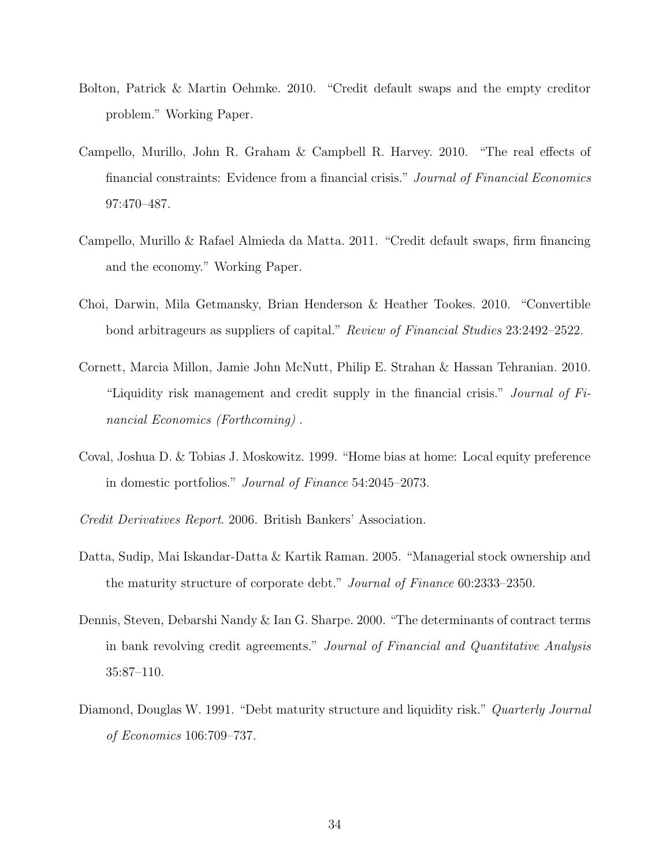- Bolton, Patrick & Martin Oehmke. 2010. "Credit default swaps and the empty creditor problem." Working Paper.
- Campello, Murillo, John R. Graham & Campbell R. Harvey. 2010. "The real effects of financial constraints: Evidence from a financial crisis." *Journal of Financial Economics* 97:470–487.
- Campello, Murillo & Rafael Almieda da Matta. 2011. "Credit default swaps, firm financing and the economy." Working Paper.
- Choi, Darwin, Mila Getmansky, Brian Henderson & Heather Tookes. 2010. "Convertible bond arbitrageurs as suppliers of capital." *Review of Financial Studies* 23:2492–2522.
- Cornett, Marcia Millon, Jamie John McNutt, Philip E. Strahan & Hassan Tehranian. 2010. "Liquidity risk management and credit supply in the financial crisis." *Journal of Financial Economics (Forthcoming)* .
- Coval, Joshua D. & Tobias J. Moskowitz. 1999. "Home bias at home: Local equity preference in domestic portfolios." *Journal of Finance* 54:2045–2073.
- *Credit Derivatives Report*. 2006. British Bankers' Association.
- Datta, Sudip, Mai Iskandar-Datta & Kartik Raman. 2005. "Managerial stock ownership and the maturity structure of corporate debt." *Journal of Finance* 60:2333–2350.
- Dennis, Steven, Debarshi Nandy & Ian G. Sharpe. 2000. "The determinants of contract terms in bank revolving credit agreements." *Journal of Financial and Quantitative Analysis* 35:87–110.
- Diamond, Douglas W. 1991. "Debt maturity structure and liquidity risk." *Quarterly Journal of Economics* 106:709–737.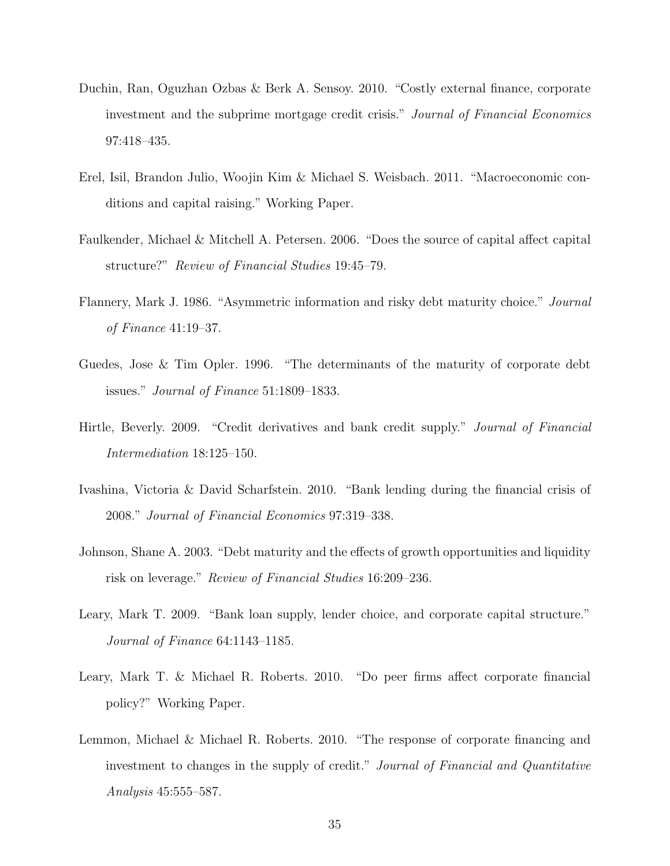- Duchin, Ran, Oguzhan Ozbas & Berk A. Sensoy. 2010. "Costly external finance, corporate investment and the subprime mortgage credit crisis." *Journal of Financial Economics* 97:418–435.
- Erel, Isil, Brandon Julio, Woojin Kim & Michael S. Weisbach. 2011. "Macroeconomic conditions and capital raising." Working Paper.
- Faulkender, Michael & Mitchell A. Petersen. 2006. "Does the source of capital affect capital structure?" *Review of Financial Studies* 19:45–79.
- Flannery, Mark J. 1986. "Asymmetric information and risky debt maturity choice." *Journal of Finance* 41:19–37.
- Guedes, Jose & Tim Opler. 1996. "The determinants of the maturity of corporate debt issues." *Journal of Finance* 51:1809–1833.
- Hirtle, Beverly. 2009. "Credit derivatives and bank credit supply." *Journal of Financial Intermediation* 18:125–150.
- Ivashina, Victoria & David Scharfstein. 2010. "Bank lending during the financial crisis of 2008." *Journal of Financial Economics* 97:319–338.
- Johnson, Shane A. 2003. "Debt maturity and the effects of growth opportunities and liquidity risk on leverage." *Review of Financial Studies* 16:209–236.
- Leary, Mark T. 2009. "Bank loan supply, lender choice, and corporate capital structure." *Journal of Finance* 64:1143–1185.
- Leary, Mark T. & Michael R. Roberts. 2010. "Do peer firms affect corporate financial policy?" Working Paper.
- Lemmon, Michael & Michael R. Roberts. 2010. "The response of corporate financing and investment to changes in the supply of credit." *Journal of Financial and Quantitative Analysis* 45:555–587.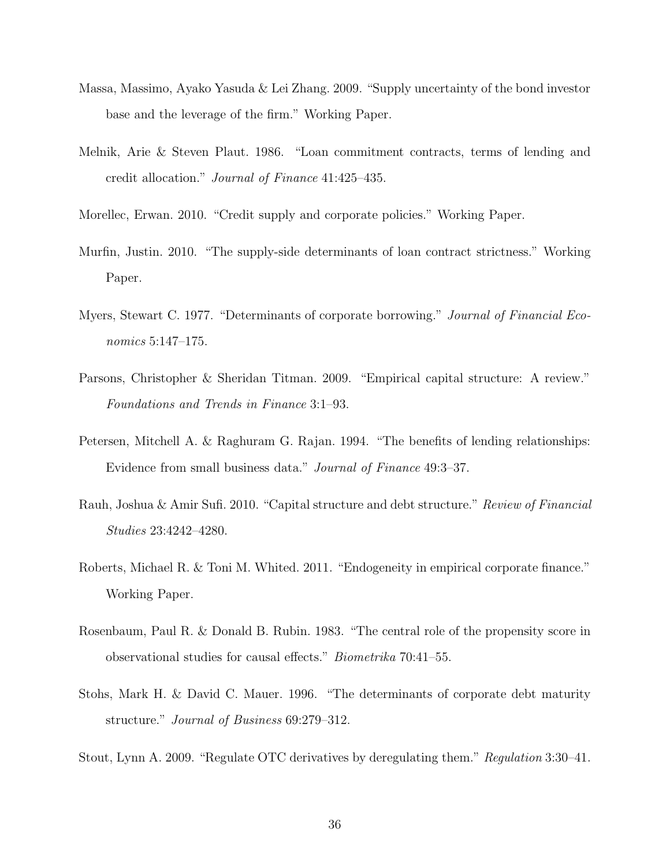- Massa, Massimo, Ayako Yasuda & Lei Zhang. 2009. "Supply uncertainty of the bond investor base and the leverage of the firm." Working Paper.
- Melnik, Arie & Steven Plaut. 1986. "Loan commitment contracts, terms of lending and credit allocation." *Journal of Finance* 41:425–435.
- Morellec, Erwan. 2010. "Credit supply and corporate policies." Working Paper.
- Murfin, Justin. 2010. "The supply-side determinants of loan contract strictness." Working Paper.
- Myers, Stewart C. 1977. "Determinants of corporate borrowing." *Journal of Financial Economics* 5:147–175.
- Parsons, Christopher & Sheridan Titman. 2009. "Empirical capital structure: A review." *Foundations and Trends in Finance* 3:1–93.
- Petersen, Mitchell A. & Raghuram G. Rajan. 1994. "The benefits of lending relationships: Evidence from small business data." *Journal of Finance* 49:3–37.
- Rauh, Joshua & Amir Sufi. 2010. "Capital structure and debt structure." *Review of Financial Studies* 23:4242–4280.
- Roberts, Michael R. & Toni M. Whited. 2011. "Endogeneity in empirical corporate finance." Working Paper.
- Rosenbaum, Paul R. & Donald B. Rubin. 1983. "The central role of the propensity score in observational studies for causal effects." *Biometrika* 70:41–55.
- Stohs, Mark H. & David C. Mauer. 1996. "The determinants of corporate debt maturity structure." *Journal of Business* 69:279–312.
- Stout, Lynn A. 2009. "Regulate OTC derivatives by deregulating them." *Regulation* 3:30–41.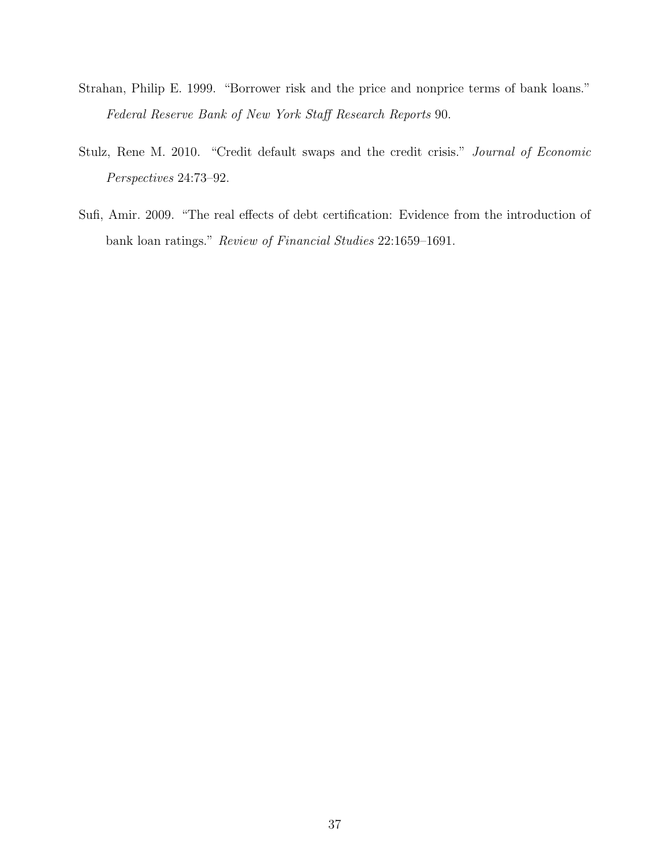- Strahan, Philip E. 1999. "Borrower risk and the price and nonprice terms of bank loans." *Federal Reserve Bank of New York Staff Research Reports* 90.
- Stulz, Rene M. 2010. "Credit default swaps and the credit crisis." *Journal of Economic Perspectives* 24:73–92.
- Sufi, Amir. 2009. "The real effects of debt certification: Evidence from the introduction of bank loan ratings." *Review of Financial Studies* 22:1659–1691.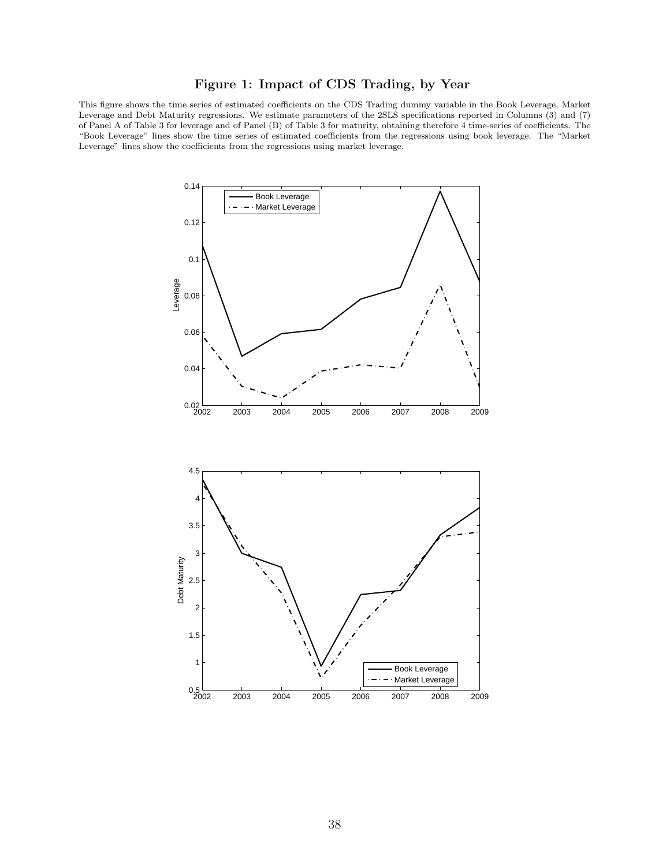# <span id="page-38-0"></span>Figure 1: Impact of CDS Trading, by Year

This figure shows the time series of estimated coefficients on the CDS Trading dummy variable in the Book Leverage, Market Leverage and Debt Maturity regressions. We estimate parameters of the 2SLS specifications reported in Columns (3) and (7) of Panel A of Table 3 for leverage and of Panel (B) of Table 3 for maturity, obtaining therefore 4 time-series of coefficients. The "Book Leverage" lines show the time series of estimated coefficients from the regressions using book leverage. The "Market Leverage" lines show the coefficients from the regressions using market leverage.

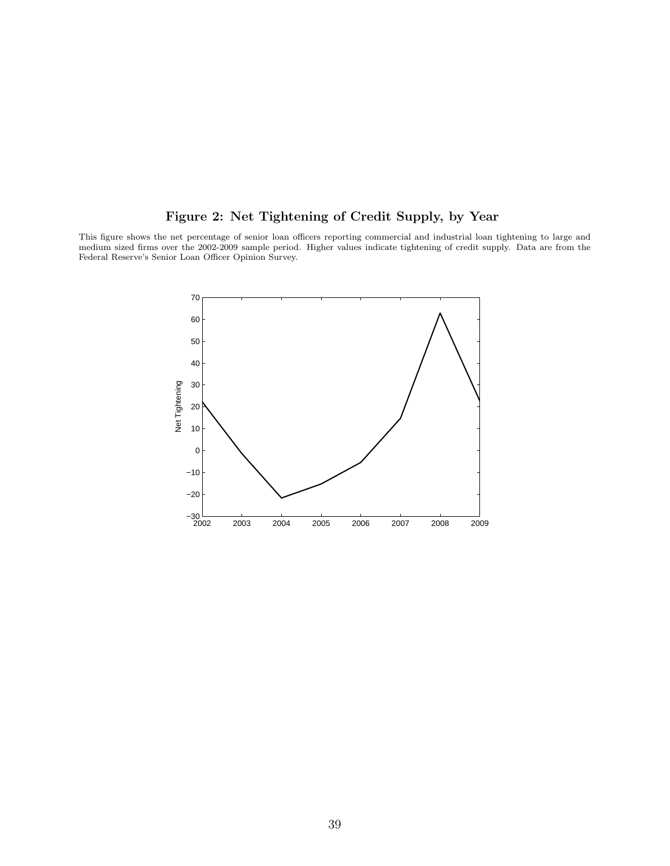# <span id="page-39-0"></span>Figure 2: Net Tightening of Credit Supply, by Year

This figure shows the net percentage of senior loan officers reporting commercial and industrial loan tightening to large and medium sized firms over the 2002-2009 sample period. Higher values indicate tightening of credit supply. Data are from the Federal Reserve's Senior Loan Officer Opinion Survey.

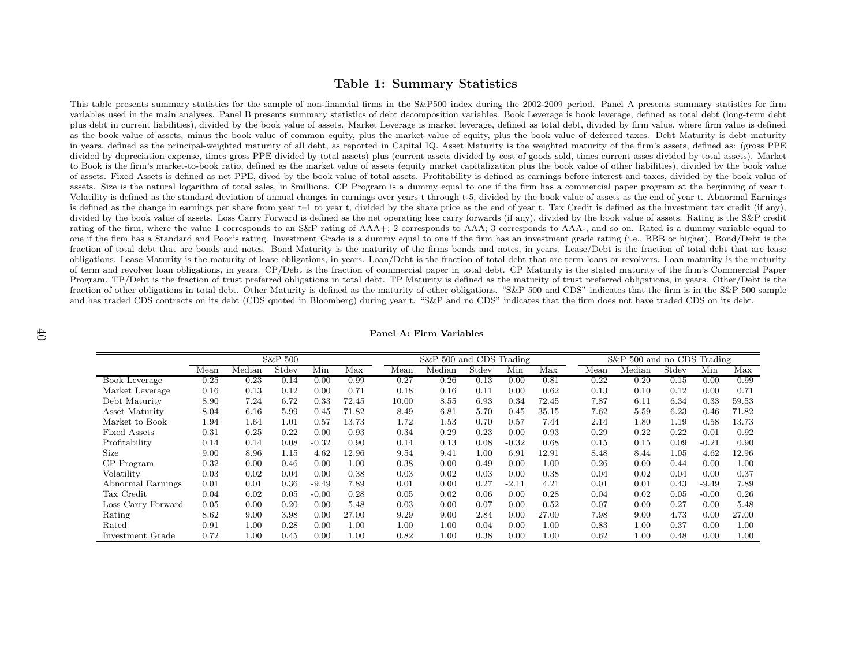## Table 1: Summary Statistics

This table presents summary statistics for the sample of non-financial firms in the S&P500 index during the 2002-2009 period. Panel <sup>A</sup> presents summary statistics for firm variables used in the main analyses. Panel <sup>B</sup> presents summary statistics of debt decomposition variables. Book Leverage is book leverage, defined as total debt (long-term debt <sup>p</sup>lus debt in current liabilities), divided by the book value of assets. Market Leverage is market leverage, defined as total debt, divided by firm value, where firm value is defined as the book value of assets, minus the book value of common equity, <sup>p</sup>lus the market value of equity, <sup>p</sup>lus the book value of deferred taxes. Debt Maturity is debt maturity in years, defined as the principal-weighted maturity of all debt, as reported in Capital IQ. Asset Maturity is the weighted maturity of the firm's assets, defined as: (gross PPE divided by depreciation expense, times gross PPE divided by total assets) <sup>p</sup>lus (current assets divided by cost of goods sold, times current asses divided by total assets). Market to Book is the firm's market-to-book ratio, defined as the market value of assets (equity market capitalization <sup>p</sup>lus the book value of other liabilities), divided by the book value of assets. Fixed Assets is defined as net PPE, dived by the book value of total assets. Profitability is defined as earnings before interest and taxes, divided by the book value of assets. Size is the natural logarithm of total sales, in \$millions. CP Program is <sup>a</sup> dummy equa<sup>l</sup> to one if the firm has <sup>a</sup> commercial paper program at the beginning of year t. Volatility is defined as the standard deviation of annual changes in earnings over years <sup>t</sup> through t-5, divided by the book value of assets as the end of year t. Abnormal Earnings is defined as the change in earnings per share from year t–1 to year t, divided by the share price as the end of year t. Tax Credit is defined as the investment tax credit (if any), divided by the book value of assets. Loss Carry Forward is defined as the net operating loss carry forwards (if any), divided by the book value of assets. Rating is the S&P credit rating of the firm, where the value <sup>1</sup> corresponds to an S&P rating of AAA+; <sup>2</sup> corresponds to AAA; <sup>3</sup> corresponds to AAA-, and so on. Rated is <sup>a</sup> dummy variable equa<sup>l</sup> to one if the firm has <sup>a</sup> Standard and Poor's rating. Investment Grade is <sup>a</sup> dummy equa<sup>l</sup> to one if the firm has an investment grade rating (i.e., BBB or higher). Bond/Debt is the fraction of total debt that are bonds and notes. Bond Maturity is the maturity of the firms bonds and notes, in years. Lease/Debt is the fraction of total debt that are lease obligations. Lease Maturity is the maturity of lease obligations, in years. Loan/Debt is the fraction of total debt that are term loans or revolvers. Loan maturity is the maturity of term and revolver loan obligations, in years. CP/Debt is the fraction of commercial paper in total debt. CP Maturity is the stated maturity of the firm's Commercial Paper Program. TP/Debt is the fraction of trust preferred obligations in total debt. TP Maturity is defined as the maturity of trust preferred obligations, in years. Other/Debt is the fraction of other obligations in total debt. Other Maturity is defined as the maturity of other obligations. "S&P <sup>500</sup> and CDS" indicates that the firm is in the S&P <sup>500</sup> sample and has traded CDS contracts on its debt (CDS quoted in Bloomberg) during year t. "S&P and no CDS" indicates that the firm does not have traded CDS on its debt.

<span id="page-40-0"></span>

|  |  |  | Panel A: Firm Variables |
|--|--|--|-------------------------|
|--|--|--|-------------------------|

|                     |      |        | S&P 500 |         |          |       | $S\&P 500$ and CDS Trading                                                                             |       |         |                         |      | $S\&P 500$ and no CDS Trading |          |         |       |
|---------------------|------|--------|---------|---------|----------|-------|--------------------------------------------------------------------------------------------------------|-------|---------|-------------------------|------|-------------------------------|----------|---------|-------|
|                     | Mean | Median | Stdev   | Min     | Max      | Mean  | $\operatorname*{Median}% \left( \mathcal{N}\right) \equiv\operatorname*{Arg}\left( \mathcal{N}\right)$ | Stdev | Min     | $\overline{\text{Max}}$ | Mean | Median                        | Stdev    | Min     | Max   |
| Book Leverage       | 0.25 | 0.23   | 0.14    | 0.00    | 0.99     | 0.27  | 0.26                                                                                                   | 0.13  | 0.00    | 0.81                    | 0.22 | 0.20                          | 0.15     | 0.00    | 0.99  |
| Market Leverage     | 0.16 | 0.13   | 0.12    | 0.00    | 0.71     | 0.18  | 0.16                                                                                                   | 0.11  | 0.00    | 0.62                    | 0.13 | 0.10                          | 0.12     | 0.00    | 0.71  |
| Debt Maturity       | 8.90 | 7.24   | 6.72    | 0.33    | 72.45    | 10.00 | 8.55                                                                                                   | 6.93  | 0.34    | 72.45                   | 7.87 | 6.11                          | 6.34     | 0.33    | 59.53 |
| Asset Maturity      | 8.04 | 6.16   | 5.99    | 0.45    | 71.82    | 8.49  | 6.81                                                                                                   | 5.70  | 0.45    | 35.15                   | 7.62 | 5.59                          | 6.23     | 0.46    | 71.82 |
| Market to Book      | 1.94 | 1.64   | 1.01    | 0.57    | 13.73    | 1.72  | $1.53\,$                                                                                               | 0.70  | 0.57    | 7.44                    | 2.14 | 1.80                          | 1.19     | 0.58    | 13.73 |
| <b>Fixed Assets</b> | 0.31 | 0.25   | 0.22    | 0.00    | 0.93     | 0.34  | 0.29                                                                                                   | 0.23  | 0.00    | 0.93                    | 0.29 | 0.22                          | 0.22     | 0.01    | 0.92  |
| Profitability       | 0.14 | 0.14   | 0.08    | $-0.32$ | 0.90     | 0.14  | 0.13                                                                                                   | 0.08  | $-0.32$ | 0.68                    | 0.15 | 0.15                          | 0.09     | $-0.21$ | 0.90  |
| Size                | 9.00 | 8.96   | 1.15    | 4.62    | 12.96    | 9.54  | 9.41                                                                                                   | 1.00  | 6.91    | 12.91                   | 8.48 | 8.44                          | $1.05\,$ | 4.62    | 12.96 |
| CP Program          | 0.32 | 0.00   | 0.46    | 0.00    | $1.00\,$ | 0.38  | 0.00                                                                                                   | 0.49  | 0.00    | 1.00                    | 0.26 | 0.00                          | 0.44     | 0.00    | 1.00  |
| Volatility          | 0.03 | 0.02   | 0.04    | 0.00    | 0.38     | 0.03  | 0.02                                                                                                   | 0.03  | 0.00    | 0.38                    | 0.04 | 0.02                          | 0.04     | 0.00    | 0.37  |
| Abnormal Earnings   | 0.01 | 0.01   | 0.36    | $-9.49$ | 7.89     | 0.01  | 0.00                                                                                                   | 0.27  | $-2.11$ | 4.21                    | 0.01 | 0.01                          | 0.43     | $-9.49$ | 7.89  |
| Tax Credit          | 0.04 | 0.02   | 0.05    | $-0.00$ | 0.28     | 0.05  | 0.02                                                                                                   | 0.06  | 0.00    | 0.28                    | 0.04 | 0.02                          | 0.05     | $-0.00$ | 0.26  |
| Loss Carry Forward  | 0.05 | 0.00   | 0.20    | 0.00    | 5.48     | 0.03  | 0.00                                                                                                   | 0.07  | 0.00    | 0.52                    | 0.07 | 0.00                          | 0.27     | 0.00    | 5.48  |
| Rating              | 8.62 | 9.00   | 3.98    | 0.00    | 27.00    | 9.29  | 9.00                                                                                                   | 2.84  | 0.00    | 27.00                   | 7.98 | 9.00                          | 4.73     | 0.00    | 27.00 |
| Rated               | 0.91 | 1.00   | 0.28    | 0.00    | $1.00\,$ | 1.00  | 1.00                                                                                                   | 0.04  | 0.00    | $1.00\,$                | 0.83 | 1.00                          | 0.37     | 0.00    | 1.00  |
| Investment Grade    | 0.72 | 1.00   | 0.45    | 0.00    | $1.00\,$ | 0.82  | 1.00                                                                                                   | 0.38  | 0.00    | $1.00\,$                | 0.62 | 1.00                          | 0.48     | 0.00    | 1.00  |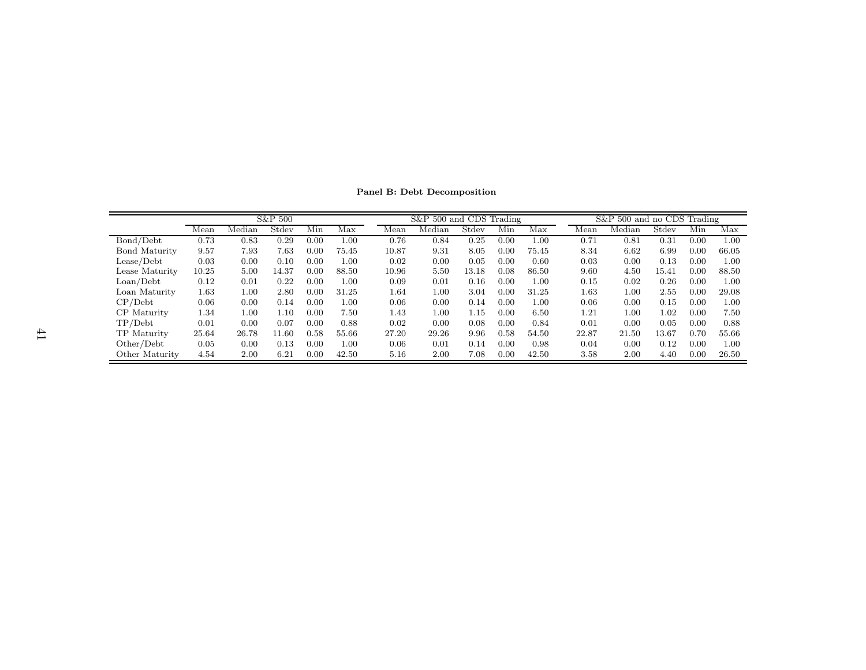Panel B: Debt Decomposition

|                | S&P 500 |        |       |      |       |       | S&P 500 and CDS Trading |       |      |       |          | $S\&P 500$ and no CDS Trading |       |      |          |
|----------------|---------|--------|-------|------|-------|-------|-------------------------|-------|------|-------|----------|-------------------------------|-------|------|----------|
|                | Mean    | Median | Stdev | Min  | Max   | Mean  | Median                  | Stdev | Min  | Max   | Mean     | Median                        | Stdev | Min  | Max      |
| Bond/Debt      | 0.73    | 0.83   | 0.29  | 0.00 | 00.1  | 0.76  | 0.84                    | 0.25  | 0.00 | 1.00  | 0.71     | 0.81                          | 0.31  | 0.00 | 1.00     |
| Bond Maturity  | 9.57    | 7.93   | 7.63  | 0.00 | 75.45 | 10.87 | 9.31                    | 8.05  | 0.00 | 75.45 | 8.34     | 6.62                          | 6.99  | 0.00 | 66.05    |
| Lease/Debt     | 0.03    | 0.00   | 0.10  | 0.00 | 1.00  | 0.02  | 0.00                    | 0.05  | 0.00 | 0.60  | 0.03     | 0.00                          | 0.13  | 0.00 | 1.00     |
| Lease Maturity | 10.25   | 5.00   | 14.37 | 0.00 | 88.50 | 10.96 | 5.50                    | 13.18 | 0.08 | 86.50 | 9.60     | 4.50                          | 15.41 | 0.00 | 88.50    |
| Loan/Debt      | 0.12    | 0.01   | 0.22  | 0.00 | 1.00  | 0.09  | 0.01                    | 0.16  | 0.00 | 1.00  | 0.15     | 0.02                          | 0.26  | 0.00 | 1.00     |
| Loan Maturity  | 1.63    | 1.00   | 2.80  | 0.00 | 31.25 | 1.64  | $1.00\,$                | 3.04  | 0.00 | 31.25 | $1.63\,$ | 00.1                          | 2.55  | 0.00 | 29.08    |
| CP/Debt        | 0.06    | 0.00   | 0.14  | 0.00 | 1.00  | 0.06  | 0.00                    | 0.14  | 0.00 | 1.00  | 0.06     | 0.00                          | 0.15  | 0.00 | $1.00\,$ |
| CP Maturity    | 1.34    | 1.00   | 1.10  | 0.00 | 7.50  | 1.43  | 1.00                    | 1.15  | 0.00 | 6.50  | 1.21     | 00.1                          | 1.02  | 0.00 | 7.50     |
| TP/Debt        | 0.01    | 0.00   | 0.07  | 0.00 | 0.88  | 0.02  | 0.00                    | 0.08  | 0.00 | 0.84  | 0.01     | 0.00                          | 0.05  | 0.00 | 0.88     |
| TP Maturity    | 25.64   | 26.78  | 11.60 | 0.58 | 55.66 | 27.20 | 29.26                   | 9.96  | 0.58 | 54.50 | 22.87    | 21.50                         | 13.67 | 0.70 | 55.66    |
| Other/Debt     | 0.05    | 0.00   | 0.13  | 0.00 | 1.00  | 0.06  | 0.01                    | 0.14  | 0.00 | 0.98  | 0.04     | 0.00                          | 0.12  | 0.00 | 1.00     |
| Other Maturity | 4.54    | 2.00   | 6.21  | 0.00 | 42.50 | 5.16  | 2.00                    | 7.08  | 0.00 | 42.50 | 3.58     | 2.00                          | 4.40  | 0.00 | 26.50    |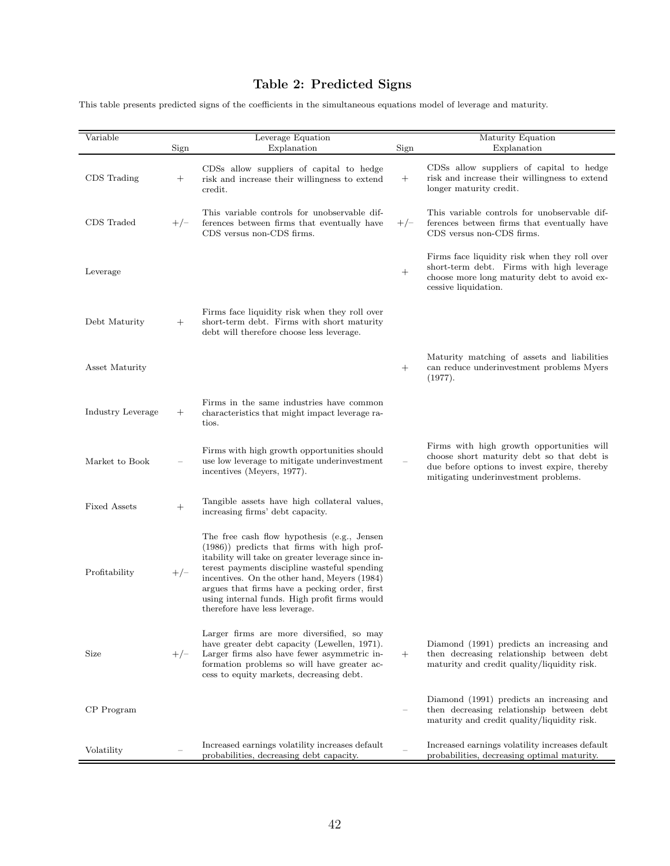# <span id="page-42-0"></span>Table 2: Predicted Signs

This table presents predicted signs of the coefficients in the simultaneous equations model of leverage and maturity.

| Variable            |        | Leverage Equation                                                                                                                                                                                                                                                                                                                                                                     |        | Maturity Equation                                                                                                                                                               |
|---------------------|--------|---------------------------------------------------------------------------------------------------------------------------------------------------------------------------------------------------------------------------------------------------------------------------------------------------------------------------------------------------------------------------------------|--------|---------------------------------------------------------------------------------------------------------------------------------------------------------------------------------|
|                     | Sign   | Explanation                                                                                                                                                                                                                                                                                                                                                                           | Sign   | Explanation                                                                                                                                                                     |
| CDS Trading         | $^{+}$ | CDSs allow suppliers of capital to hedge<br>risk and increase their willingness to extend<br>credit.                                                                                                                                                                                                                                                                                  |        | CDSs allow suppliers of capital to hedge<br>risk and increase their willingness to extend<br>longer maturity credit.                                                            |
| CDS Traded          | $+/-$  | This variable controls for unobservable dif-<br>ferences between firms that eventually have<br>CDS versus non-CDS firms.                                                                                                                                                                                                                                                              | $+/-$  | This variable controls for unobservable dif-<br>ferences between firms that eventually have<br>CDS versus non-CDS firms.                                                        |
| Leverage            |        |                                                                                                                                                                                                                                                                                                                                                                                       |        | Firms face liquidity risk when they roll over<br>short-term debt. Firms with high leverage<br>choose more long maturity debt to avoid ex-<br>cessive liquidation.               |
| Debt Maturity       | $^{+}$ | Firms face liquidity risk when they roll over<br>short-term debt. Firms with short maturity<br>debt will therefore choose less leverage.                                                                                                                                                                                                                                              |        |                                                                                                                                                                                 |
| Asset Maturity      |        |                                                                                                                                                                                                                                                                                                                                                                                       |        | Maturity matching of assets and liabilities<br>can reduce underinvestment problems Myers<br>(1977).                                                                             |
| Industry Leverage   | $^{+}$ | Firms in the same industries have common<br>characteristics that might impact leverage ra-<br>tios.                                                                                                                                                                                                                                                                                   |        |                                                                                                                                                                                 |
| Market to Book      |        | Firms with high growth opportunities should<br>use low leverage to mitigate underinvestment<br>incentives (Meyers, 1977).                                                                                                                                                                                                                                                             |        | Firms with high growth opportunities will<br>choose short maturity debt so that debt is<br>due before options to invest expire, thereby<br>mitigating underinvestment problems. |
| <b>Fixed Assets</b> |        | Tangible assets have high collateral values,<br>increasing firms' debt capacity.                                                                                                                                                                                                                                                                                                      |        |                                                                                                                                                                                 |
| Profitability       | $+/-$  | The free cash flow hypothesis (e.g., Jensen<br>$(1986)$ ) predicts that firms with high prof-<br>itability will take on greater leverage since in-<br>terest payments discipline wasteful spending<br>incentives. On the other hand, Meyers (1984)<br>argues that firms have a pecking order, first<br>using internal funds. High profit firms would<br>therefore have less leverage. |        |                                                                                                                                                                                 |
| Size                | $+/-$  | Larger firms are more diversified, so may<br>have greater debt capacity (Lewellen, 1971).<br>Larger firms also have fewer asymmetric in-<br>formation problems so will have greater ac-<br>cess to equity markets, decreasing debt.                                                                                                                                                   | $^{+}$ | Diamond (1991) predicts an increasing and<br>then decreasing relationship between debt<br>maturity and credit quality/liquidity risk.                                           |
| CP Program          |        |                                                                                                                                                                                                                                                                                                                                                                                       |        | Diamond (1991) predicts an increasing and<br>then decreasing relationship between debt<br>maturity and credit quality/liquidity risk.                                           |
| Volatility          |        | Increased earnings volatility increases default<br>probabilities, decreasing debt capacity.                                                                                                                                                                                                                                                                                           |        | Increased earnings volatility increases default<br>probabilities, decreasing optimal maturity.                                                                                  |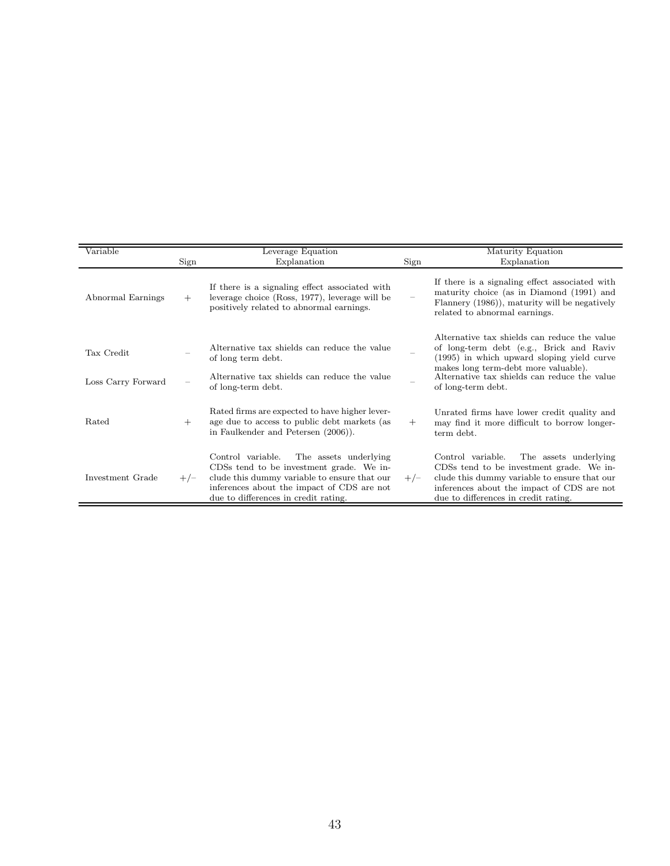| Variable                         |        | Leverage Equation                                                                                                                                                                                                            |       | Maturity Equation                                                                                                                                                                                                                                    |
|----------------------------------|--------|------------------------------------------------------------------------------------------------------------------------------------------------------------------------------------------------------------------------------|-------|------------------------------------------------------------------------------------------------------------------------------------------------------------------------------------------------------------------------------------------------------|
|                                  | Sign   | Explanation                                                                                                                                                                                                                  | Sign  | Explanation                                                                                                                                                                                                                                          |
| Abnormal Earnings                | $^{+}$ | If there is a signaling effect associated with<br>leverage choice (Ross, 1977), leverage will be<br>positively related to abnormal earnings.                                                                                 |       | If there is a signaling effect associated with<br>maturity choice (as in Diamond (1991) and<br>Flannery (1986), maturity will be negatively<br>related to abnormal earnings.                                                                         |
| Tax Credit<br>Loss Carry Forward |        | Alternative tax shields can reduce the value<br>of long term debt.<br>Alternative tax shields can reduce the value<br>of long-term debt.                                                                                     |       | Alternative tax shields can reduce the value<br>of long-term debt (e.g., Brick and Raviv<br>(1995) in which upward sloping yield curve<br>makes long term-debt more valuable).<br>Alternative tax shields can reduce the value<br>of long-term debt. |
| Rated                            | $^{+}$ | Rated firms are expected to have higher lever-<br>age due to access to public debt markets (as<br>in Faulkender and Petersen (2006)).                                                                                        | $+$   | Unrated firms have lower credit quality and<br>may find it more difficult to borrow longer-<br>term debt.                                                                                                                                            |
| Investment Grade                 | $+/-$  | Control variable.<br>The assets underlying<br>CDSs tend to be investment grade. We in-<br>clude this dummy variable to ensure that our<br>inferences about the impact of CDS are not<br>due to differences in credit rating. | $+/-$ | Control variable.<br>The assets underlying<br>CDSs tend to be investment grade. We in-<br>clude this dummy variable to ensure that our<br>inferences about the impact of CDS are not<br>due to differences in credit rating.                         |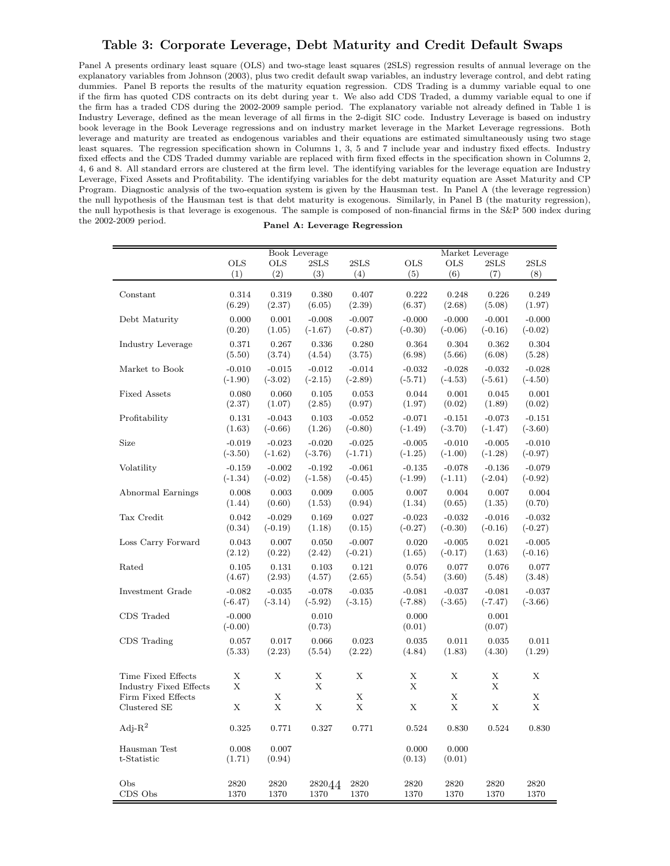# <span id="page-44-0"></span>Table 3: Corporate Leverage, Debt Maturity and Credit Default Swaps

Panel A presents ordinary least square (OLS) and two-stage least squares (2SLS) regression results of annual leverage on the explanatory variables from Johnson (2003), plus two credit default swap variables, an industry leverage control, and debt rating dummies. Panel B reports the results of the maturity equation regression. CDS Trading is a dummy variable equal to one if the firm has quoted CDS contracts on its debt during year t. We also add CDS Traded, a dummy variable equal to one if the firm has a traded CDS during the 2002-2009 sample period. The explanatory variable not already defined in Table 1 is Industry Leverage, defined as the mean leverage of all firms in the 2-digit SIC code. Industry Leverage is based on industry book leverage in the Book Leverage regressions and on industry market leverage in the Market Leverage regressions. Both leverage and maturity are treated as endogenous variables and their equations are estimated simultaneously using two stage least squares. The regression specification shown in Columns 1, 3, 5 and 7 include year and industry fixed effects. Industry fixed effects and the CDS Traded dummy variable are replaced with firm fixed effects in the specification shown in Columns 2, 4, 6 and 8. All standard errors are clustered at the firm level. The identifying variables for the leverage equation are Industry Leverage, Fixed Assets and Profitability. The identifying variables for the debt maturity equation are Asset Maturity and CP Program. Diagnostic analysis of the two-equation system is given by the Hausman test. In Panel A (the leverage regression) the null hypothesis of the Hausman test is that debt maturity is exogenous. Similarly, in Panel B (the maturity regression), the null hypothesis is that leverage is exogenous. The sample is composed of non-financial firms in the S&P 500 index during the 2002-2009 period. Panel A: Leverage Regression

| 2SLS<br><b>OLS</b><br>2SLS<br>2SLS<br><b>OLS</b><br><b>OLS</b><br>(1)<br>(2)<br>(3)<br>(5)<br>(6)<br>(8)<br>(4)<br>(7)<br>0.314<br>Constant<br>0.319<br>0.380<br>0.407<br>0.222<br>0.248<br>0.226<br>0.249<br>(6.29)<br>(2.37)<br>(2.39)<br>(2.68)<br>(6.05)<br>(6.37)<br>(5.08)<br>(1.97)<br>Debt Maturity<br>0.000<br>0.001<br>$-0.008$<br>$-0.007$<br>$-0.000$<br>$-0.000$<br>$-0.001$<br>$-0.000$<br>(0.20)<br>(1.05)<br>$(-0.87)$<br>$(-0.30)$<br>$(-0.06)$<br>$(-0.16)$<br>$(-0.02)$<br>$(-1.67)$<br>0.371<br>0.267<br>0.336<br>0.280<br>0.364<br>0.304<br>0.362<br>0.304<br>Industry Leverage<br>(5.28)<br>(5.50)<br>(3.74)<br>(4.54)<br>(3.75)<br>(6.98)<br>(5.66)<br>(6.08)<br>$-0.015$<br>$-0.014$<br>$-0.028$<br>$-0.028$<br>Market to Book<br>$-0.010$<br>$-0.012$<br>$-0.032$<br>$-0.032$<br>$(-1.90)$<br>$(-3.02)$<br>$(-2.15)$<br>$(-2.89)$<br>$(-5.71)$<br>$(-4.53)$<br>$(-5.61)$<br>$(-4.50)$<br><b>Fixed Assets</b><br>0.080<br>0.060<br>0.105<br>0.053<br>0.044<br>0.001<br>0.045<br>0.001<br>(1.07)<br>(0.97)<br>(0.02)<br>(0.02)<br>(2.37)<br>(2.85)<br>(1.97)<br>(1.89)<br>Profitability<br>$-0.043$<br>0.103<br>$-0.052$<br>$-0.071$<br>$-0.151$<br>$-0.073$<br>$-0.151$<br>0.131<br>$(-3.70)$<br>(1.63)<br>$(-0.66)$<br>(1.26)<br>$(-0.80)$<br>$(-1.49)$<br>$(-1.47)$<br>$(-3.60)$<br>Size<br>$-0.019$<br>$-0.023$<br>$-0.020$<br>$-0.025$<br>$-0.005$<br>$-0.010$<br>$-0.005$<br>$-0.010$<br>$(-3.50)$<br>$(-1.62)$<br>$(-3.76)$<br>$(-1.71)$<br>$(-1.25)$<br>$(-1.00)$<br>$(-1.28)$<br>$(-0.97)$<br>$-0.002$<br>$-0.061$<br>$-0.078$<br>Volatility<br>$-0.159$<br>$-0.192$<br>$-0.135$<br>$-0.136$<br>$-0.079$<br>$(-1.34)$<br>$(-0.02)$<br>$(-1.58)$<br>$(-0.45)$<br>$(-1.99)$<br>$(-1.11)$<br>$(-2.04)$<br>$(-0.92)$<br>Abnormal Earnings<br>0.008<br>0.003<br>0.009<br>0.005<br>0.007<br>0.004<br>0.007<br>0.004<br>(0.60)<br>(0.94)<br>(0.65)<br>(0.70)<br>(1.44)<br>(1.53)<br>(1.34)<br>(1.35)<br>Tax Credit<br>0.042<br>$-0.029$<br>0.169<br>0.027<br>$-0.032$<br>$-0.016$<br>$-0.032$<br>$-0.023$<br>$(-0.27)$<br>(0.34)<br>$(-0.19)$<br>(1.18)<br>(0.15)<br>$(-0.27)$<br>$(-0.30)$<br>$(-0.16)$<br>Loss Carry Forward<br>0.043<br>0.007<br>0.050<br>$-0.007$<br>0.020<br>$-0.005$<br>0.021<br>$-0.005$<br>(2.12)<br>(0.22)<br>(2.42)<br>$(-0.21)$<br>(1.65)<br>$(-0.17)$<br>(1.63)<br>$(-0.16)$<br>0.077<br>Rated<br>0.105<br>0.131<br>0.103<br>0.121<br>0.076<br>0.076<br>0.077<br>(4.67)<br>(2.93)<br>(2.65)<br>(3.60)<br>(5.48)<br>(3.48)<br>(4.57)<br>(5.54)<br>Investment Grade<br>$-0.082$<br>$-0.035$<br>$-0.078$<br>$-0.035$<br>$-0.037$<br>$-0.037$<br>$-0.081$<br>$-0.081$<br>$(-3.14)$<br>$(-5.92)$<br>$(-3.15)$<br>$(-3.65)$<br>$(-7.47)$<br>$(-3.66)$<br>$(-6.47)$<br>$(-7.88)$<br>CDS Traded<br>$-0.000$<br>0.010<br>0.000<br>0.001<br>$(-0.00)$<br>(0.73)<br>(0.01)<br>(0.07)<br>CDS Trading<br>0.017<br>0.023<br>0.011<br>0.035<br>0.057<br>0.066<br>0.035<br>0.011<br>(2.23)<br>(2.22)<br>(1.83)<br>(1.29)<br>(5.33)<br>(5.54)<br>(4.84)<br>(4.30)<br>Time Fixed Effects<br>Х<br>Χ<br>Х<br>Х<br>Х<br>Х<br>Х<br>Χ<br>X<br>X<br>X<br>X<br>Industry Fixed Effects<br>X<br>X<br>Х<br>X<br>Firm Fixed Effects<br>X<br>X<br>$\mathbf{X}$<br>X<br>X<br>X<br>X<br>X<br>Clustered SE<br>Adj- $R^2$<br>0.325<br>0.771<br>0.327<br>0.771<br>0.830<br>0.524<br>0.830<br>0.524<br>Hausman Test<br>0.008<br>0.007<br>0.000<br>0.000<br>t-Statistic<br>(1.71)<br>(0.94)<br>(0.13)<br>(0.01)<br>Obs<br>2820<br>2820<br>2820<br>2820<br>2820<br>2820<br>2820<br>282044<br>CDS Obs<br>1370<br>1370<br>1370<br>1370<br>1370<br>1370<br>1370<br>1370 |            | <b>Book Leverage</b> |      |  | Market Leverage |  |
|-------------------------------------------------------------------------------------------------------------------------------------------------------------------------------------------------------------------------------------------------------------------------------------------------------------------------------------------------------------------------------------------------------------------------------------------------------------------------------------------------------------------------------------------------------------------------------------------------------------------------------------------------------------------------------------------------------------------------------------------------------------------------------------------------------------------------------------------------------------------------------------------------------------------------------------------------------------------------------------------------------------------------------------------------------------------------------------------------------------------------------------------------------------------------------------------------------------------------------------------------------------------------------------------------------------------------------------------------------------------------------------------------------------------------------------------------------------------------------------------------------------------------------------------------------------------------------------------------------------------------------------------------------------------------------------------------------------------------------------------------------------------------------------------------------------------------------------------------------------------------------------------------------------------------------------------------------------------------------------------------------------------------------------------------------------------------------------------------------------------------------------------------------------------------------------------------------------------------------------------------------------------------------------------------------------------------------------------------------------------------------------------------------------------------------------------------------------------------------------------------------------------------------------------------------------------------------------------------------------------------------------------------------------------------------------------------------------------------------------------------------------------------------------------------------------------------------------------------------------------------------------------------------------------------------------------------------------------------------------------------------------------------------------------------------------------------------------------------------------------------------------------------------------------------------------------------------------------------------------------------------------------------------------------------------------------------------------------------------------------------------------------------------------------------------------------------------------------------------------------------------------------------------------------------------------------------------------|------------|----------------------|------|--|-----------------|--|
|                                                                                                                                                                                                                                                                                                                                                                                                                                                                                                                                                                                                                                                                                                                                                                                                                                                                                                                                                                                                                                                                                                                                                                                                                                                                                                                                                                                                                                                                                                                                                                                                                                                                                                                                                                                                                                                                                                                                                                                                                                                                                                                                                                                                                                                                                                                                                                                                                                                                                                                                                                                                                                                                                                                                                                                                                                                                                                                                                                                                                                                                                                                                                                                                                                                                                                                                                                                                                                                                                                                                                                                     | <b>OLS</b> |                      | 2SLS |  |                 |  |
|                                                                                                                                                                                                                                                                                                                                                                                                                                                                                                                                                                                                                                                                                                                                                                                                                                                                                                                                                                                                                                                                                                                                                                                                                                                                                                                                                                                                                                                                                                                                                                                                                                                                                                                                                                                                                                                                                                                                                                                                                                                                                                                                                                                                                                                                                                                                                                                                                                                                                                                                                                                                                                                                                                                                                                                                                                                                                                                                                                                                                                                                                                                                                                                                                                                                                                                                                                                                                                                                                                                                                                                     |            |                      |      |  |                 |  |
|                                                                                                                                                                                                                                                                                                                                                                                                                                                                                                                                                                                                                                                                                                                                                                                                                                                                                                                                                                                                                                                                                                                                                                                                                                                                                                                                                                                                                                                                                                                                                                                                                                                                                                                                                                                                                                                                                                                                                                                                                                                                                                                                                                                                                                                                                                                                                                                                                                                                                                                                                                                                                                                                                                                                                                                                                                                                                                                                                                                                                                                                                                                                                                                                                                                                                                                                                                                                                                                                                                                                                                                     |            |                      |      |  |                 |  |
|                                                                                                                                                                                                                                                                                                                                                                                                                                                                                                                                                                                                                                                                                                                                                                                                                                                                                                                                                                                                                                                                                                                                                                                                                                                                                                                                                                                                                                                                                                                                                                                                                                                                                                                                                                                                                                                                                                                                                                                                                                                                                                                                                                                                                                                                                                                                                                                                                                                                                                                                                                                                                                                                                                                                                                                                                                                                                                                                                                                                                                                                                                                                                                                                                                                                                                                                                                                                                                                                                                                                                                                     |            |                      |      |  |                 |  |
|                                                                                                                                                                                                                                                                                                                                                                                                                                                                                                                                                                                                                                                                                                                                                                                                                                                                                                                                                                                                                                                                                                                                                                                                                                                                                                                                                                                                                                                                                                                                                                                                                                                                                                                                                                                                                                                                                                                                                                                                                                                                                                                                                                                                                                                                                                                                                                                                                                                                                                                                                                                                                                                                                                                                                                                                                                                                                                                                                                                                                                                                                                                                                                                                                                                                                                                                                                                                                                                                                                                                                                                     |            |                      |      |  |                 |  |
|                                                                                                                                                                                                                                                                                                                                                                                                                                                                                                                                                                                                                                                                                                                                                                                                                                                                                                                                                                                                                                                                                                                                                                                                                                                                                                                                                                                                                                                                                                                                                                                                                                                                                                                                                                                                                                                                                                                                                                                                                                                                                                                                                                                                                                                                                                                                                                                                                                                                                                                                                                                                                                                                                                                                                                                                                                                                                                                                                                                                                                                                                                                                                                                                                                                                                                                                                                                                                                                                                                                                                                                     |            |                      |      |  |                 |  |
|                                                                                                                                                                                                                                                                                                                                                                                                                                                                                                                                                                                                                                                                                                                                                                                                                                                                                                                                                                                                                                                                                                                                                                                                                                                                                                                                                                                                                                                                                                                                                                                                                                                                                                                                                                                                                                                                                                                                                                                                                                                                                                                                                                                                                                                                                                                                                                                                                                                                                                                                                                                                                                                                                                                                                                                                                                                                                                                                                                                                                                                                                                                                                                                                                                                                                                                                                                                                                                                                                                                                                                                     |            |                      |      |  |                 |  |
|                                                                                                                                                                                                                                                                                                                                                                                                                                                                                                                                                                                                                                                                                                                                                                                                                                                                                                                                                                                                                                                                                                                                                                                                                                                                                                                                                                                                                                                                                                                                                                                                                                                                                                                                                                                                                                                                                                                                                                                                                                                                                                                                                                                                                                                                                                                                                                                                                                                                                                                                                                                                                                                                                                                                                                                                                                                                                                                                                                                                                                                                                                                                                                                                                                                                                                                                                                                                                                                                                                                                                                                     |            |                      |      |  |                 |  |
|                                                                                                                                                                                                                                                                                                                                                                                                                                                                                                                                                                                                                                                                                                                                                                                                                                                                                                                                                                                                                                                                                                                                                                                                                                                                                                                                                                                                                                                                                                                                                                                                                                                                                                                                                                                                                                                                                                                                                                                                                                                                                                                                                                                                                                                                                                                                                                                                                                                                                                                                                                                                                                                                                                                                                                                                                                                                                                                                                                                                                                                                                                                                                                                                                                                                                                                                                                                                                                                                                                                                                                                     |            |                      |      |  |                 |  |
|                                                                                                                                                                                                                                                                                                                                                                                                                                                                                                                                                                                                                                                                                                                                                                                                                                                                                                                                                                                                                                                                                                                                                                                                                                                                                                                                                                                                                                                                                                                                                                                                                                                                                                                                                                                                                                                                                                                                                                                                                                                                                                                                                                                                                                                                                                                                                                                                                                                                                                                                                                                                                                                                                                                                                                                                                                                                                                                                                                                                                                                                                                                                                                                                                                                                                                                                                                                                                                                                                                                                                                                     |            |                      |      |  |                 |  |
|                                                                                                                                                                                                                                                                                                                                                                                                                                                                                                                                                                                                                                                                                                                                                                                                                                                                                                                                                                                                                                                                                                                                                                                                                                                                                                                                                                                                                                                                                                                                                                                                                                                                                                                                                                                                                                                                                                                                                                                                                                                                                                                                                                                                                                                                                                                                                                                                                                                                                                                                                                                                                                                                                                                                                                                                                                                                                                                                                                                                                                                                                                                                                                                                                                                                                                                                                                                                                                                                                                                                                                                     |            |                      |      |  |                 |  |
|                                                                                                                                                                                                                                                                                                                                                                                                                                                                                                                                                                                                                                                                                                                                                                                                                                                                                                                                                                                                                                                                                                                                                                                                                                                                                                                                                                                                                                                                                                                                                                                                                                                                                                                                                                                                                                                                                                                                                                                                                                                                                                                                                                                                                                                                                                                                                                                                                                                                                                                                                                                                                                                                                                                                                                                                                                                                                                                                                                                                                                                                                                                                                                                                                                                                                                                                                                                                                                                                                                                                                                                     |            |                      |      |  |                 |  |
|                                                                                                                                                                                                                                                                                                                                                                                                                                                                                                                                                                                                                                                                                                                                                                                                                                                                                                                                                                                                                                                                                                                                                                                                                                                                                                                                                                                                                                                                                                                                                                                                                                                                                                                                                                                                                                                                                                                                                                                                                                                                                                                                                                                                                                                                                                                                                                                                                                                                                                                                                                                                                                                                                                                                                                                                                                                                                                                                                                                                                                                                                                                                                                                                                                                                                                                                                                                                                                                                                                                                                                                     |            |                      |      |  |                 |  |
|                                                                                                                                                                                                                                                                                                                                                                                                                                                                                                                                                                                                                                                                                                                                                                                                                                                                                                                                                                                                                                                                                                                                                                                                                                                                                                                                                                                                                                                                                                                                                                                                                                                                                                                                                                                                                                                                                                                                                                                                                                                                                                                                                                                                                                                                                                                                                                                                                                                                                                                                                                                                                                                                                                                                                                                                                                                                                                                                                                                                                                                                                                                                                                                                                                                                                                                                                                                                                                                                                                                                                                                     |            |                      |      |  |                 |  |
|                                                                                                                                                                                                                                                                                                                                                                                                                                                                                                                                                                                                                                                                                                                                                                                                                                                                                                                                                                                                                                                                                                                                                                                                                                                                                                                                                                                                                                                                                                                                                                                                                                                                                                                                                                                                                                                                                                                                                                                                                                                                                                                                                                                                                                                                                                                                                                                                                                                                                                                                                                                                                                                                                                                                                                                                                                                                                                                                                                                                                                                                                                                                                                                                                                                                                                                                                                                                                                                                                                                                                                                     |            |                      |      |  |                 |  |
|                                                                                                                                                                                                                                                                                                                                                                                                                                                                                                                                                                                                                                                                                                                                                                                                                                                                                                                                                                                                                                                                                                                                                                                                                                                                                                                                                                                                                                                                                                                                                                                                                                                                                                                                                                                                                                                                                                                                                                                                                                                                                                                                                                                                                                                                                                                                                                                                                                                                                                                                                                                                                                                                                                                                                                                                                                                                                                                                                                                                                                                                                                                                                                                                                                                                                                                                                                                                                                                                                                                                                                                     |            |                      |      |  |                 |  |
|                                                                                                                                                                                                                                                                                                                                                                                                                                                                                                                                                                                                                                                                                                                                                                                                                                                                                                                                                                                                                                                                                                                                                                                                                                                                                                                                                                                                                                                                                                                                                                                                                                                                                                                                                                                                                                                                                                                                                                                                                                                                                                                                                                                                                                                                                                                                                                                                                                                                                                                                                                                                                                                                                                                                                                                                                                                                                                                                                                                                                                                                                                                                                                                                                                                                                                                                                                                                                                                                                                                                                                                     |            |                      |      |  |                 |  |
|                                                                                                                                                                                                                                                                                                                                                                                                                                                                                                                                                                                                                                                                                                                                                                                                                                                                                                                                                                                                                                                                                                                                                                                                                                                                                                                                                                                                                                                                                                                                                                                                                                                                                                                                                                                                                                                                                                                                                                                                                                                                                                                                                                                                                                                                                                                                                                                                                                                                                                                                                                                                                                                                                                                                                                                                                                                                                                                                                                                                                                                                                                                                                                                                                                                                                                                                                                                                                                                                                                                                                                                     |            |                      |      |  |                 |  |
|                                                                                                                                                                                                                                                                                                                                                                                                                                                                                                                                                                                                                                                                                                                                                                                                                                                                                                                                                                                                                                                                                                                                                                                                                                                                                                                                                                                                                                                                                                                                                                                                                                                                                                                                                                                                                                                                                                                                                                                                                                                                                                                                                                                                                                                                                                                                                                                                                                                                                                                                                                                                                                                                                                                                                                                                                                                                                                                                                                                                                                                                                                                                                                                                                                                                                                                                                                                                                                                                                                                                                                                     |            |                      |      |  |                 |  |
|                                                                                                                                                                                                                                                                                                                                                                                                                                                                                                                                                                                                                                                                                                                                                                                                                                                                                                                                                                                                                                                                                                                                                                                                                                                                                                                                                                                                                                                                                                                                                                                                                                                                                                                                                                                                                                                                                                                                                                                                                                                                                                                                                                                                                                                                                                                                                                                                                                                                                                                                                                                                                                                                                                                                                                                                                                                                                                                                                                                                                                                                                                                                                                                                                                                                                                                                                                                                                                                                                                                                                                                     |            |                      |      |  |                 |  |
|                                                                                                                                                                                                                                                                                                                                                                                                                                                                                                                                                                                                                                                                                                                                                                                                                                                                                                                                                                                                                                                                                                                                                                                                                                                                                                                                                                                                                                                                                                                                                                                                                                                                                                                                                                                                                                                                                                                                                                                                                                                                                                                                                                                                                                                                                                                                                                                                                                                                                                                                                                                                                                                                                                                                                                                                                                                                                                                                                                                                                                                                                                                                                                                                                                                                                                                                                                                                                                                                                                                                                                                     |            |                      |      |  |                 |  |
|                                                                                                                                                                                                                                                                                                                                                                                                                                                                                                                                                                                                                                                                                                                                                                                                                                                                                                                                                                                                                                                                                                                                                                                                                                                                                                                                                                                                                                                                                                                                                                                                                                                                                                                                                                                                                                                                                                                                                                                                                                                                                                                                                                                                                                                                                                                                                                                                                                                                                                                                                                                                                                                                                                                                                                                                                                                                                                                                                                                                                                                                                                                                                                                                                                                                                                                                                                                                                                                                                                                                                                                     |            |                      |      |  |                 |  |
|                                                                                                                                                                                                                                                                                                                                                                                                                                                                                                                                                                                                                                                                                                                                                                                                                                                                                                                                                                                                                                                                                                                                                                                                                                                                                                                                                                                                                                                                                                                                                                                                                                                                                                                                                                                                                                                                                                                                                                                                                                                                                                                                                                                                                                                                                                                                                                                                                                                                                                                                                                                                                                                                                                                                                                                                                                                                                                                                                                                                                                                                                                                                                                                                                                                                                                                                                                                                                                                                                                                                                                                     |            |                      |      |  |                 |  |
|                                                                                                                                                                                                                                                                                                                                                                                                                                                                                                                                                                                                                                                                                                                                                                                                                                                                                                                                                                                                                                                                                                                                                                                                                                                                                                                                                                                                                                                                                                                                                                                                                                                                                                                                                                                                                                                                                                                                                                                                                                                                                                                                                                                                                                                                                                                                                                                                                                                                                                                                                                                                                                                                                                                                                                                                                                                                                                                                                                                                                                                                                                                                                                                                                                                                                                                                                                                                                                                                                                                                                                                     |            |                      |      |  |                 |  |
|                                                                                                                                                                                                                                                                                                                                                                                                                                                                                                                                                                                                                                                                                                                                                                                                                                                                                                                                                                                                                                                                                                                                                                                                                                                                                                                                                                                                                                                                                                                                                                                                                                                                                                                                                                                                                                                                                                                                                                                                                                                                                                                                                                                                                                                                                                                                                                                                                                                                                                                                                                                                                                                                                                                                                                                                                                                                                                                                                                                                                                                                                                                                                                                                                                                                                                                                                                                                                                                                                                                                                                                     |            |                      |      |  |                 |  |
|                                                                                                                                                                                                                                                                                                                                                                                                                                                                                                                                                                                                                                                                                                                                                                                                                                                                                                                                                                                                                                                                                                                                                                                                                                                                                                                                                                                                                                                                                                                                                                                                                                                                                                                                                                                                                                                                                                                                                                                                                                                                                                                                                                                                                                                                                                                                                                                                                                                                                                                                                                                                                                                                                                                                                                                                                                                                                                                                                                                                                                                                                                                                                                                                                                                                                                                                                                                                                                                                                                                                                                                     |            |                      |      |  |                 |  |
|                                                                                                                                                                                                                                                                                                                                                                                                                                                                                                                                                                                                                                                                                                                                                                                                                                                                                                                                                                                                                                                                                                                                                                                                                                                                                                                                                                                                                                                                                                                                                                                                                                                                                                                                                                                                                                                                                                                                                                                                                                                                                                                                                                                                                                                                                                                                                                                                                                                                                                                                                                                                                                                                                                                                                                                                                                                                                                                                                                                                                                                                                                                                                                                                                                                                                                                                                                                                                                                                                                                                                                                     |            |                      |      |  |                 |  |
|                                                                                                                                                                                                                                                                                                                                                                                                                                                                                                                                                                                                                                                                                                                                                                                                                                                                                                                                                                                                                                                                                                                                                                                                                                                                                                                                                                                                                                                                                                                                                                                                                                                                                                                                                                                                                                                                                                                                                                                                                                                                                                                                                                                                                                                                                                                                                                                                                                                                                                                                                                                                                                                                                                                                                                                                                                                                                                                                                                                                                                                                                                                                                                                                                                                                                                                                                                                                                                                                                                                                                                                     |            |                      |      |  |                 |  |
|                                                                                                                                                                                                                                                                                                                                                                                                                                                                                                                                                                                                                                                                                                                                                                                                                                                                                                                                                                                                                                                                                                                                                                                                                                                                                                                                                                                                                                                                                                                                                                                                                                                                                                                                                                                                                                                                                                                                                                                                                                                                                                                                                                                                                                                                                                                                                                                                                                                                                                                                                                                                                                                                                                                                                                                                                                                                                                                                                                                                                                                                                                                                                                                                                                                                                                                                                                                                                                                                                                                                                                                     |            |                      |      |  |                 |  |
|                                                                                                                                                                                                                                                                                                                                                                                                                                                                                                                                                                                                                                                                                                                                                                                                                                                                                                                                                                                                                                                                                                                                                                                                                                                                                                                                                                                                                                                                                                                                                                                                                                                                                                                                                                                                                                                                                                                                                                                                                                                                                                                                                                                                                                                                                                                                                                                                                                                                                                                                                                                                                                                                                                                                                                                                                                                                                                                                                                                                                                                                                                                                                                                                                                                                                                                                                                                                                                                                                                                                                                                     |            |                      |      |  |                 |  |
|                                                                                                                                                                                                                                                                                                                                                                                                                                                                                                                                                                                                                                                                                                                                                                                                                                                                                                                                                                                                                                                                                                                                                                                                                                                                                                                                                                                                                                                                                                                                                                                                                                                                                                                                                                                                                                                                                                                                                                                                                                                                                                                                                                                                                                                                                                                                                                                                                                                                                                                                                                                                                                                                                                                                                                                                                                                                                                                                                                                                                                                                                                                                                                                                                                                                                                                                                                                                                                                                                                                                                                                     |            |                      |      |  |                 |  |
|                                                                                                                                                                                                                                                                                                                                                                                                                                                                                                                                                                                                                                                                                                                                                                                                                                                                                                                                                                                                                                                                                                                                                                                                                                                                                                                                                                                                                                                                                                                                                                                                                                                                                                                                                                                                                                                                                                                                                                                                                                                                                                                                                                                                                                                                                                                                                                                                                                                                                                                                                                                                                                                                                                                                                                                                                                                                                                                                                                                                                                                                                                                                                                                                                                                                                                                                                                                                                                                                                                                                                                                     |            |                      |      |  |                 |  |
|                                                                                                                                                                                                                                                                                                                                                                                                                                                                                                                                                                                                                                                                                                                                                                                                                                                                                                                                                                                                                                                                                                                                                                                                                                                                                                                                                                                                                                                                                                                                                                                                                                                                                                                                                                                                                                                                                                                                                                                                                                                                                                                                                                                                                                                                                                                                                                                                                                                                                                                                                                                                                                                                                                                                                                                                                                                                                                                                                                                                                                                                                                                                                                                                                                                                                                                                                                                                                                                                                                                                                                                     |            |                      |      |  |                 |  |
|                                                                                                                                                                                                                                                                                                                                                                                                                                                                                                                                                                                                                                                                                                                                                                                                                                                                                                                                                                                                                                                                                                                                                                                                                                                                                                                                                                                                                                                                                                                                                                                                                                                                                                                                                                                                                                                                                                                                                                                                                                                                                                                                                                                                                                                                                                                                                                                                                                                                                                                                                                                                                                                                                                                                                                                                                                                                                                                                                                                                                                                                                                                                                                                                                                                                                                                                                                                                                                                                                                                                                                                     |            |                      |      |  |                 |  |
|                                                                                                                                                                                                                                                                                                                                                                                                                                                                                                                                                                                                                                                                                                                                                                                                                                                                                                                                                                                                                                                                                                                                                                                                                                                                                                                                                                                                                                                                                                                                                                                                                                                                                                                                                                                                                                                                                                                                                                                                                                                                                                                                                                                                                                                                                                                                                                                                                                                                                                                                                                                                                                                                                                                                                                                                                                                                                                                                                                                                                                                                                                                                                                                                                                                                                                                                                                                                                                                                                                                                                                                     |            |                      |      |  |                 |  |
|                                                                                                                                                                                                                                                                                                                                                                                                                                                                                                                                                                                                                                                                                                                                                                                                                                                                                                                                                                                                                                                                                                                                                                                                                                                                                                                                                                                                                                                                                                                                                                                                                                                                                                                                                                                                                                                                                                                                                                                                                                                                                                                                                                                                                                                                                                                                                                                                                                                                                                                                                                                                                                                                                                                                                                                                                                                                                                                                                                                                                                                                                                                                                                                                                                                                                                                                                                                                                                                                                                                                                                                     |            |                      |      |  |                 |  |
|                                                                                                                                                                                                                                                                                                                                                                                                                                                                                                                                                                                                                                                                                                                                                                                                                                                                                                                                                                                                                                                                                                                                                                                                                                                                                                                                                                                                                                                                                                                                                                                                                                                                                                                                                                                                                                                                                                                                                                                                                                                                                                                                                                                                                                                                                                                                                                                                                                                                                                                                                                                                                                                                                                                                                                                                                                                                                                                                                                                                                                                                                                                                                                                                                                                                                                                                                                                                                                                                                                                                                                                     |            |                      |      |  |                 |  |
|                                                                                                                                                                                                                                                                                                                                                                                                                                                                                                                                                                                                                                                                                                                                                                                                                                                                                                                                                                                                                                                                                                                                                                                                                                                                                                                                                                                                                                                                                                                                                                                                                                                                                                                                                                                                                                                                                                                                                                                                                                                                                                                                                                                                                                                                                                                                                                                                                                                                                                                                                                                                                                                                                                                                                                                                                                                                                                                                                                                                                                                                                                                                                                                                                                                                                                                                                                                                                                                                                                                                                                                     |            |                      |      |  |                 |  |
|                                                                                                                                                                                                                                                                                                                                                                                                                                                                                                                                                                                                                                                                                                                                                                                                                                                                                                                                                                                                                                                                                                                                                                                                                                                                                                                                                                                                                                                                                                                                                                                                                                                                                                                                                                                                                                                                                                                                                                                                                                                                                                                                                                                                                                                                                                                                                                                                                                                                                                                                                                                                                                                                                                                                                                                                                                                                                                                                                                                                                                                                                                                                                                                                                                                                                                                                                                                                                                                                                                                                                                                     |            |                      |      |  |                 |  |
|                                                                                                                                                                                                                                                                                                                                                                                                                                                                                                                                                                                                                                                                                                                                                                                                                                                                                                                                                                                                                                                                                                                                                                                                                                                                                                                                                                                                                                                                                                                                                                                                                                                                                                                                                                                                                                                                                                                                                                                                                                                                                                                                                                                                                                                                                                                                                                                                                                                                                                                                                                                                                                                                                                                                                                                                                                                                                                                                                                                                                                                                                                                                                                                                                                                                                                                                                                                                                                                                                                                                                                                     |            |                      |      |  |                 |  |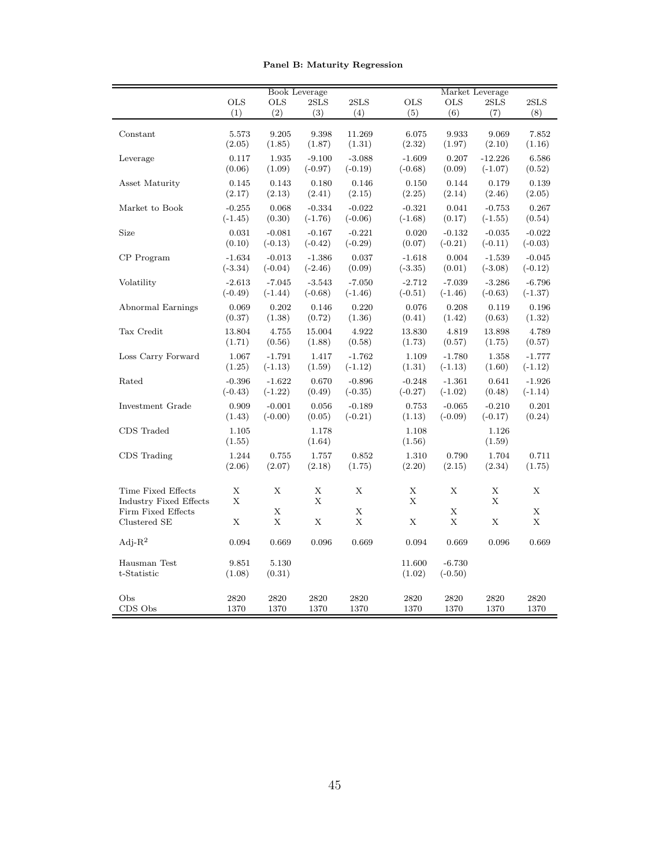# Panel B: Maturity Regression

|                               |           |            | <b>Book Leverage</b> |           |            |            | Market Leverage |           |
|-------------------------------|-----------|------------|----------------------|-----------|------------|------------|-----------------|-----------|
|                               | OLS       | <b>OLS</b> | 2SLS                 | 2SLS      | <b>OLS</b> | <b>OLS</b> | 2SLS            | 2SLS      |
|                               | (1)       | (2)        | (3)                  | (4)       | (5)        | (6)        | (7)             | (8)       |
| Constant                      | 5.573     | 9.205      | 9.398                | 11.269    | 6.075      | 9.933      | 9.069           | 7.852     |
|                               | (2.05)    | (1.85)     | (1.87)               | (1.31)    | (2.32)     | (1.97)     | (2.10)          | (1.16)    |
|                               |           |            |                      |           |            |            |                 |           |
| Leverage                      | 0.117     | 1.935      | $-9.100$             | $-3.088$  | $-1.609$   | 0.207      | $-12.226$       | 6.586     |
|                               | (0.06)    | (1.09)     | $(-0.97)$            | $(-0.19)$ | $(-0.68)$  | (0.09)     | $(-1.07)$       | (0.52)    |
| Asset Maturity                | 0.145     | 0.143      | 0.180                | 0.146     | 0.150      | 0.144      | 0.179           | 0.139     |
|                               | (2.17)    | (2.13)     | (2.41)               | (2.15)    | (2.25)     | (2.14)     | (2.46)          | (2.05)    |
| Market to Book                | $-0.255$  | 0.068      | $-0.334$             | $-0.022$  | $-0.321$   | 0.041      | $-0.753$        | 0.267     |
|                               | $(-1.45)$ | (0.30)     | $(-1.76)$            | $(-0.06)$ | $(-1.68)$  | (0.17)     | $(-1.55)$       | (0.54)    |
| Size                          | 0.031     | $-0.081$   | $-0.167$             | $-0.221$  | 0.020      | $-0.132$   | $-0.035$        | $-0.022$  |
|                               | (0.10)    | $(-0.13)$  | $(-0.42)$            | $(-0.29)$ | (0.07)     | $(-0.21)$  | $(-0.11)$       | $(-0.03)$ |
| CP Program                    | $-1.634$  | $-0.013$   | $-1.386$             | 0.037     | $-1.618$   | 0.004      | $-1.539$        | $-0.045$  |
|                               | $(-3.34)$ | $(-0.04)$  | $(-2.46)$            | (0.09)    | $(-3.35)$  | (0.01)     | $(-3.08)$       | $(-0.12)$ |
|                               |           |            |                      |           |            |            |                 |           |
| Volatility                    | $-2.613$  | $-7.045$   | $-3.543$             | $-7.050$  | $-2.712$   | $-7.039$   | $-3.286$        | $-6.796$  |
|                               | $(-0.49)$ | $(-1.44)$  | $(-0.68)$            | $(-1.46)$ | $(-0.51)$  | $(-1.46)$  | $(-0.63)$       | $(-1.37)$ |
| Abnormal Earnings             | 0.069     | 0.202      | 0.146                | 0.220     | 0.076      | 0.208      | 0.119           | 0.196     |
|                               | (0.37)    | (1.38)     | (0.72)               | (1.36)    | (0.41)     | (1.42)     | (0.63)          | (1.32)    |
| Tax Credit                    | 13.804    | 4.755      | 15.004               | 4.922     | 13.830     | 4.819      | 13.898          | 4.789     |
|                               | (1.71)    | (0.56)     | (1.88)               | (0.58)    | (1.73)     | (0.57)     | (1.75)          | (0.57)    |
| Loss Carry Forward            | 1.067     | $-1.791$   | 1.417                | $-1.762$  | 1.109      | $-1.780$   | 1.358           | $-1.777$  |
|                               | (1.25)    | $(-1.13)$  | (1.59)               | $(-1.12)$ | (1.31)     | $(-1.13)$  | (1.60)          | $(-1.12)$ |
|                               | $-0.396$  | $-1.622$   | 0.670                | $-0.896$  | $-0.248$   | $-1.361$   | 0.641           | $-1.926$  |
| Rated                         | $(-0.43)$ | $(-1.22)$  | (0.49)               | $(-0.35)$ | $(-0.27)$  | $(-1.02)$  | (0.48)          | $(-1.14)$ |
|                               |           |            |                      |           |            |            |                 |           |
| Investment Grade              | 0.909     | $-0.001$   | 0.056                | $-0.189$  | 0.753      | $-0.065$   | $-0.210$        | 0.201     |
|                               | (1.43)    | $(-0.00)$  | (0.05)               | $(-0.21)$ | (1.13)     | $(-0.09)$  | $(-0.17)$       | (0.24)    |
| CDS Traded                    | 1.105     |            | 1.178                |           | 1.108      |            | 1.126           |           |
|                               | (1.55)    |            | (1.64)               |           | (1.56)     |            | (1.59)          |           |
| CDS Trading                   | 1.244     | 0.755      | 1.757                | 0.852     | 1.310      | 0.790      | 1.704           | 0.711     |
|                               | (2.06)    | (2.07)     | (2.18)               | (1.75)    | (2.20)     | (2.15)     | (2.34)          | (1.75)    |
|                               |           |            |                      |           |            |            |                 |           |
| Time Fixed Effects            | X         | X          | X                    | X         | X          | X          | X               | X         |
| <b>Industry Fixed Effects</b> | X         |            | X                    |           | X          |            | X               |           |
| Firm Fixed Effects            |           | X          |                      | X         |            | X          |                 | X         |
| Clustered SE                  | X         | X          | X                    | X         | X          | X          | X               | X         |
|                               |           |            |                      |           |            |            |                 |           |
| Adj- $R^2$                    | 0.094     | 0.669      | 0.096                | 0.669     | 0.094      | 0.669      | 0.096           | 0.669     |
|                               |           |            |                      |           |            |            |                 |           |
| Hausman Test                  | 9.851     | 5.130      |                      |           | 11.600     | $-6.730$   |                 |           |
| t-Statistic                   | (1.08)    | (0.31)     |                      |           | (1.02)     | $(-0.50)$  |                 |           |
|                               |           |            |                      |           |            |            |                 |           |
| Obs                           | 2820      | 2820       | 2820                 | 2820      | 2820       | 2820       | 2820            | 2820      |
| CDS Obs                       | 1370      | 1370       | 1370                 | 1370      | 1370       | 1370       | 1370            | 1370      |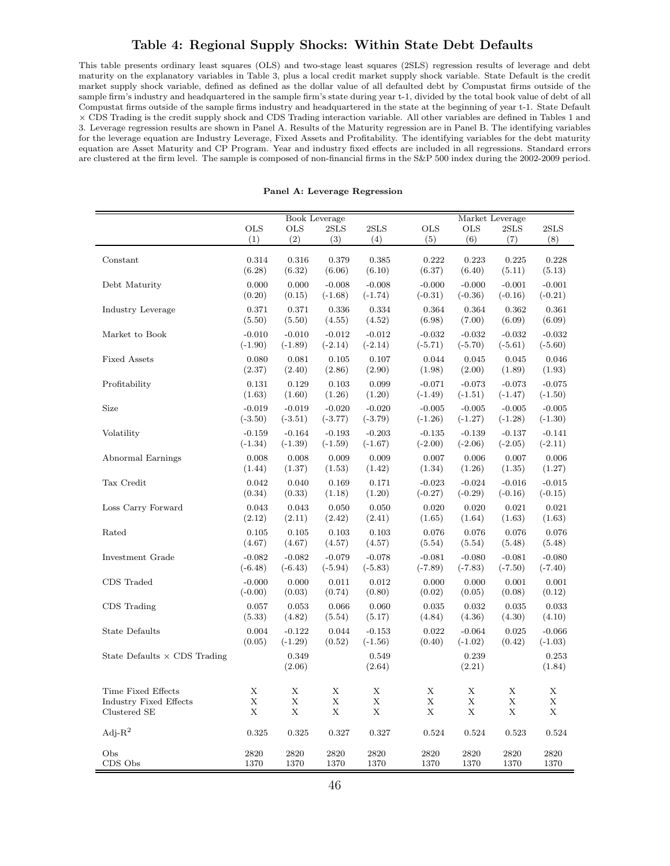# <span id="page-46-0"></span>Table 4: Regional Supply Shocks: Within State Debt Defaults

This table presents ordinary least squares (OLS) and two-stage least squares (2SLS) regression results of leverage and debt maturity on the explanatory variables in Table 3, plus a local credit market supply shock variable. State Default is the credit market supply shock variable, defined as defined as the dollar value of all defaulted debt by Compustat firms outside of the sample firm's industry and headquartered in the sample firm's state during year t-1, divided by the total book value of debt of all Compustat firms outside of the sample firms industry and headquartered in the state at the beginning of year t-1. State Default × CDS Trading is the credit supply shock and CDS Trading interaction variable. All other variables are defined in Tables 1 and 3. Leverage regression results are shown in Panel A. Results of the Maturity regression are in Panel B. The identifying variables for the leverage equation are Industry Leverage, Fixed Assets and Profitability. The identifying variables for the debt maturity equation are Asset Maturity and CP Program. Year and industry fixed effects are included in all regressions. Standard errors are clustered at the firm level. The sample is composed of non-financial firms in the S&P 500 index during the 2002-2009 period.

|                                     |            |           | <b>Book Leverage</b> |             |             |             | Market Leverage |           |
|-------------------------------------|------------|-----------|----------------------|-------------|-------------|-------------|-----------------|-----------|
|                                     | <b>OLS</b> | OLS       | $2{\rm SLS}$         | 2SLS        | <b>OLS</b>  | <b>OLS</b>  | 2SLS            | 2SLS      |
|                                     | (1)        | (2)       | (3)                  | (4)         | (5)         | (6)         | (7)             | (8)       |
|                                     |            |           |                      |             |             |             |                 |           |
| Constant                            | 0.314      | 0.316     | 0.379                | 0.385       | 0.222       | 0.223       | 0.225           | 0.228     |
|                                     | (6.28)     | (6.32)    | (6.06)               | (6.10)      | (6.37)      | (6.40)      | (5.11)          | (5.13)    |
| Debt Maturity                       | 0.000      | 0.000     | $-0.008$             | $-0.008$    | $-0.000$    | $-0.000$    | $-0.001$        | $-0.001$  |
|                                     | (0.20)     | (0.15)    | $(-1.68)$            | $(-1.74)$   | $(-0.31)$   | $(-0.36)$   | $(-0.16)$       | $(-0.21)$ |
| Industry Leverage                   | 0.371      | 0.371     | 0.336                | 0.334       | 0.364       | 0.364       | 0.362           | 0.361     |
|                                     | (5.50)     | (5.50)    | (4.55)               | (4.52)      | (6.98)      | (7.00)      | (6.09)          | (6.09)    |
| Market to Book                      | $-0.010$   | $-0.010$  | $-0.012$             | $-0.012$    | $-0.032$    | $-0.032$    | $-0.032$        | $-0.032$  |
|                                     | $(-1.90)$  | $(-1.89)$ | $(-2.14)$            | $(-2.14)$   | $(-5.71)$   | $(-5.70)$   | $(-5.61)$       | $(-5.60)$ |
| <b>Fixed Assets</b>                 | 0.080      | 0.081     | 0.105                | 0.107       | 0.044       | 0.045       | 0.045           | 0.046     |
|                                     | (2.37)     | (2.40)    | (2.86)               | (2.90)      | (1.98)      | (2.00)      | (1.89)          | (1.93)    |
| Profitability                       | 0.131      | 0.129     | 0.103                | 0.099       | $-0.071$    | $-0.073$    | $-0.073$        | $-0.075$  |
|                                     | (1.63)     | (1.60)    | (1.26)               | (1.20)      | $(-1.49)$   | $(-1.51)$   | $(-1.47)$       | $(-1.50)$ |
| Size                                | $-0.019$   | $-0.019$  | $-0.020$             | $-0.020$    | $-0.005$    | $-0.005$    | $-0.005$        | $-0.005$  |
|                                     | $(-3.50)$  | $(-3.51)$ | $(-3.77)$            | $(-3.79)$   | $(-1.26)$   | $(-1.27)$   | $(-1.28)$       | $(-1.30)$ |
| Volatility                          | $-0.159$   | $-0.164$  | $-0.193$             | $-0.203$    | $-0.135$    | $-0.139$    | $-0.137$        | $-0.141$  |
|                                     | $(-1.34)$  | $(-1.39)$ | $(-1.59)$            | $(-1.67)$   | $(-2.00)$   | $(-2.06)$   | $(-2.05)$       | $(-2.11)$ |
| Abnormal Earnings                   | 0.008      | 0.008     | 0.009                | 0.009       | 0.007       | 0.006       | 0.007           | 0.006     |
|                                     | (1.44)     | (1.37)    | (1.53)               | (1.42)      | (1.34)      | (1.26)      | (1.35)          | (1.27)    |
| Tax Credit                          | 0.042      | 0.040     | 0.169                | 0.171       | $-0.023$    | $-0.024$    | $-0.016$        | $-0.015$  |
|                                     | (0.34)     | (0.33)    | (1.18)               | (1.20)      | $(-0.27)$   | $(-0.29)$   | $(-0.16)$       | $(-0.15)$ |
| Loss Carry Forward                  | 0.043      | 0.043     | 0.050                | 0.050       | 0.020       | 0.020       | 0.021           | 0.021     |
|                                     | (2.12)     | (2.11)    | (2.42)               | (2.41)      | (1.65)      | (1.64)      | (1.63)          | (1.63)    |
| Rated                               | 0.105      | 0.105     | 0.103                | 0.103       | 0.076       | 0.076       | 0.076           | 0.076     |
|                                     | (4.67)     | (4.67)    | (4.57)               | (4.57)      | (5.54)      | (5.54)      | (5.48)          | (5.48)    |
| Investment Grade                    | $-0.082$   | $-0.082$  | $-0.079$             | $-0.078$    | $-0.081$    | $-0.080$    | $-0.081$        | $-0.080$  |
|                                     | $(-6.48)$  | $(-6.43)$ | $(-5.94)$            | $(-5.83)$   | $(-7.89)$   | $(-7.83)$   | $(-7.50)$       | $(-7.40)$ |
| CDS Traded                          | $-0.000$   | 0.000     | 0.011                | 0.012       | 0.000       | 0.000       | 0.001           | 0.001     |
|                                     | $(-0.00)$  | (0.03)    | (0.74)               | (0.80)      | (0.02)      | (0.05)      | (0.08)          | (0.12)    |
| CDS Trading                         | 0.057      | 0.053     | 0.066                | 0.060       | 0.035       | 0.032       | 0.035           | 0.033     |
|                                     | (5.33)     | (4.82)    | (5.54)               | (5.17)      | (4.84)      | (4.36)      | (4.30)          | (4.10)    |
| State Defaults                      | 0.004      | $-0.122$  | 0.044                | $-0.153$    | 0.022       | $-0.064$    | 0.025           | $-0.066$  |
|                                     | (0.05)     | $(-1.29)$ | (0.52)               | $(-1.56)$   | (0.40)      | $(-1.02)$   | (0.42)          | $(-1.03)$ |
|                                     |            | 0.349     |                      | 0.549       |             | 0.239       |                 | 0.253     |
| State Defaults $\times$ CDS Trading |            | (2.06)    |                      | (2.64)      |             | (2.21)      |                 | (1.84)    |
|                                     |            |           |                      |             |             |             |                 |           |
| Time Fixed Effects                  | Х          | Х         | Χ                    | Х           | Х           | Χ           | Х               | Χ         |
| Industry Fixed Effects              | X          | X         | X                    | $\mathbf X$ | $\mathbf X$ | $\mathbf X$ | $\mathbf X$     | X         |
| Clustered SE                        | X          | X         | X                    | X           | X           | X           | X               | X         |
|                                     |            |           |                      |             |             |             |                 |           |
| Adj- $R^2$                          | 0.325      | 0.325     | 0.327                | 0.327       | 0.524       | 0.524       | 0.523           | 0.524     |
| Obs                                 | 2820       | 2820      | 2820                 | 2820        | 2820        | 2820        | 2820            | 2820      |
| CDS Obs                             | 1370       | 1370      | 1370                 | 1370        | 1370        | 1370        | 1370            | 1370      |

#### Panel A: Leverage Regression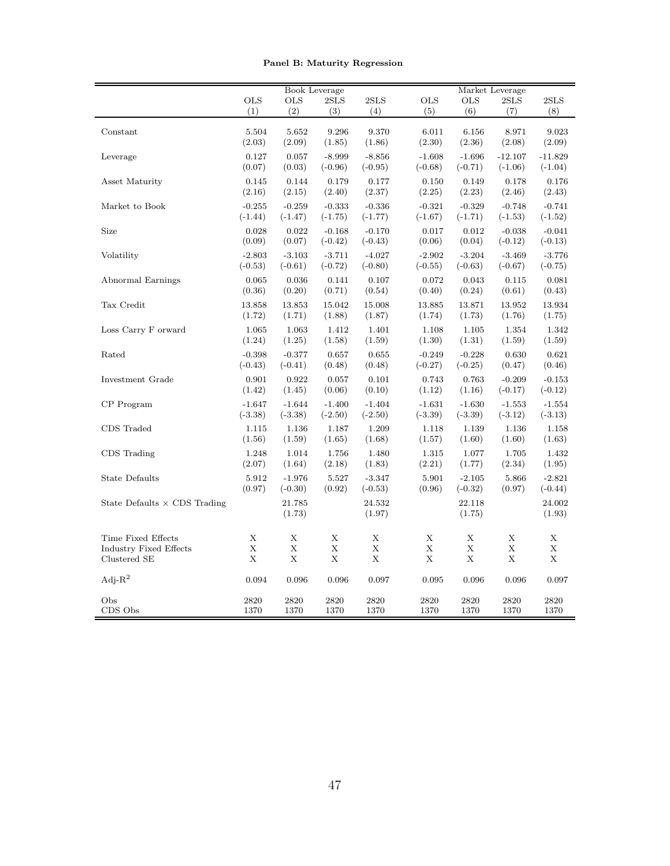|  | Panel B: Maturity Regression |
|--|------------------------------|
|  |                              |

|                                     |             |                  | <b>Book</b> Leverage |                  |             | Market Leverage  |           |                  |
|-------------------------------------|-------------|------------------|----------------------|------------------|-------------|------------------|-----------|------------------|
|                                     | <b>OLS</b>  | <b>OLS</b>       | 2SLS                 | 2SLS             | <b>OLS</b>  | <b>OLS</b>       | 2SLS      | 2SLS             |
|                                     | (1)         | (2)              | (3)                  | (4)              | (5)         | (6)              | (7)       | (8)              |
| Constant                            | 5.504       | 5.652            | 9.296                | 9.370            | 6.011       | 6.156            | 8.971     | 9.023            |
|                                     | (2.03)      | (2.09)           | (1.85)               | (1.86)           | (2.30)      | (2.36)           | (2.08)    | (2.09)           |
| Leverage                            | 0.127       | 0.057            | $-8.999$             | $-8.856$         | $-1.608$    | $-1.696$         | $-12.107$ | $-11.829$        |
|                                     | (0.07)      | (0.03)           | $(-0.96)$            | $(-0.95)$        | $(-0.68)$   | $(-0.71)$        | $(-1.06)$ | $(-1.04)$        |
| Asset Maturity                      | 0.145       | 0.144            | 0.179                | 0.177            | 0.150       | 0.149            | 0.178     | 0.176            |
|                                     | (2.16)      | (2.15)           | (2.40)               | (2.37)           | (2.25)      | (2.23)           | (2.46)    | (2.43)           |
| Market to Book                      | $-0.255$    | $-0.259$         | $-0.333$             | $-0.336$         | $-0.321$    | $-0.329$         | $-0.748$  | $-0.741$         |
|                                     | $(-1.44)$   | $(-1.47)$        | $(-1.75)$            | $(-1.77)$        | $(-1.67)$   | $(-1.71)$        | $(-1.53)$ | $(-1.52)$        |
| Size                                | 0.028       | 0.022            | $-0.168$             | $-0.170$         | 0.017       | 0.012            | $-0.038$  | $-0.041$         |
|                                     | (0.09)      | (0.07)           | $(-0.42)$            | $(-0.43)$        | (0.06)      | (0.04)           | $(-0.12)$ | $(-0.13)$        |
| Volatility                          | $-2.803$    | $-3.103$         | $-3.711$             | $-4.027$         | $-2.902$    | $-3.204$         | $-3.469$  | $-3.776$         |
|                                     | $(-0.53)$   | $(-0.61)$        | $(-0.72)$            | $(-0.80)$        | $(-0.55)$   | $(-0.63)$        | $(-0.67)$ | $(-0.75)$        |
| Abnormal Earnings                   | 0.065       | 0.036            | 0.141                | 0.107            | 0.072       | 0.043            | 0.115     | 0.081            |
|                                     | (0.36)      | (0.20)           | (0.71)               | (0.54)           | (0.40)      | (0.24)           | (0.61)    | (0.43)           |
| Tax Credit                          | 13.858      | 13.853           | 15.042               | 15.008           | 13.885      | 13.871           | 13.952    | 13.934           |
|                                     | (1.72)      | (1.71)           | (1.88)               | (1.87)           | (1.74)      | (1.73)           | (1.76)    | (1.75)           |
| Loss Carry F orward                 | 1.065       | 1.063            | 1.412                | 1.401            | 1.108       | 1.105            | 1.354     | 1.342            |
|                                     | (1.24)      | (1.25)           | (1.58)               | (1.59)           | (1.30)      | (1.31)           | (1.59)    | (1.59)           |
| Rated                               | $-0.398$    | $-0.377$         | 0.657                | 0.655            | $-0.249$    | $-0.228$         | 0.630     | 0.621            |
|                                     | $(-0.43)$   | $(-0.41)$        | (0.48)               | (0.48)           | $(-0.27)$   | $(-0.25)$        | (0.47)    | (0.46)           |
| Investment Grade                    | 0.901       | 0.922            | 0.057                | 0.101            | 0.743       | 0.763            | $-0.209$  | $-0.153$         |
|                                     | (1.42)      | (1.45)           | (0.06)               | (0.10)           | (1.12)      | (1.16)           | $(-0.17)$ | $(-0.12)$        |
| CP Program                          | $-1.647$    | $-1.644$         | $-1.400$             | $-1.404$         | $-1.631$    | $-1.630$         | $-1.553$  | $-1.554$         |
|                                     | $(-3.38)$   | $(-3.38)$        | $(-2.50)$            | $(-2.50)$        | $(-3.39)$   | $(-3.39)$        | $(-3.12)$ | $(-3.13)$        |
| CDS Traded                          | 1.115       | 1.136            | 1.187                | 1.209            | 1.118       | 1.139            | 1.136     | 1.158            |
|                                     | (1.56)      | (1.59)           | (1.65)               | (1.68)           | (1.57)      | (1.60)           | (1.60)    | (1.63)           |
| CDS Trading                         | 1.248       | 1.014            | 1.756                | 1.480            | 1.315       | 1.077            | 1.705     | 1.432            |
|                                     | (2.07)      | (1.64)           | (2.18)               | (1.83)           | (2.21)      | (1.77)           | (2.34)    | (1.95)           |
| <b>State Defaults</b>               | 5.912       | $-1.976$         | 5.527                | $-3.347$         | 5.901       | $-2.105$         | 5.866     | $-2.821$         |
|                                     | (0.97)      | $(-0.30)$        | (0.92)               | $(-0.53)$        | (0.96)      | $(-0.32)$        | (0.97)    | $(-0.44)$        |
| State Defaults $\times$ CDS Trading |             | 21.785<br>(1.73) |                      | 24.532<br>(1.97) |             | 22.118<br>(1.75) |           | 24.002<br>(1.93) |
| Time Fixed Effects                  | X           | Χ                | X                    | X                | Х           | X                | X         | X                |
| <b>Industry Fixed Effects</b>       | X           | X                | X                    | $\mathbf X$      | X           | X                | X         | X                |
| Clustered SE                        | $\mathbf X$ | X                | X                    | X                | $\mathbf X$ | $\mathbf X$      | X         | $\mathbf X$      |
| Adj- $R^2$                          | 0.094       | 0.096            | 0.096                | 0.097            | 0.095       | 0.096            | 0.096     | 0.097            |
| Obs                                 | 2820        | 2820             | 2820                 | 2820             | 2820        | 2820             | 2820      | 2820             |
| CDS Obs                             | 1370        | 1370             | 1370                 | 1370             | 1370        | 1370             | 1370      | 1370             |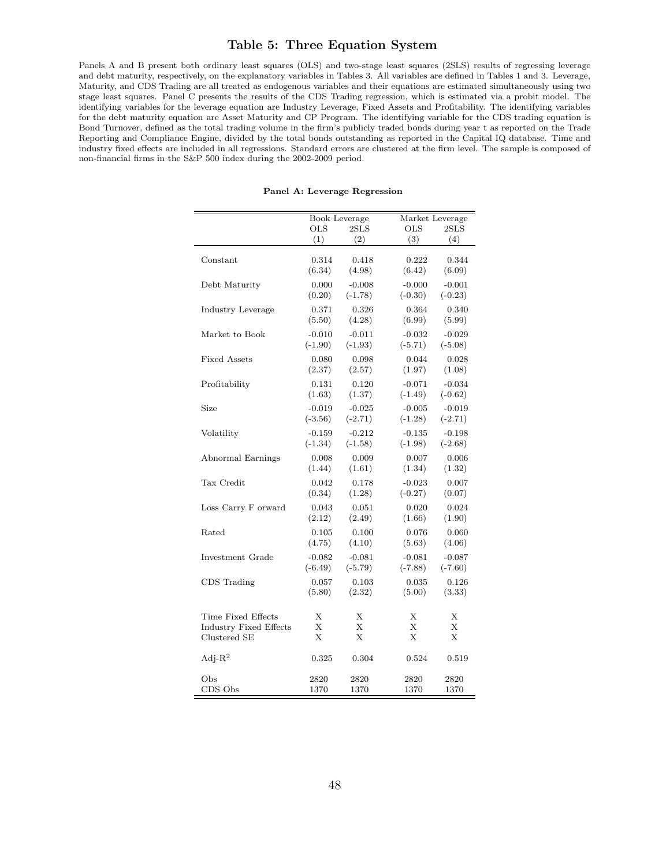# <span id="page-48-0"></span>Table 5: Three Equation System

Panels A and B present both ordinary least squares (OLS) and two-stage least squares (2SLS) results of regressing leverage and debt maturity, respectively, on the explanatory variables in Tables 3. All variables are defined in Tables 1 and 3. Leverage, Maturity, and CDS Trading are all treated as endogenous variables and their equations are estimated simultaneously using two stage least squares. Panel C presents the results of the CDS Trading regression, which is estimated via a probit model. The identifying variables for the leverage equation are Industry Leverage, Fixed Assets and Profitability. The identifying variables for the debt maturity equation are Asset Maturity and CP Program. The identifying variable for the CDS trading equation is Bond Turnover, defined as the total trading volume in the firm's publicly traded bonds during year t as reported on the Trade Reporting and Compliance Engine, divided by the total bonds outstanding as reported in the Capital IQ database. Time and industry fixed effects are included in all regressions. Standard errors are clustered at the firm level. The sample is composed of non-financial firms in the S&P 500 index during the 2002-2009 period.

|                               |            | <b>Book Leverage</b> | Market Leverage |           |
|-------------------------------|------------|----------------------|-----------------|-----------|
|                               | <b>OLS</b> | 2SLS                 | <b>OLS</b>      | 2SLS      |
|                               | (1)        | (2)                  | (3)             | (4)       |
| Constant                      | 0.314      | 0.418                | 0.222           | 0.344     |
|                               | (6.34)     | (4.98)               | (6.42)          | (6.09)    |
| Debt Maturity                 | 0.000      | $-0.008$             | $-0.000$        | $-0.001$  |
|                               | (0.20)     | $(-1.78)$            | $(-0.30)$       | $(-0.23)$ |
| <b>Industry Leverage</b>      | 0.371      | 0.326                | 0.364           | 0.340     |
|                               | (5.50)     | (4.28)               | (6.99)          | (5.99)    |
| Market to Book                | $-0.010$   | $-0.011$             | $-0.032$        | $-0.029$  |
|                               | $(-1.90)$  | $(-1.93)$            | $(-5.71)$       | $(-5.08)$ |
| <b>Fixed Assets</b>           | 0.080      | 0.098                | 0.044           | 0.028     |
|                               | (2.37)     | (2.57)               | (1.97)          | (1.08)    |
| Profitability                 | 0.131      | 0.120                | $-0.071$        | $-0.034$  |
|                               | (1.63)     | (1.37)               | $(-1.49)$       | $(-0.62)$ |
| Size                          | $-0.019$   | $-0.025$             | $-0.005$        | $-0.019$  |
|                               | $(-3.56)$  | $(-2.71)$            | $(-1.28)$       | $(-2.71)$ |
| Volatility                    | $-0.159$   | $-0.212$             | $-0.135$        | $-0.198$  |
|                               | $(-1.34)$  | $(-1.58)$            | $(-1.98)$       | $(-2.68)$ |
| Abnormal Earnings             | 0.008      | 0.009                | 0.007           | 0.006     |
|                               | (1.44)     | (1.61)               | (1.34)          | (1.32)    |
| Tax Credit                    | 0.042      | 0.178                | $-0.023$        | 0.007     |
|                               | (0.34)     | (1.28)               | $(-0.27)$       | (0.07)    |
| Loss Carry F orward           | 0.043      | 0.051                | 0.020           | 0.024     |
|                               | (2.12)     | (2.49)               | (1.66)          | (1.90)    |
| Rated                         | 0.105      | 0.100                | 0.076           | 0.060     |
|                               | (4.75)     | (4.10)               | (5.63)          | (4.06)    |
| Investment Grade              | $-0.082$   | $-0.081$             | $-0.081$        | $-0.087$  |
|                               | $(-6.49)$  | $(-5.79)$            | $(-7.88)$       | $(-7.60)$ |
| CDS Trading                   | 0.057      | 0.103                | 0.035           | 0.126     |
|                               | (5.80)     | (2.32)               | (5.00)          | (3.33)    |
| Time Fixed Effects            | Х          | X                    | Х               | X         |
| <b>Industry Fixed Effects</b> | Х          | X                    | X               | X         |
| Clustered SE                  | X          | X                    | X               | X         |
| Adj- $R^2$                    | 0.325      | 0.304                | 0.524           | 0.519     |
| Obs                           | 2820       | 2820                 | 2820            | 2820      |
| CDS Obs                       | 1370       | 1370                 | 1370            | 1370      |

#### Panel A: Leverage Regression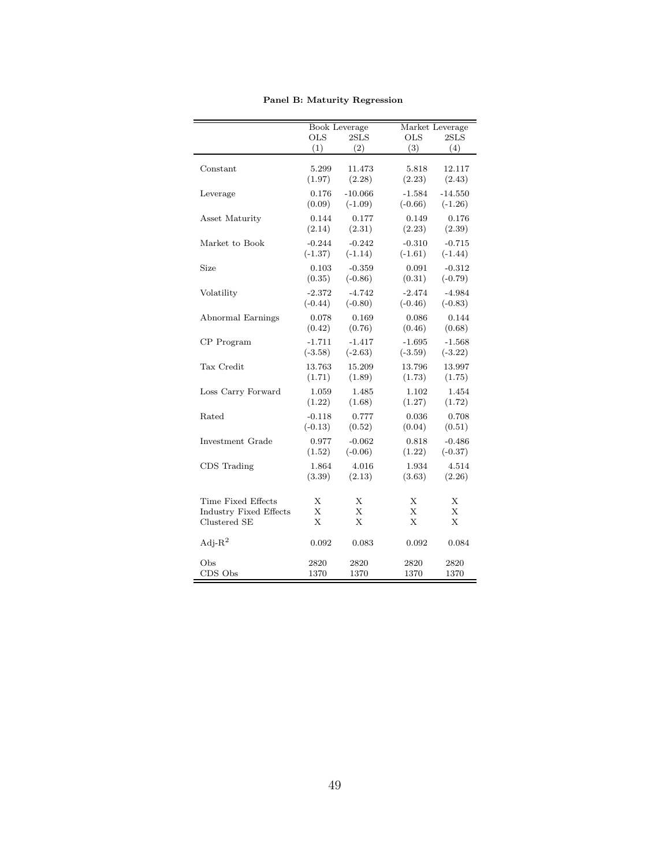|                        |            | <b>Book Leverage</b> |           | Market Leverage |
|------------------------|------------|----------------------|-----------|-----------------|
|                        | <b>OLS</b> | 2SLS                 | OLS       | 2SLS            |
|                        | (1)        | (2)                  | (3)       | (4)             |
| Constant               | 5.299      | 11.473               | 5.818     | 12.117          |
|                        | (1.97)     | (2.28)               | (2.23)    | (2.43)          |
| Leverage               | 0.176      | $-10.066$            | $-1.584$  | $-14.550$       |
|                        | (0.09)     | $(-1.09)$            | $(-0.66)$ | $(-1.26)$       |
| Asset Maturity         | 0.144      | 0.177                | 0.149     | 0.176           |
|                        | (2.14)     | (2.31)               | (2.23)    | (2.39)          |
| Market to Book         | $-0.244$   | $-0.242$             | $-0.310$  | $-0.715$        |
|                        | $(-1.37)$  | $(-1.14)$            | $(-1.61)$ | $(-1.44)$       |
| Size                   | 0.103      | $-0.359$             | 0.091     | $-0.312$        |
|                        | (0.35)     | $(-0.86)$            | (0.31)    | $(-0.79)$       |
| Volatility             | $-2.372$   | $-4.742$             | $-2.474$  | $-4.984$        |
|                        | $(-0.44)$  | $(-0.80)$            | $(-0.46)$ | $(-0.83)$       |
| Abnormal Earnings      | 0.078      | 0.169                | 0.086     | 0.144           |
|                        | (0.42)     | (0.76)               | (0.46)    | (0.68)          |
| CP Program             | $-1.711$   | $-1.417$             | $-1.695$  | $-1.568$        |
|                        | $(-3.58)$  | $(-2.63)$            | $(-3.59)$ | $(-3.22)$       |
| Tax Credit             | 13.763     | 15.209               | 13.796    | 13.997          |
|                        | (1.71)     | (1.89)               | (1.73)    | (1.75)          |
| Loss Carry Forward     | 1.059      | 1.485                | 1.102     | 1.454           |
|                        | (1.22)     | (1.68)               | (1.27)    | (1.72)          |
| Rated                  | $-0.118$   | 0.777                | 0.036     | 0.708           |
|                        | $(-0.13)$  | (0.52)               | (0.04)    | (0.51)          |
| Investment Grade       | 0.977      | $-0.062$             | 0.818     | $-0.486$        |
|                        | (1.52)     | $(-0.06)$            | (1.22)    | $(-0.37)$       |
| CDS Trading            | 1.864      | 4.016                | 1.934     | 4.514           |
|                        | (3.39)     | (2.13)               | (3.63)    | (2.26)          |
| Time Fixed Effects     | Χ          | Х                    | Х         | Х               |
| Industry Fixed Effects | X          | Х                    | Х         | Х               |
| Clustered SE           | X          | Х                    | X         | X               |
| Adj- $R^2$             | 0.092      | 0.083                | 0.092     | 0.084           |
| Obs                    | 2820       | 2820                 | 2820      | 2820            |
| CDS Obs                | 1370       | 1370                 | 1370      | 1370            |

Panel B: Maturity Regression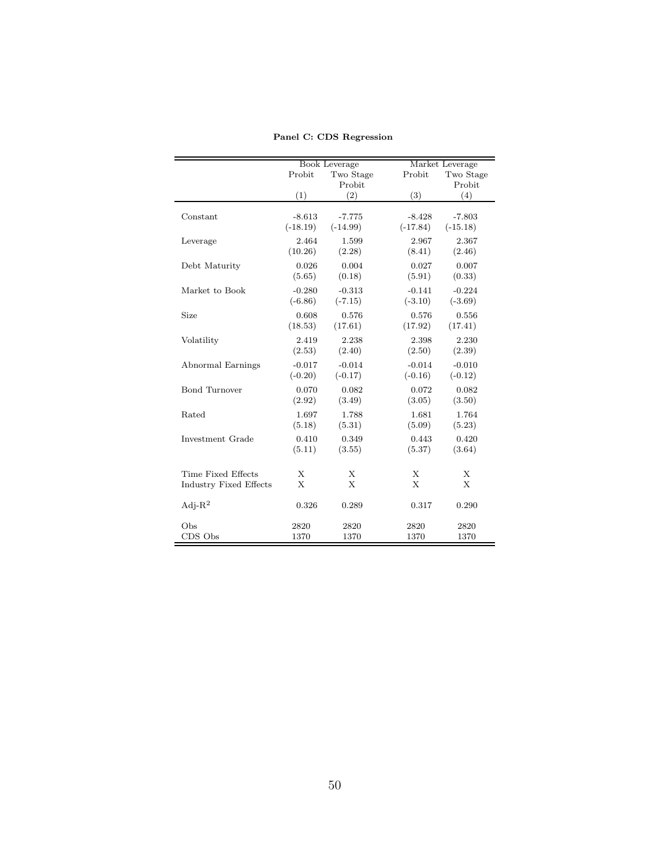|                               |            | Book Leverage |              | Market Leverage |
|-------------------------------|------------|---------------|--------------|-----------------|
|                               | Probit     | Two Stage     | Probit       | Two Stage       |
|                               |            | Probit        |              | Probit          |
|                               | (1)        | (2)           | (3)          | (4)             |
| Constant                      | $-8.613$   | $-7.775$      | $-8.428$     | $-7.803$        |
|                               | $(-18.19)$ | $(-14.99)$    | $(-17.84)$   | $(-15.18)$      |
|                               |            |               |              |                 |
| Leverage                      | 2.464      | 1.599         | 2.967        | 2.367           |
|                               | (10.26)    | (2.28)        | (8.41)       | (2.46)          |
| Debt Maturity                 | 0.026      | 0.004         | 0.027        | 0.007           |
|                               | (5.65)     | (0.18)        | (5.91)       | (0.33)          |
| Market to Book                | $-0.280$   | $-0.313$      | $-0.141$     | $-0.224$        |
|                               | $(-6.86)$  | $(-7.15)$     | $(-3.10)$    | $(-3.69)$       |
| Size                          | 0.608      | 0.576         | 0.576        | 0.556           |
|                               | (18.53)    | (17.61)       | (17.92)      | (17.41)         |
| Volatility                    | 2.419      | 2.238         | 2.398        | 2.230           |
|                               | (2.53)     | (2.40)        | (2.50)       | (2.39)          |
|                               | $-0.017$   | $-0.014$      | $-0.014$     | $-0.010$        |
| Abnormal Earnings             | $(-0.20)$  | $(-0.17)$     | $(-0.16)$    | $(-0.12)$       |
|                               |            |               |              |                 |
| <b>Bond Turnover</b>          | 0.070      | 0.082         | 0.072        | 0.082           |
|                               | (2.92)     | (3.49)        | (3.05)       | (3.50)          |
| Rated                         | 1.697      | 1.788         | 1.681        | 1.764           |
|                               | (5.18)     | (5.31)        | (5.09)       | (5.23)          |
| Investment Grade              | 0.410      | 0.349         | 0.443        | 0.420           |
|                               | (5.11)     | (3.55)        | (5.37)       | (3.64)          |
|                               |            |               |              |                 |
| Time Fixed Effects            | X          | X             | X            | X               |
| <b>Industry Fixed Effects</b> | X          | X             | $\mathbf{x}$ | X               |
|                               |            |               |              |                 |
| Adj- $R^2$                    | 0.326      | 0.289         | 0.317        | 0.290           |
|                               |            |               |              |                 |
| Obs                           | 2820       | 2820          | 2820         | 2820            |
| CDS Obs                       | 1370       | 1370          | 1370         | 1370            |

Panel C: CDS Regression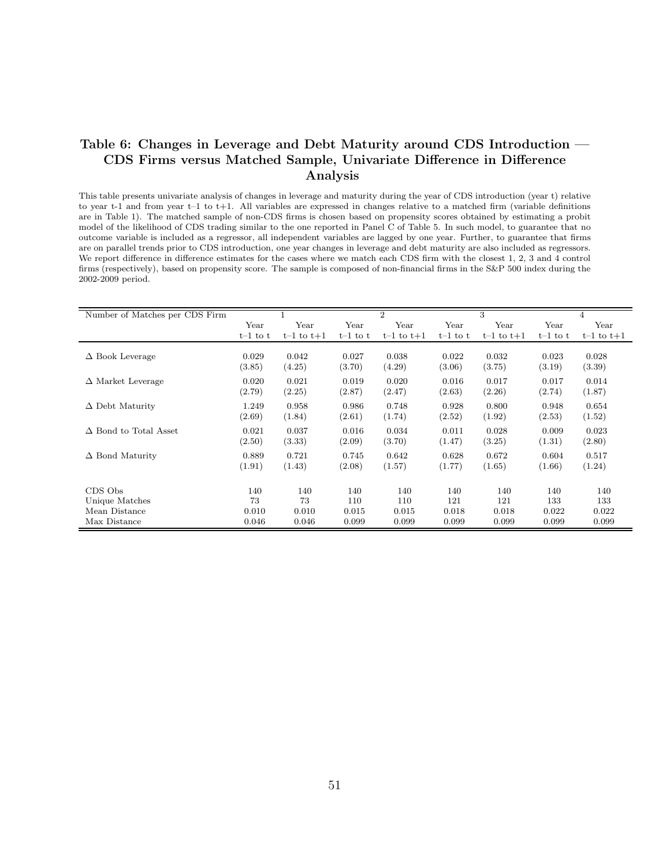# <span id="page-51-0"></span>Table 6: Changes in Leverage and Debt Maturity around CDS Introduction — CDS Firms versus Matched Sample, Univariate Difference in Difference Analysis

This table presents univariate analysis of changes in leverage and maturity during the year of CDS introduction (year t) relative to year t-1 and from year t-1 to t+1. All variables are expressed in changes relative to a matched firm (variable definitions are in Table 1). The matched sample of non-CDS firms is chosen based on propensity scores obtained by estimating a probit model of the likelihood of CDS trading similar to the one reported in Panel C of Table 5. In such model, to guarantee that no outcome variable is included as a regressor, all independent variables are lagged by one year. Further, to guarantee that firms are on parallel trends prior to CDS introduction, one year changes in leverage and debt maturity are also included as regressors. We report difference in difference estimates for the cases where we match each CDS firm with the closest 1, 2, 3 and 4 control firms (respectively), based on propensity score. The sample is composed of non-financial firms in the S&P 500 index during the 2002-2009 period.

| Number of Matches per CDS Firm |            |                |            | $\overline{2}$ |            | 3              |            | 4              |
|--------------------------------|------------|----------------|------------|----------------|------------|----------------|------------|----------------|
|                                | Year       | Year           | Year       | Year           | Year       | Year           | Year       | Year           |
|                                | $t-1$ to t | $t-1$ to $t+1$ | $t-1$ to t | $t-1$ to $t+1$ | $t-1$ to t | $t-1$ to $t+1$ | $t-1$ to t | $t-1$ to $t+1$ |
|                                |            |                |            |                |            |                |            |                |
| $\Delta$ Book Leverage         | 0.029      | 0.042          | 0.027      | 0.038          | 0.022      | 0.032          | 0.023      | 0.028          |
|                                | (3.85)     | (4.25)         | (3.70)     | (4.29)         | (3.06)     | (3.75)         | (3.19)     | (3.39)         |
| $\Delta$ Market Leverage       | 0.020      | 0.021          | 0.019      | 0.020          | 0.016      | 0.017          | 0.017      | 0.014          |
|                                | (2.79)     | (2.25)         | (2.87)     | (2.47)         | (2.63)     | (2.26)         | (2.74)     | (1.87)         |
| $\Delta$ Debt Maturity         | 1.249      | 0.958          | 0.986      | 0.748          | 0.928      | 0.800          | 0.948      | 0.654          |
|                                | (2.69)     | (1.84)         | (2.61)     | (1.74)         | (2.52)     | (1.92)         | (2.53)     | (1.52)         |
| $\Delta$ Bond to Total Asset   | 0.021      | 0.037          | 0.016      | 0.034          | 0.011      | 0.028          | 0.009      | 0.023          |
|                                | (2.50)     | (3.33)         | (2.09)     | (3.70)         | (1.47)     | (3.25)         | (1.31)     | (2.80)         |
| $\Delta$ Bond Maturity         | 0.889      | 0.721          | 0.745      | 0.642          | 0.628      | 0.672          | 0.604      | 0.517          |
|                                | (1.91)     | (1.43)         | (2.08)     | (1.57)         | (1.77)     | (1.65)         | (1.66)     | (1.24)         |
|                                |            |                |            |                |            |                |            |                |
| CDS Obs                        | 140        | 140            | 140        | 140            | 140        | 140            | 140        | 140            |
| Unique Matches                 | 73         | 73             | 110        | 110            | 121        | 121            | 133        | 133            |
| Mean Distance                  | 0.010      | 0.010          | 0.015      | 0.015          | 0.018      | 0.018          | 0.022      | 0.022          |
| Max Distance                   | 0.046      | 0.046          | 0.099      | 0.099          | 0.099      | 0.099          | 0.099      | 0.099          |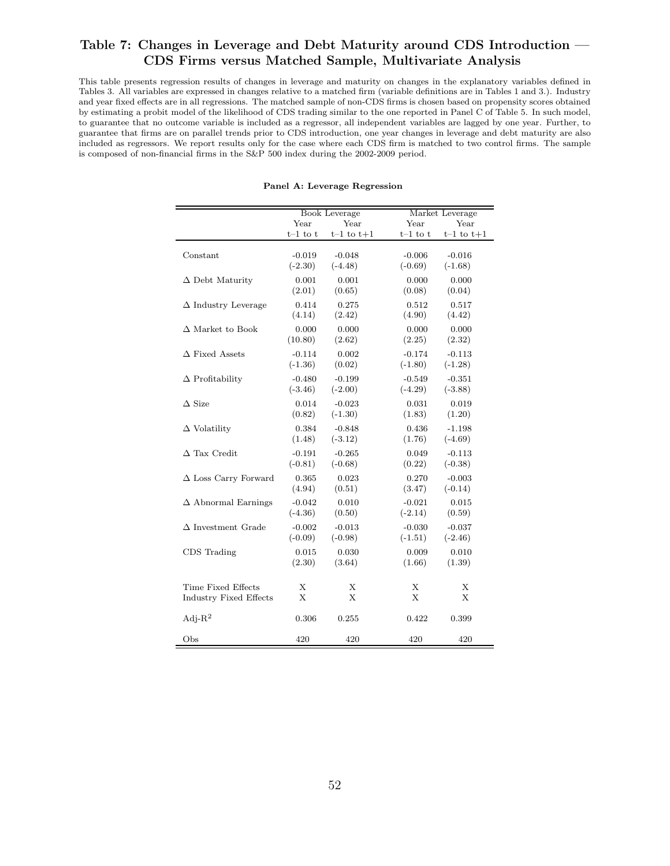# <span id="page-52-0"></span>Table 7: Changes in Leverage and Debt Maturity around CDS Introduction — CDS Firms versus Matched Sample, Multivariate Analysis

This table presents regression results of changes in leverage and maturity on changes in the explanatory variables defined in Tables 3. All variables are expressed in changes relative to a matched firm (variable definitions are in Tables 1 and 3.). Industry and year fixed effects are in all regressions. The matched sample of non-CDS firms is chosen based on propensity scores obtained by estimating a probit model of the likelihood of CDS trading similar to the one reported in Panel C of Table 5. In such model, to guarantee that no outcome variable is included as a regressor, all independent variables are lagged by one year. Further, to guarantee that firms are on parallel trends prior to CDS introduction, one year changes in leverage and debt maturity are also included as regressors. We report results only for the case where each CDS firm is matched to two control firms. The sample is composed of non-financial firms in the S&P 500 index during the 2002-2009 period.

|                               | <b>Book Leverage</b><br>Market Leverage |                |                 |                 |
|-------------------------------|-----------------------------------------|----------------|-----------------|-----------------|
|                               | Year                                    | Year           | Year            | Year            |
|                               | $t-1$ to t                              | $t-1$ to $t+1$ | $t-1$ to t      | $t-1$ to $t+1$  |
| Constant                      | $-0.019$                                | $-0.048$       | $-0.006$        | $-0.016$        |
|                               | $(-2.30)$                               | $(-4.48)$      | $(-0.69)$       | $(-1.68)$       |
|                               | 0.001                                   | 0.001          | 0.000           | 0.000           |
| $\Delta$ Debt Maturity        | (2.01)                                  | (0.65)         | (0.08)          | (0.04)          |
|                               |                                         |                |                 |                 |
| $\Delta$ Industry Leverage    | 0.414<br>(4.14)                         | 0.275          | 0.512<br>(4.90) | 0.517<br>(4.42) |
|                               |                                         | (2.42)         |                 |                 |
| $\Delta$ Market to Book       | 0.000                                   | 0.000          | 0.000           | 0.000           |
|                               | (10.80)                                 | (2.62)         | (2.25)          | (2.32)          |
| $\Delta$ Fixed Assets         | $-0.114$                                | 0.002          | $-0.174$        | $-0.113$        |
|                               | $(-1.36)$                               | (0.02)         | $(-1.80)$       | $(-1.28)$       |
| $\Delta$ Profitability        | $-0.480$                                | $-0.199$       | $-0.549$        | $-0.351$        |
|                               | $(-3.46)$                               | $(-2.00)$      | $(-4.29)$       | $(-3.88)$       |
| $\Delta$ Size                 | 0.014                                   | $-0.023$       | 0.031           | 0.019           |
|                               | (0.82)                                  | $(-1.30)$      | (1.83)          | (1.20)          |
| $\Delta$ Volatility           | 0.384                                   | $-0.848$       | 0.436           | $-1.198$        |
|                               | (1.48)                                  | $(-3.12)$      | (1.76)          | $(-4.69)$       |
| $\Delta$ Tax Credit           | $-0.191$                                | $-0.265$       | 0.049           | $-0.113$        |
|                               | $(-0.81)$                               | $(-0.68)$      | (0.22)          | $(-0.38)$       |
| $\Delta$ Loss Carry Forward   | 0.365                                   | 0.023          | 0.270           | $-0.003$        |
|                               | (4.94)                                  | (0.51)         | (3.47)          | $(-0.14)$       |
| $\Delta$ Abnormal Earnings    | $-0.042$                                | 0.010          | $-0.021$        | 0.015           |
|                               | $(-4.36)$                               | (0.50)         | $(-2.14)$       | (0.59)          |
| $\Delta$ Investment Grade     | $-0.002$                                | $-0.013$       | $-0.030$        | $-0.037$        |
|                               | $(-0.09)$                               | $(-0.98)$      | $(-1.51)$       | $(-2.46)$       |
| CDS Trading                   | 0.015                                   | 0.030          | 0.009           | 0.010           |
|                               | (2.30)                                  | (3.64)         | (1.66)          | (1.39)          |
|                               |                                         |                |                 |                 |
| Time Fixed Effects            | Х                                       | Х              | Х               | X               |
| <b>Industry Fixed Effects</b> | $\mathbf{X}$                            | X              | $\mathbf x$     | X               |
|                               |                                         |                |                 |                 |
| Adj- $R^2$                    | 0.306                                   | 0.255          | 0.422           | 0.399           |
|                               |                                         |                |                 |                 |
| Obs                           | 420                                     | 420            | 420             | 420             |

#### Panel A: Leverage Regression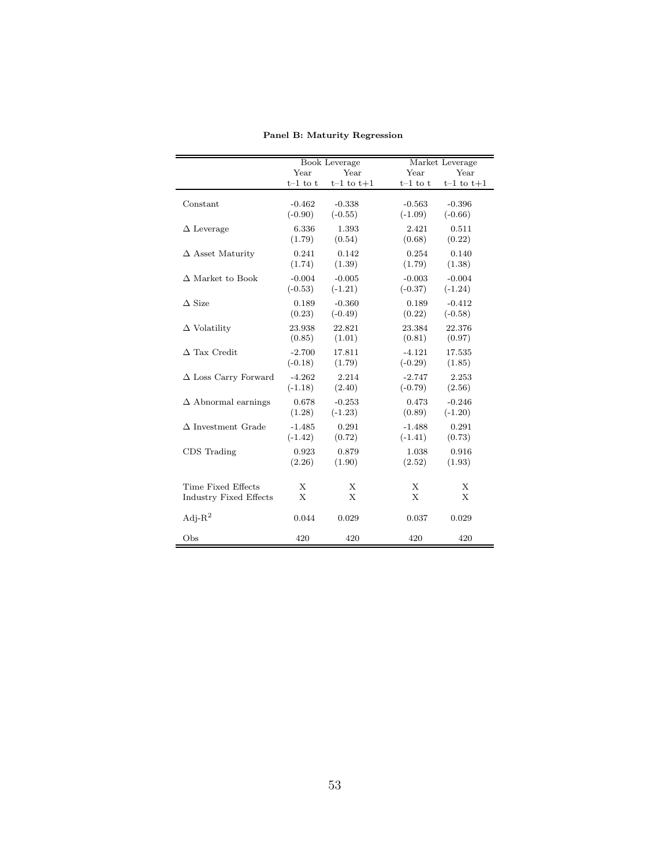|                               |            | <b>Book Leverage</b> |            | Market Leverage |
|-------------------------------|------------|----------------------|------------|-----------------|
|                               | Year       | Year                 | Year       | Year            |
|                               | $t-1$ to t | $t-1$ to $t+1$       | $t-1$ to t | $t-1$ to $t+1$  |
| Constant                      | $-0.462$   | $-0.338$             | $-0.563$   | $-0.396$        |
|                               | $(-0.90)$  | $(-0.55)$            | $(-1.09)$  | $(-0.66)$       |
| $\Delta$ Leverage             | 6.336      | 1.393                | 2.421      | 0.511           |
|                               | (1.79)     | (0.54)               | (0.68)     | (0.22)          |
| $\Delta$ Asset Maturity       | 0.241      | 0.142                | 0.254      | 0.140           |
|                               | (1.74)     | (1.39)               | (1.79)     | (1.38)          |
| $\Delta$ Market to Book       | $-0.004$   | $-0.005$             | $-0.003$   | $-0.004$        |
|                               | $(-0.53)$  | $(-1.21)$            | $(-0.37)$  | $(-1.24)$       |
| $\Delta$ Size                 | 0.189      | $-0.360$             | 0.189      | $-0.412$        |
|                               | (0.23)     | $(-0.49)$            | (0.22)     | $(-0.58)$       |
| $\Delta$ Volatility           | 23.938     | 22.821               | 23.384     | 22.376          |
|                               | (0.85)     | (1.01)               | (0.81)     | (0.97)          |
| $\Delta$ Tax Credit           | $-2.700$   | 17.811               | $-4.121$   | 17.535          |
|                               | $(-0.18)$  | (1.79)               | $(-0.29)$  | (1.85)          |
| $\Delta$ Loss Carry Forward   | $-4.262$   | 2.214                | $-2.747$   | 2.253           |
|                               | $(-1.18)$  | (2.40)               | $(-0.79)$  | (2.56)          |
| $\Delta$ Abnormal earnings    | 0.678      | $-0.253$             | 0.473      | $-0.246$        |
|                               | (1.28)     | $(-1.23)$            | (0.89)     | $(-1.20)$       |
| $\Delta$ Investment Grade     | $-1.485$   | 0.291                | $-1.488$   | 0.291           |
|                               | $(-1.42)$  | (0.72)               | $(-1.41)$  | (0.73)          |
| CDS Trading                   | 0.923      | 0.879                | 1.038      | 0.916           |
|                               | (2.26)     | (1.90)               | (2.52)     | (1.93)          |
| Time Fixed Effects            | X          | X                    | X          | X               |
| <b>Industry Fixed Effects</b> | X          | X                    | X          | X               |
| Adj- $R^2$                    | 0.044      | 0.029                | 0.037      | 0.029           |
| Obs                           | 420        | 420                  | 420        | 420             |

Panel B: Maturity Regression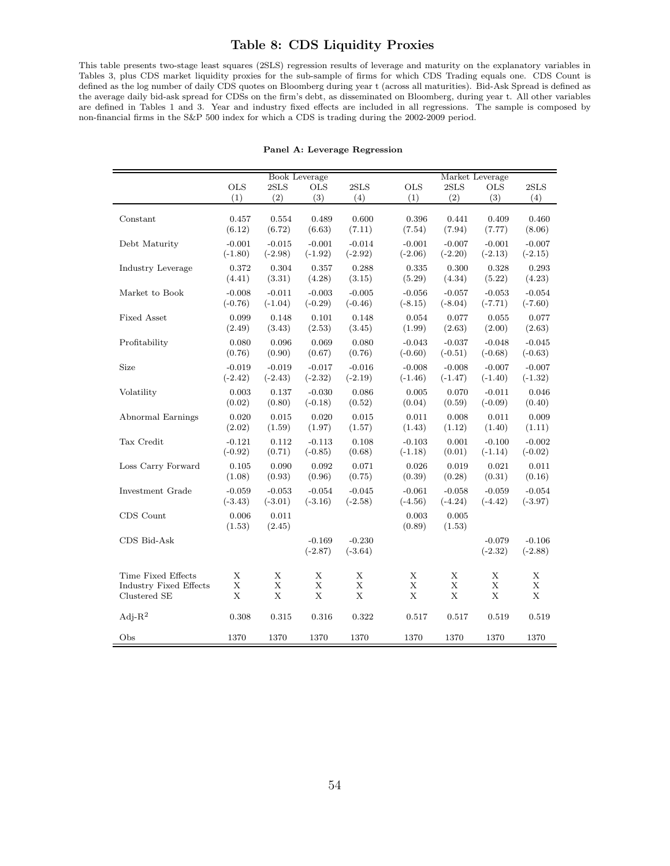# <span id="page-54-0"></span>Table 8: CDS Liquidity Proxies

This table presents two-stage least squares (2SLS) regression results of leverage and maturity on the explanatory variables in Tables 3, plus CDS market liquidity proxies for the sub-sample of firms for which CDS Trading equals one. CDS Count is defined as the log number of daily CDS quotes on Bloomberg during year t (across all maturities). Bid-Ask Spread is defined as the average daily bid-ask spread for CDSs on the firm's debt, as disseminated on Bloomberg, during year t. All other variables are defined in Tables 1 and 3. Year and industry fixed effects are included in all regressions. The sample is composed by non-financial firms in the S&P 500 index for which a CDS is trading during the 2002-2009 period.

|                               | OLS<br>(1)      | 2SLS<br>(2)     | <b>Book Leverage</b><br><b>OLS</b><br>(3) | 2SLS<br>(4)           | <b>OLS</b><br>(1) | 2SLS<br>(2)     | Market Leverage<br><b>OLS</b><br>(3) | 2SLS<br>(4)           |
|-------------------------------|-----------------|-----------------|-------------------------------------------|-----------------------|-------------------|-----------------|--------------------------------------|-----------------------|
| Constant                      | 0.457           | 0.554           | 0.489                                     | 0.600                 | 0.396             | 0.441           | 0.409                                | 0.460                 |
|                               | (6.12)          | (6.72)          | (6.63)                                    | (7.11)                | (7.54)            | (7.94)          | (7.77)                               | (8.06)                |
| Debt Maturity                 | $-0.001$        | $-0.015$        | $-0.001$                                  | $-0.014$              | $-0.001$          | $-0.007$        | $-0.001$                             | $-0.007$              |
|                               | $(-1.80)$       | $(-2.98)$       | $(-1.92)$                                 | $(-2.92)$             | $(-2.06)$         | $(-2.20)$       | $(-2.13)$                            | $(-2.15)$             |
| Industry Leverage             | 0.372           | 0.304           | 0.357                                     | 0.288                 | 0.335             | 0.300           | 0.328                                | 0.293                 |
|                               | (4.41)          | (3.31)          | (4.28)                                    | (3.15)                | (5.29)            | (4.34)          | (5.22)                               | (4.23)                |
| Market to Book                | $-0.008$        | $-0.011$        | $-0.003$                                  | $-0.005$              | $-0.056$          | $-0.057$        | $-0.053$                             | $-0.054$              |
|                               | $(-0.76)$       | $(-1.04)$       | $(-0.29)$                                 | $(-0.46)$             | $(-8.15)$         | $(-8.04)$       | $(-7.71)$                            | $(-7.60)$             |
| <b>Fixed Asset</b>            | 0.099           | 0.148           | 0.101                                     | 0.148                 | 0.054             | 0.077           | 0.055                                | 0.077                 |
|                               | (2.49)          | (3.43)          | (2.53)                                    | (3.45)                | (1.99)            | (2.63)          | (2.00)                               | (2.63)                |
| Profitability                 | 0.080           | 0.096           | 0.069                                     | 0.080                 | $-0.043$          | $-0.037$        | $-0.048$                             | $-0.045$              |
|                               | (0.76)          | (0.90)          | (0.67)                                    | (0.76)                | $(-0.60)$         | $(-0.51)$       | $(-0.68)$                            | $(-0.63)$             |
| Size                          | $-0.019$        | $-0.019$        | $-0.017$                                  | $-0.016$              | $-0.008$          | $-0.008$        | $-0.007$                             | $-0.007$              |
|                               | $(-2.42)$       | $(-2.43)$       | $(-2.32)$                                 | $(-2.19)$             | $(-1.46)$         | $(-1.47)$       | $(-1.40)$                            | $(-1.32)$             |
| Volatility                    | 0.003           | 0.137           | $-0.030$                                  | 0.086                 | 0.005             | 0.070           | $-0.011$                             | 0.046                 |
|                               | (0.02)          | (0.80)          | $(-0.18)$                                 | (0.52)                | (0.04)            | (0.59)          | $(-0.09)$                            | (0.40)                |
| Abnormal Earnings             | 0.020           | 0.015           | 0.020                                     | 0.015                 | 0.011             | 0.008           | 0.011                                | 0.009                 |
|                               | (2.02)          | (1.59)          | (1.97)                                    | (1.57)                | (1.43)            | (1.12)          | (1.40)                               | (1.11)                |
| Tax Credit                    | $-0.121$        | 0.112           | $-0.113$                                  | 0.108                 | $-0.103$          | 0.001           | $-0.100$                             | $-0.002$              |
|                               | $(-0.92)$       | (0.71)          | $(-0.85)$                                 | (0.68)                | $(-1.18)$         | (0.01)          | $(-1.14)$                            | $(-0.02)$             |
| Loss Carry Forward            | 0.105           | 0.090           | 0.092                                     | 0.071                 | 0.026             | 0.019           | 0.021                                | 0.011                 |
|                               | (1.08)          | (0.93)          | (0.96)                                    | (0.75)                | (0.39)            | (0.28)          | (0.31)                               | (0.16)                |
| Investment Grade              | $-0.059$        | $-0.053$        | $-0.054$                                  | $-0.045$              | $-0.061$          | $-0.058$        | $-0.059$                             | $-0.054$              |
|                               | $(-3.43)$       | $(-3.01)$       | $(-3.16)$                                 | $(-2.58)$             | $(-4.56)$         | $(-4.24)$       | $(-4.42)$                            | $(-3.97)$             |
| CDS Count                     | 0.006<br>(1.53) | 0.011<br>(2.45) |                                           |                       | 0.003<br>(0.89)   | 0.005<br>(1.53) |                                      |                       |
| CDS Bid-Ask                   |                 |                 | $-0.169$<br>$(-2.87)$                     | $-0.230$<br>$(-3.64)$ |                   |                 | $-0.079$<br>$(-2.32)$                | $-0.106$<br>$(-2.88)$ |
| Time Fixed Effects            | X               | X               | Χ                                         | X                     | X                 | X               | X                                    | X                     |
| <b>Industry Fixed Effects</b> | X               | $\mathbf X$     | X                                         | $\mathbf X$           | $\mathbf X$       | $\rm X$         | $\mathbf X$                          | $\mathbf X$           |
| Clustered SE                  | Х               | X               | X                                         | X                     | X                 | X               | X                                    | X                     |
| Adj- $R^2$                    | 0.308           | 0.315           | 0.316                                     | 0.322                 | 0.517             | 0.517           | 0.519                                | 0.519                 |
| Obs                           | 1370            | 1370            | 1370                                      | 1370                  | 1370              | 1370            | 1370                                 | 1370                  |

Panel A: Leverage Regression